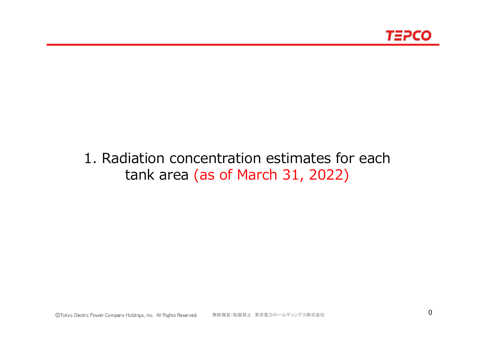

# 1. Radiation concentration estimates for each tank area (as of March 31, 2022)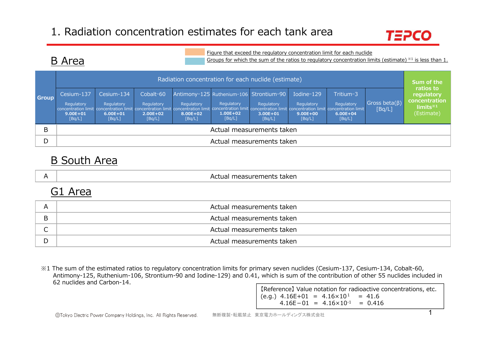

### B Area

Figure that exceed the regulatory concentration limit for each nuclide

Groups for which the sum of the ratios to regulatory concentration limits (estimate)  $*1$  is less than 1.

| <b>Group</b> | Radiation concentration for each nuclide (estimate) |                                                    |                                                    |                                  |                                                                                 |                                      |                                                                                                                                                                                                                                           |                                                   |                                |                                                                      |  |
|--------------|-----------------------------------------------------|----------------------------------------------------|----------------------------------------------------|----------------------------------|---------------------------------------------------------------------------------|--------------------------------------|-------------------------------------------------------------------------------------------------------------------------------------------------------------------------------------------------------------------------------------------|---------------------------------------------------|--------------------------------|----------------------------------------------------------------------|--|
|              | Cesium-137<br>Regulatory<br>$9.00E + 01$<br>[Bq/L]  | Cesium-134<br>Regulatory<br>$6.00E + 01$<br>[Bq/L] | Cobalt-60<br>Regulatory<br>$2.00E + 021$<br>[Bq/L] | Regulatory<br>8.00E+02<br>[Bq/L] | Antimony-125 Ruthenium-106 Strontium-90<br>Regulatory<br>$1.00E + 02$<br>[Bq/L] | Regulatory<br>$3.00E + 01$<br>[Bq/L] | Iodine-129<br>Regulatory<br>concentration limit concentration limit concentration limit concentration limit concentration limit concentration limit concentration limit concentration limit concentration limit<br>$9.00E + 00$<br>[Bq/L] | Tritium-3<br>Regulatory<br>$6.00E + 04$<br>[Bq/L] | Gross beta $(\beta)$<br>[Bq/L] | ratios to<br>regulatory<br>concentration<br>$limits*1$<br>(Estimate) |  |
| B            | Actual measurements taken                           |                                                    |                                                    |                                  |                                                                                 |                                      |                                                                                                                                                                                                                                           |                                                   |                                |                                                                      |  |
| D            |                                                     |                                                    |                                                    |                                  | Actual measurements taken                                                       |                                      |                                                                                                                                                                                                                                           |                                                   |                                |                                                                      |  |

### B South Area

|  | taker<br>ments:<br>uled Sulet.<br>ורזו<br><b>11</b> |
|--|-----------------------------------------------------|
|--|-----------------------------------------------------|

### G1 Area

|   | Actual measurements taken |
|---|---------------------------|
| B | Actual measurements taken |
|   | Actual measurements taken |
|   | Actual measurements taken |

※1 The sum of the estimated ratios to regulatory concentration limits for primary seven nuclides (Cesium-137, Cesium-134, Cobalt-60, Antimony-125, Ruthenium-106, Strontium-90 and Iodine-129) and 0.41, which is sum of the contribution of other 55 nuclides included in 62 nuclides and Carbon-14.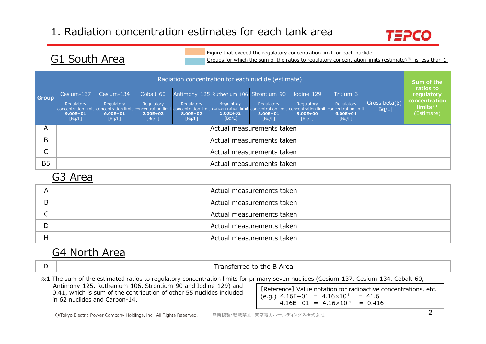

### G1 South Area

Figure that exceed the regulatory concentration limit for each nuclide

Groups for which the sum of the ratios to regulatory concentration limits (estimate) ※1 is less than 1.

|              | Radiation concentration for each nuclide (estimate) |                                                    |                                                   |                                  |                                                                                                                                                                                                                                                                                            |                                  |                                                    |                                                   |                                |                                                                               |  |
|--------------|-----------------------------------------------------|----------------------------------------------------|---------------------------------------------------|----------------------------------|--------------------------------------------------------------------------------------------------------------------------------------------------------------------------------------------------------------------------------------------------------------------------------------------|----------------------------------|----------------------------------------------------|---------------------------------------------------|--------------------------------|-------------------------------------------------------------------------------|--|
| <b>Group</b> | Cesium-137<br>Regulatory<br>$9.00E + 01$<br>[Bq/L]  | Cesium-134<br>Regulatory<br>$6.00E + 01$<br>[Bq/L] | Cobalt-60<br>Regulatory<br>$2.00E + 02$<br>[Bq/L] | Regulatory<br>8.00E+02<br>[Bq/L] | Antimony-125 Ruthenium-106 Strontium-90<br>Regulatory<br>concentration limit concentration limit concentration limit concentration limit concentration limit concentration limit concentration limit concentration limit concentration limit concentration limit<br>$1.00E + 02$<br>[Bq/L] | Regulatory<br>3.00E+01<br>[Bq/L] | Iodine-129<br>Regulatory<br>$9.00E + 00$<br>[Bq/L] | Tritium-3<br>Regulatory<br>$6.00E + 04$<br>[Bq/L] | Gross beta $(\beta)$<br>[Bq/L] | ratios to<br>regulatory<br>concentration<br>$limits^{\times 1}$<br>(Estimate) |  |
| A            |                                                     |                                                    |                                                   |                                  | Actual measurements taken                                                                                                                                                                                                                                                                  |                                  |                                                    |                                                   |                                |                                                                               |  |
| B            |                                                     |                                                    |                                                   |                                  | Actual measurements taken                                                                                                                                                                                                                                                                  |                                  |                                                    |                                                   |                                |                                                                               |  |
| ⌒<br>◡       |                                                     | Actual measurements taken                          |                                                   |                                  |                                                                                                                                                                                                                                                                                            |                                  |                                                    |                                                   |                                |                                                                               |  |
| <b>B5</b>    |                                                     |                                                    |                                                   |                                  | Actual measurements taken                                                                                                                                                                                                                                                                  |                                  |                                                    |                                                   |                                |                                                                               |  |

### G3 Area

| A | Actual measurements taken |
|---|---------------------------|
| B | Actual measurements taken |
|   | Actual measurements taken |
| D | Actual measurements taken |
| Н | Actual measurements taken |

### G4 North Area

Transferred to the B Area

※1 The sum of the estimated ratios to regulatory concentration limits for primary seven nuclides (Cesium-137, Cesium-134, Cobalt-60,

Antimony-125, Ruthenium-106, Strontium-90 and Iodine-129) and 0.41, which is sum of the contribution of other 55 nuclides included in 62 nuclides and Carbon-14.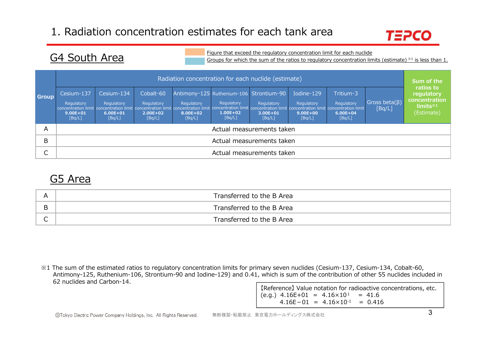

### G4 South Area

Figure that exceed the regulatory concentration limit for each nuclide

Groups for which the sum of the ratios to regulatory concentration limits (estimate)  $*1$  is less than 1.

|              | Radiation concentration for each nuclide (estimate)                                                                                                                                                                                       |                                                    |                                                   |                                  |                                                                                 |                                      |                                                    |                                                   |                                |                                                                      |  |
|--------------|-------------------------------------------------------------------------------------------------------------------------------------------------------------------------------------------------------------------------------------------|----------------------------------------------------|---------------------------------------------------|----------------------------------|---------------------------------------------------------------------------------|--------------------------------------|----------------------------------------------------|---------------------------------------------------|--------------------------------|----------------------------------------------------------------------|--|
| <b>Group</b> | Cesium-137<br>Regulatory<br>concentration limit concentration limit concentration limit concentration limit concentration limit concentration limit concentration limit concentration limit concentration limit<br>$9.00E + 01$<br>[Bq/L] | Cesium-134<br>Regulatory<br>$6.00E + 01$<br>[Bq/L] | Cobalt-60<br>Regulatory<br>$2.00E + 02$<br>[Bq/L] | Regulatory<br>8.00E+02<br>[Bq/L] | Antimony-125 Ruthenium-106 Strontium-90<br>Regulatory<br>$1.00E + 02$<br>[Bq/L] | Regulatory<br>$3.00E + 01$<br>[Bq/L] | Iodine-129<br>Regulatory<br>$9.00E + 00$<br>[Bq/L] | Tritium-3<br>Regulatory<br>$6.00E + 04$<br>[Bq/L] | Gross beta $(\beta)$<br>[Bq/L] | ratios to<br>regulatory<br>concentration<br>$limits*1$<br>(Estimate) |  |
| Α            |                                                                                                                                                                                                                                           |                                                    |                                                   |                                  |                                                                                 | Actual measurements taken            |                                                    |                                                   |                                |                                                                      |  |
| В            |                                                                                                                                                                                                                                           | Actual measurements taken                          |                                                   |                                  |                                                                                 |                                      |                                                    |                                                   |                                |                                                                      |  |
| ┌<br>◡       |                                                                                                                                                                                                                                           |                                                    |                                                   |                                  |                                                                                 | Actual measurements taken            |                                                    |                                                   |                                |                                                                      |  |

### G5 Area

| Transferred to the B Area |
|---------------------------|
| Transferred to the B Area |
| Transferred to the B Area |

※1 The sum of the estimated ratios to regulatory concentration limits for primary seven nuclides (Cesium-137, Cesium-134, Cobalt-60, Antimony-125, Ruthenium-106, Strontium-90 and Iodine-129) and 0.41, which is sum of the contribution of other 55 nuclides included in 62 nuclides and Carbon-14.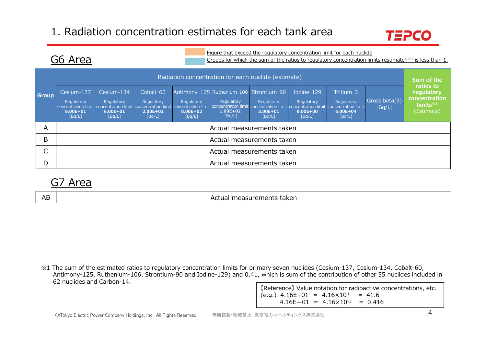

### G6 Area

Figure that exceed the regulatory concentration limit for each nuclide

Groups for which the sum of the ratios to regulatory concentration limits (estimate)  $*1$  is less than 1.

|              | Radiation concentration for each nuclide (estimate)                                                                                                                                                                                       |                                                    |                                                   |                                  |                                                                                 |                                      |                                                    |                                                   |                                |                                                                             |  |
|--------------|-------------------------------------------------------------------------------------------------------------------------------------------------------------------------------------------------------------------------------------------|----------------------------------------------------|---------------------------------------------------|----------------------------------|---------------------------------------------------------------------------------|--------------------------------------|----------------------------------------------------|---------------------------------------------------|--------------------------------|-----------------------------------------------------------------------------|--|
| <b>Group</b> | Cesium-137<br>Regulatory<br>concentration limit concentration limit concentration limit concentration limit concentration limit concentration limit concentration limit concentration limit concentration limit<br>$9.00E + 01$<br>[Bq/L] | Cesium-134<br>Regulatory<br>$6.00E + 01$<br>[Bq/L] | Cobalt-60<br>Regulatory<br>$2.00E + 02$<br>[Bq/L] | Regulatory<br>8.00E+02<br>[Bq/L] | Antimony-125 Ruthenium-106 Strontium-90<br>Regulatory<br>$1.00E + 02$<br>[Bq/L] | Regulatory<br>$3.00E + 01$<br>[Bq/L] | Iodine-129<br>Regulatory<br>$9.00E + 00$<br>[Bq/L] | Tritium-3<br>Regulatory<br>$6.00E + 04$<br>[Bq/L] | Gross beta $(\beta)$<br>[Bq/L] | ratios to<br>regulatory<br>concentration<br>$limits^{\ast 1}$<br>(Estimate) |  |
| A            |                                                                                                                                                                                                                                           |                                                    |                                                   |                                  | Actual measurements taken                                                       |                                      |                                                    |                                                   |                                |                                                                             |  |
| B            |                                                                                                                                                                                                                                           |                                                    |                                                   |                                  | Actual measurements taken                                                       |                                      |                                                    |                                                   |                                |                                                                             |  |
| ⌒            | Actual measurements taken                                                                                                                                                                                                                 |                                                    |                                                   |                                  |                                                                                 |                                      |                                                    |                                                   |                                |                                                                             |  |
| D            |                                                                                                                                                                                                                                           |                                                    |                                                   |                                  | Actual measurements taken                                                       |                                      |                                                    |                                                   |                                |                                                                             |  |

### G7 Area

AB

Actual measurements taken

※1 The sum of the estimated ratios to regulatory concentration limits for primary seven nuclides (Cesium-137, Cesium-134, Cobalt-60, Antimony-125, Ruthenium-106, Strontium-90 and Iodine-129) and 0.41, which is sum of the contribution of other 55 nuclides included in 62 nuclides and Carbon-14.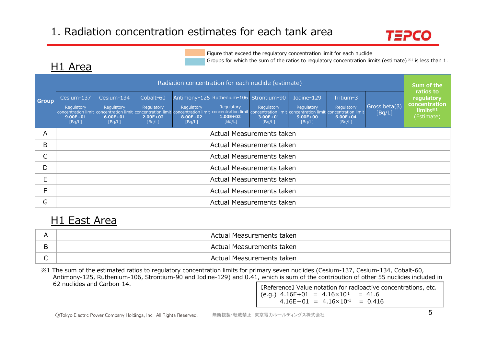

Figure that exceed the regulatory concentration limit for each nuclide

Groups for which the sum of the ratios to regulatory concentration limits (estimate) ※1 is less than 1.

|              |                                                    | Radiation concentration for each nuclide (estimate) |                                                   |                                  |                                                                                                                                                                                                                                                                                            |                                  |                                                    |                                                   |                                |                                                                               |  |  |
|--------------|----------------------------------------------------|-----------------------------------------------------|---------------------------------------------------|----------------------------------|--------------------------------------------------------------------------------------------------------------------------------------------------------------------------------------------------------------------------------------------------------------------------------------------|----------------------------------|----------------------------------------------------|---------------------------------------------------|--------------------------------|-------------------------------------------------------------------------------|--|--|
| <b>Group</b> | Cesium-137<br>Regulatory<br>$9.00E + 01$<br>[Bq/L] | Cesium-134<br>Regulatory<br>$6.00E + 01$<br>[Bq/L]  | Cobalt-60<br>Regulatory<br>$2.00E + 02$<br>[Bq/L] | Regulatory<br>8.00E+02<br>[Bq/L] | Antimony-125 Ruthenium-106 Strontium-90<br>Regulatory<br>concentration limit concentration limit concentration limit concentration limit concentration limit concentration limit concentration limit concentration limit concentration limit concentration limit<br>$1.00E + 02$<br>[Bq/L] | Regulatory<br>3.00E+01<br>[Bq/L] | Iodine-129<br>Regulatory<br>$9.00E + 00$<br>[Bq/L] | Tritium-3<br>Regulatory<br>$6.00E + 04$<br>[Bq/L] | Gross beta $(\beta)$<br>[Bq/L] | ratios to<br>regulatory<br>concentration<br>$limits^{\times 1}$<br>(Estimate) |  |  |
| A            |                                                    |                                                     |                                                   |                                  | Actual Measurements taken                                                                                                                                                                                                                                                                  |                                  |                                                    |                                                   |                                |                                                                               |  |  |
| B            |                                                    |                                                     |                                                   |                                  | Actual Measurements taken                                                                                                                                                                                                                                                                  |                                  |                                                    |                                                   |                                |                                                                               |  |  |
| C            |                                                    |                                                     |                                                   |                                  | Actual Measurements taken                                                                                                                                                                                                                                                                  |                                  |                                                    |                                                   |                                |                                                                               |  |  |
| D            |                                                    |                                                     |                                                   |                                  | Actual Measurements taken                                                                                                                                                                                                                                                                  |                                  |                                                    |                                                   |                                |                                                                               |  |  |
| E            | Actual Measurements taken                          |                                                     |                                                   |                                  |                                                                                                                                                                                                                                                                                            |                                  |                                                    |                                                   |                                |                                                                               |  |  |
| $\mathsf F$  | Actual Measurements taken                          |                                                     |                                                   |                                  |                                                                                                                                                                                                                                                                                            |                                  |                                                    |                                                   |                                |                                                                               |  |  |
| G            |                                                    |                                                     |                                                   |                                  | Actual Measurements taken                                                                                                                                                                                                                                                                  |                                  |                                                    |                                                   |                                |                                                                               |  |  |

### H1 East Area

| A | Actual Measurements taken |
|---|---------------------------|
| B | Actual Measurements taken |
| ∽ | Actual Measurements taken |

※1 The sum of the estimated ratios to regulatory concentration limits for primary seven nuclides (Cesium-137, Cesium-134, Cobalt-60, Antimony-125, Ruthenium-106, Strontium-90 and Iodine-129) and 0.41, which is sum of the contribution of other 55 nuclides included in 62 nuclides and Carbon-14.

【Reference】 Value notation for radioactive concentrations, etc.  $(e.q.)$  4.16E+01 = 4.16×10<sup>1</sup> = 41.6  $4.16E-01 = 4.16 \times 10^{-1} = 0.416$ 

# H<sub>1</sub> Area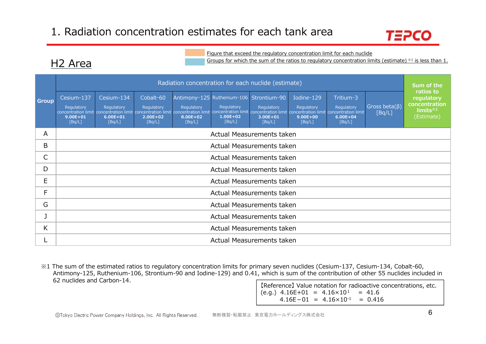H2 Area



#### Figure that exceed the regulatory concentration limit for each nuclide

Groups for which the sum of the ratios to regulatory concentration limits (estimate) ※1 is less than 1.

|              |                                                                                                                                                                                                                                                                                                                                                                                                                                                                                                                                                                                                                                                                                      |                           |  |  | Radiation concentration for each nuclide (estimate) |  |  |  |  | Sum of the<br>ratios to |  |  |  |
|--------------|--------------------------------------------------------------------------------------------------------------------------------------------------------------------------------------------------------------------------------------------------------------------------------------------------------------------------------------------------------------------------------------------------------------------------------------------------------------------------------------------------------------------------------------------------------------------------------------------------------------------------------------------------------------------------------------|---------------------------|--|--|-----------------------------------------------------|--|--|--|--|-------------------------|--|--|--|
| <b>Group</b> | Antimony-125 Ruthenium-106 Strontium-90<br>Cesium-137<br>Cesium-134<br>Cobalt-60<br>Iodine-129<br>Tritium-3<br>Gross beta $(\beta)$<br>Regulatory<br>Regulatory<br>Regulatory<br>Regulatory<br>Regulatory<br>Regulatory<br>Regulatory<br>Regulatory<br>concentration limit concentration limit concentration limit concentration limit concentration limit concentration limit concentration limit concentration limit concentration limit concentration limit<br>[Bq/L]<br>$1.00E + 02$<br>$9.00E + 01$<br>$6.00E + 01$<br>$2.00E + 02$<br>8.00E+02<br>$3.00E + 01$<br>$9.00E + 00$<br>$6.00E + 04$<br>[Bq/L]<br>[Bq/L]<br>[Bq/L]<br>[Bq/L]<br>[Bq/L]<br>[Bq/L]<br>[Bq/L]<br>[Bq/L] |                           |  |  |                                                     |  |  |  |  |                         |  |  |  |
| A            |                                                                                                                                                                                                                                                                                                                                                                                                                                                                                                                                                                                                                                                                                      | Actual Measurements taken |  |  |                                                     |  |  |  |  |                         |  |  |  |
| B            |                                                                                                                                                                                                                                                                                                                                                                                                                                                                                                                                                                                                                                                                                      |                           |  |  | Actual Measurements taken                           |  |  |  |  |                         |  |  |  |
| С            |                                                                                                                                                                                                                                                                                                                                                                                                                                                                                                                                                                                                                                                                                      |                           |  |  | Actual Measurements taken                           |  |  |  |  |                         |  |  |  |
| D            |                                                                                                                                                                                                                                                                                                                                                                                                                                                                                                                                                                                                                                                                                      |                           |  |  | Actual Measurements taken                           |  |  |  |  |                         |  |  |  |
| E            |                                                                                                                                                                                                                                                                                                                                                                                                                                                                                                                                                                                                                                                                                      |                           |  |  | Actual Measurements taken                           |  |  |  |  |                         |  |  |  |
| F            |                                                                                                                                                                                                                                                                                                                                                                                                                                                                                                                                                                                                                                                                                      |                           |  |  | Actual Measurements taken                           |  |  |  |  |                         |  |  |  |
| G            |                                                                                                                                                                                                                                                                                                                                                                                                                                                                                                                                                                                                                                                                                      |                           |  |  | Actual Measurements taken                           |  |  |  |  |                         |  |  |  |
|              | Actual Measurements taken                                                                                                                                                                                                                                                                                                                                                                                                                                                                                                                                                                                                                                                            |                           |  |  |                                                     |  |  |  |  |                         |  |  |  |
| K.           |                                                                                                                                                                                                                                                                                                                                                                                                                                                                                                                                                                                                                                                                                      | Actual Measurements taken |  |  |                                                     |  |  |  |  |                         |  |  |  |
|              |                                                                                                                                                                                                                                                                                                                                                                                                                                                                                                                                                                                                                                                                                      |                           |  |  | Actual Measurements taken                           |  |  |  |  |                         |  |  |  |

※1 The sum of the estimated ratios to regulatory concentration limits for primary seven nuclides (Cesium-137, Cesium-134, Cobalt-60, Antimony-125, Ruthenium-106, Strontium-90 and Iodine-129) and 0.41, which is sum of the contribution of other 55 nuclides included in 62 nuclides and Carbon-14.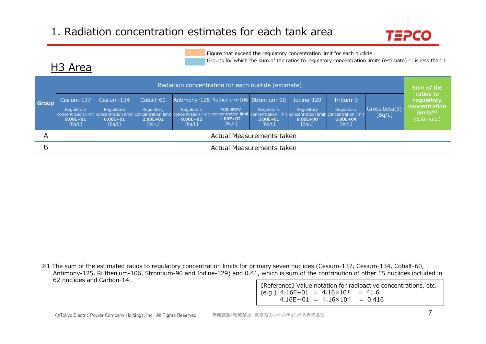

Figure that exceed the regulatory concentration limit for each nuclide

Groups for which the sum of the ratios to regulatory concentration limits (estimate) ※1 is less than 1.

| <b>Group</b> | Radiation concentration for each nuclide (estimate)                                                                                                                                                                                                           |                                                    |                                                   |                                      |                                                                                 |                                      |                                                    |                                                   |                                |                                                                             |  |
|--------------|---------------------------------------------------------------------------------------------------------------------------------------------------------------------------------------------------------------------------------------------------------------|----------------------------------------------------|---------------------------------------------------|--------------------------------------|---------------------------------------------------------------------------------|--------------------------------------|----------------------------------------------------|---------------------------------------------------|--------------------------------|-----------------------------------------------------------------------------|--|
|              | Cesium-137<br>Regulatory<br>concentration limit concentration limit concentration limit concentration limit concentration limit concentration limit concentration limit concentration limit concentration limit concentration limit<br>$9.00E + 01$<br>[Bq/L] | Cesium-134<br>Regulatory<br>$6.00E + 01$<br>[Bq/L] | Cobalt-60<br>Regulatory<br>$2.00E + 02$<br>[Bq/L] | Regulatory<br>$8.00E + 02$<br>[Bq/L] | Antimony-125 Ruthenium-106 Strontium-90<br>Regulatory<br>$1.00E + 02$<br>[Bq/L] | Regulatory<br>$3.00E + 01$<br>[Bq/L] | Iodine-129<br>Regulatory<br>$9.00E + 00$<br>[Bq/L] | Tritium-3<br>Regulatory<br>$6.00E + 04$<br>[Bq/L] | Gross beta $(\beta)$<br>[Bq/L] | ratios to<br>regulatory<br>concentration<br>$limits^{\ast 1}$<br>(Estimate) |  |
| A            | Actual Measurements taken                                                                                                                                                                                                                                     |                                                    |                                                   |                                      |                                                                                 |                                      |                                                    |                                                   |                                |                                                                             |  |
| B            |                                                                                                                                                                                                                                                               |                                                    |                                                   |                                      | Actual Measurements taken                                                       |                                      |                                                    |                                                   |                                |                                                                             |  |

※1 The sum of the estimated ratios to regulatory concentration limits for primary seven nuclides (Cesium-137, Cesium-134, Cobalt-60, Antimony-125, Ruthenium-106, Strontium-90 and Iodine-129) and 0.41, which is sum of the contribution of other 55 nuclides included in 62 nuclides and Carbon-14.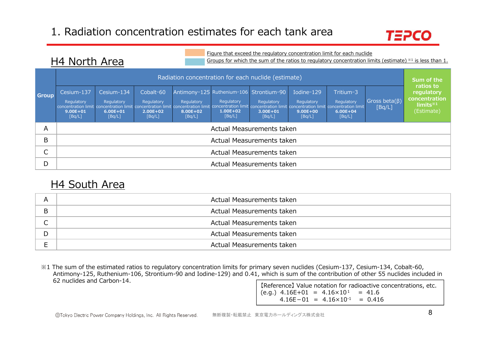

Figure that exceed the regulatory concentration limit for each nuclide

Groups for which the sum of the ratios to regulatory concentration limits (estimate) ※1 is less than 1.

|              | Radiation concentration for each nuclide (estimate)                                                               |                                                    |                                                   |                                  |                                                                                                                                                                                        |                                      |                                                    |                                                   |                                |                                                                                |
|--------------|-------------------------------------------------------------------------------------------------------------------|----------------------------------------------------|---------------------------------------------------|----------------------------------|----------------------------------------------------------------------------------------------------------------------------------------------------------------------------------------|--------------------------------------|----------------------------------------------------|---------------------------------------------------|--------------------------------|--------------------------------------------------------------------------------|
| <b>Group</b> | Cesium-137<br>Regulatory<br>concentration limit concentration limit concentration limit<br>$9.00E + 01$<br>[Bq/L] | Cesium-134<br>Regulatory<br>$6.00E + 01$<br>[Bq/L] | Cobalt-60<br>Regulatory<br>$2.00E + 02$<br>[Bq/L] | Regulatory<br>8.00E+02<br>[Bq/L] | Antimony-125 Ruthenium-106 Strontium-90<br>Regulatory<br>concentration limit concentration limit concentration limit concentration limit concentration limit<br>$1.00E + 02$<br>[Bq/L] | Regulatory<br>$3.00E + 01$<br>[Bq/L] | Iodine-129<br>Regulatory<br>$9.00E + 00$<br>[Bq/L] | Tritium-3<br>Regulatory<br>$6.00E + 04$<br>[Bq/L] | Gross beta $(\beta)$<br>[Bq/L] | ratios to<br>regulatory<br>concentration<br>limits <sup>*1</sup><br>(Estimate) |
| Α            |                                                                                                                   |                                                    |                                                   |                                  | Actual Measurements taken                                                                                                                                                              |                                      |                                                    |                                                   |                                |                                                                                |
| B            |                                                                                                                   |                                                    |                                                   |                                  | Actual Measurements taken                                                                                                                                                              |                                      |                                                    |                                                   |                                |                                                                                |
|              | Actual Measurements taken                                                                                         |                                                    |                                                   |                                  |                                                                                                                                                                                        |                                      |                                                    |                                                   |                                |                                                                                |
| D            |                                                                                                                   |                                                    |                                                   |                                  | Actual Measurements taken                                                                                                                                                              |                                      |                                                    |                                                   |                                |                                                                                |

### H4 South Area

H4 North Area

| A          | Actual Measurements taken |
|------------|---------------------------|
| B          | Actual Measurements taken |
|            |                           |
| $\sqrt{2}$ | Actual Measurements taken |
| D          | Actual Measurements taken |
|            | Actual Measurements taken |

※1 The sum of the estimated ratios to regulatory concentration limits for primary seven nuclides (Cesium-137, Cesium-134, Cobalt-60, Antimony-125, Ruthenium-106, Strontium-90 and Iodine-129) and 0.41, which is sum of the contribution of other 55 nuclides included in 62 nuclides and Carbon-14.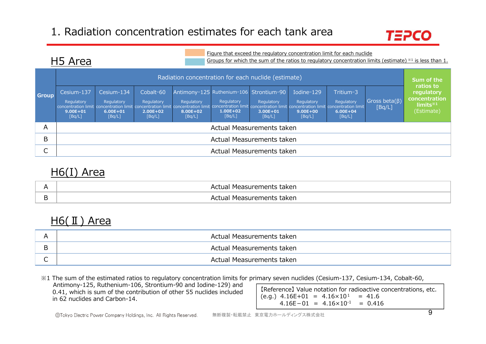

### H5 Area

Figure that exceed the regulatory concentration limit for each nuclide Groups for which the sum of the ratios to regulatory concentration limits (estimate) ※1 is less than 1.

|              | Radiation concentration for each nuclide (estimate) |                                                    |                                                   |                                  |                                                                                                                                                                                                                                                                        |                                      |                                                    |                                                   |                                |                                                                             |  |
|--------------|-----------------------------------------------------|----------------------------------------------------|---------------------------------------------------|----------------------------------|------------------------------------------------------------------------------------------------------------------------------------------------------------------------------------------------------------------------------------------------------------------------|--------------------------------------|----------------------------------------------------|---------------------------------------------------|--------------------------------|-----------------------------------------------------------------------------|--|
| <b>Group</b> | Cesium-137<br>Regulatory<br>$9.00E + 01$<br>[Bq/L]  | Cesium-134<br>Regulatory<br>$6.00E + 01$<br>[Bq/L] | Cobalt-60<br>Regulatory<br>$2.00E + 02$<br>[Bq/L] | Regulatory<br>8.00E+02<br>[Bq/L] | Antimony-125 Ruthenium-106 Strontium-90<br>Regulatory<br>concentration limit concentration limit concentration limit concentration limit concentration limit concentration limit concentration limit concentration limit concentration limit<br>$1.00E + 02$<br>[Bq/L] | Regulatory<br>$3.00E + 01$<br>[Bq/L] | Iodine-129<br>Regulatory<br>$9.00E + 00$<br>[Bq/L] | Tritium-3<br>Regulatory<br>$6.00E + 04$<br>[Bq/L] | Gross beta $(\beta)$<br>[Bq/L] | ratios to<br>regulatory<br>concentration<br>$limits^{\ast 1}$<br>(Estimate) |  |
| A            |                                                     |                                                    |                                                   |                                  | Actual Measurements taken                                                                                                                                                                                                                                              |                                      |                                                    |                                                   |                                |                                                                             |  |
| B            | Actual Measurements taken                           |                                                    |                                                   |                                  |                                                                                                                                                                                                                                                                        |                                      |                                                    |                                                   |                                |                                                                             |  |
| ◡            |                                                     |                                                    |                                                   |                                  | Actual Measurements taken                                                                                                                                                                                                                                              |                                      |                                                    |                                                   |                                |                                                                             |  |

### H6(I) Area

| Measurements taken<br>Δct<br>แลเ<br>$\sim$ |
|--------------------------------------------|
| taken<br>$\Delta$ $\Gamma$<br>Measuremeni  |

# H6(II) Area

| Actual Measurements taken |
|---------------------------|
| Actual Measurements taken |
| Actual Measurements taken |

【Reference】 Value notation for radioactive concentrations, etc.  $(e.q.)$  4.16E+01 = 4.16×10<sup>1</sup> = 41.6  $4.16E-01 = 4.16 \times 10^{-1} = 0.416$ ※1 The sum of the estimated ratios to regulatory concentration limits for primary seven nuclides (Cesium-137, Cesium-134, Cobalt-60, Antimony-125, Ruthenium-106, Strontium-90 and Iodine-129) and 0.41, which is sum of the contribution of other 55 nuclides included in 62 nuclides and Carbon-14.

無断複製・転載禁止 東京電力ホールディングス株式会社 <sup>9</sup> ©Tokyo Electric Power Company Holdings, Inc. All Rights Reserved.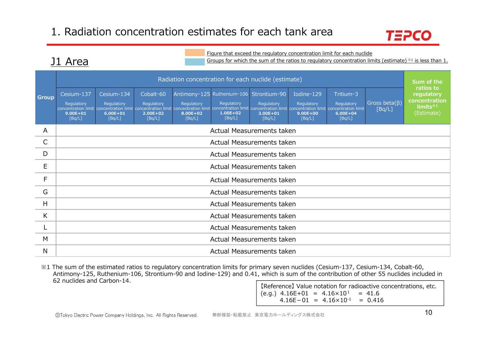

#### Figure that exceed the regulatory concentration limit for each nuclide

Groups for which the sum of the ratios to regulatory concentration limits (estimate) ※1 is less than 1.

|              |                                                    |                                                    |                                                   |                                  | Radiation concentration for each nuclide (estimate)                                                                                                                                                                                                                                        |                                      |                                                    |                                                   |                                | Sum of the<br>ratios to<br>regulatory<br>concentration<br>$limits*1$<br>(Estimate) |
|--------------|----------------------------------------------------|----------------------------------------------------|---------------------------------------------------|----------------------------------|--------------------------------------------------------------------------------------------------------------------------------------------------------------------------------------------------------------------------------------------------------------------------------------------|--------------------------------------|----------------------------------------------------|---------------------------------------------------|--------------------------------|------------------------------------------------------------------------------------|
| <b>Group</b> | Cesium-137<br>Regulatory<br>$9.00E + 01$<br>[Bq/L] | Cesium-134<br>Regulatory<br>$6.00E + 01$<br>[Bq/L] | Cobalt-60<br>Regulatory<br>$2.00E + 02$<br>[Bq/L] | Regulatory<br>8.00E+02<br>[Bq/L] | Antimony-125 Ruthenium-106 Strontium-90<br>Regulatory<br>concentration limit concentration limit concentration limit concentration limit concentration limit concentration limit concentration limit concentration limit concentration limit concentration limit<br>$1.00E + 02$<br>[Bq/L] | Regulatory<br>$3.00E + 01$<br>[Bq/L] | Iodine-129<br>Regulatory<br>$9.00E + 00$<br>[Bq/L] | Tritium-3<br>Regulatory<br>$6.00E + 04$<br>[Bq/L] | Gross beta $(\beta)$<br>[Bq/L] |                                                                                    |
| A            |                                                    |                                                    |                                                   |                                  | Actual Measurements taken                                                                                                                                                                                                                                                                  |                                      |                                                    |                                                   |                                |                                                                                    |
| $\mathsf{C}$ |                                                    |                                                    |                                                   |                                  | Actual Measurements taken                                                                                                                                                                                                                                                                  |                                      |                                                    |                                                   |                                |                                                                                    |
| D            | Actual Measurements taken                          |                                                    |                                                   |                                  |                                                                                                                                                                                                                                                                                            |                                      |                                                    |                                                   |                                |                                                                                    |
| E            | Actual Measurements taken                          |                                                    |                                                   |                                  |                                                                                                                                                                                                                                                                                            |                                      |                                                    |                                                   |                                |                                                                                    |
| F            |                                                    |                                                    |                                                   |                                  | Actual Measurements taken                                                                                                                                                                                                                                                                  |                                      |                                                    |                                                   |                                |                                                                                    |
| G            |                                                    |                                                    |                                                   |                                  | Actual Measurements taken                                                                                                                                                                                                                                                                  |                                      |                                                    |                                                   |                                |                                                                                    |
| H            |                                                    |                                                    |                                                   |                                  | Actual Measurements taken                                                                                                                                                                                                                                                                  |                                      |                                                    |                                                   |                                |                                                                                    |
| K            | Actual Measurements taken                          |                                                    |                                                   |                                  |                                                                                                                                                                                                                                                                                            |                                      |                                                    |                                                   |                                |                                                                                    |
|              | Actual Measurements taken                          |                                                    |                                                   |                                  |                                                                                                                                                                                                                                                                                            |                                      |                                                    |                                                   |                                |                                                                                    |
| M            |                                                    |                                                    |                                                   |                                  | Actual Measurements taken                                                                                                                                                                                                                                                                  |                                      |                                                    |                                                   |                                |                                                                                    |
| N            |                                                    |                                                    |                                                   |                                  | Actual Measurements taken                                                                                                                                                                                                                                                                  |                                      |                                                    |                                                   |                                |                                                                                    |

※1 The sum of the estimated ratios to regulatory concentration limits for primary seven nuclides (Cesium-137, Cesium-134, Cobalt-60, Antimony-125, Ruthenium-106, Strontium-90 and Iodine-129) and 0.41, which is sum of the contribution of other 55 nuclides included in 62 nuclides and Carbon-14.

【Reference】 Value notation for radioactive concentrations, etc.  $(e.q.)$  4.16E+01 = 4.16 $\times$ 10<sup>1</sup> = 41.6  $4.16E-01 = 4.16 \times 10^{-1} = 0.416$ 

J1 Area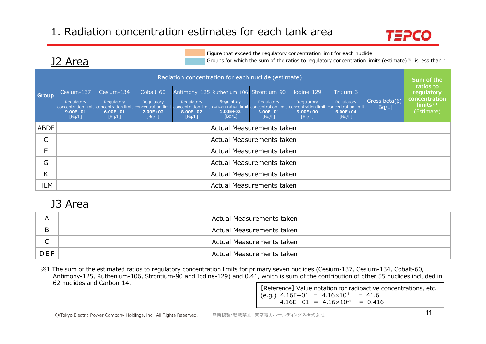

#### Figure that exceed the regulatory concentration limit for each nuclide

Groups for which the sum of the ratios to regulatory concentration limits (estimate)  $*1$  is less than 1.

|              |                                                    | Radiation concentration for each nuclide (estimate) |                                                   |                                  |                                                                                                                                                                                                                                                                        |                                      |                                                    |                                                   |                                |                                                                      |  |
|--------------|----------------------------------------------------|-----------------------------------------------------|---------------------------------------------------|----------------------------------|------------------------------------------------------------------------------------------------------------------------------------------------------------------------------------------------------------------------------------------------------------------------|--------------------------------------|----------------------------------------------------|---------------------------------------------------|--------------------------------|----------------------------------------------------------------------|--|
| <b>Group</b> | Cesium-137<br>Regulatory<br>$9.00E + 01$<br>[Bq/L] | Cesium-134<br>Regulatory<br>$6.00E + 01$<br>[Bq/L]  | Cobalt-60<br>Regulatory<br>$2.00E + 02$<br>[Bq/L] | Regulatory<br>8.00E+02<br>[Bq/L] | Antimony-125 Ruthenium-106 Strontium-90<br>Regulatory<br>concentration limit concentration limit concentration limit concentration limit concentration limit concentration limit concentration limit concentration limit concentration limit<br>$1.00E + 02$<br>[Bq/L] | Regulatory<br>$3.00E + 01$<br>[Bq/L] | Iodine-129<br>Regulatory<br>$9.00E + 00$<br>[Bq/L] | Tritium-3<br>Regulatory<br>$6.00E + 04$<br>[Bq/L] | Gross beta $(\beta)$<br>[Bq/L] | ratios to<br>regulatory<br>concentration<br>$limits*1$<br>(Estimate) |  |
| <b>ABDF</b>  |                                                    | Actual Measurements taken                           |                                                   |                                  |                                                                                                                                                                                                                                                                        |                                      |                                                    |                                                   |                                |                                                                      |  |
| J            |                                                    |                                                     |                                                   |                                  | Actual Measurements taken                                                                                                                                                                                                                                              |                                      |                                                    |                                                   |                                |                                                                      |  |
| E            |                                                    |                                                     |                                                   |                                  | Actual Measurements taken                                                                                                                                                                                                                                              |                                      |                                                    |                                                   |                                |                                                                      |  |
| G            |                                                    | Actual Measurements taken                           |                                                   |                                  |                                                                                                                                                                                                                                                                        |                                      |                                                    |                                                   |                                |                                                                      |  |
| V<br>N       |                                                    | Actual Measurements taken                           |                                                   |                                  |                                                                                                                                                                                                                                                                        |                                      |                                                    |                                                   |                                |                                                                      |  |
| <b>HLM</b>   |                                                    |                                                     |                                                   |                                  | Actual Measurements taken                                                                                                                                                                                                                                              |                                      |                                                    |                                                   |                                |                                                                      |  |

### J3 Area

J2 Area

|            | Actual Measurements taken |
|------------|---------------------------|
| B          | Actual Measurements taken |
| ∽          | Actual Measurements taken |
| <b>DEF</b> | Actual Measurements taken |

※1 The sum of the estimated ratios to regulatory concentration limits for primary seven nuclides (Cesium-137, Cesium-134, Cobalt-60, Antimony-125, Ruthenium-106, Strontium-90 and Iodine-129) and 0.41, which is sum of the contribution of other 55 nuclides included in 62 nuclides and Carbon-14.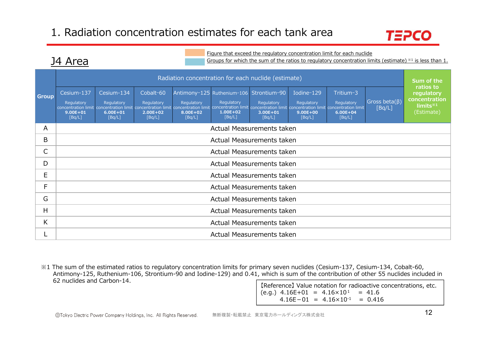J4 Area



#### Figure that exceed the regulatory concentration limit for each nuclide

Groups for which the sum of the ratios to regulatory concentration limits (estimate)  $*1$  is less than 1.

|              |                                                    |                                                    |                                                   |                                  | Radiation concentration for each nuclide (estimate)                                                                                                                                                                                                                                        |                                      |                                                    |                                                   |                                | Sum of the<br>ratios to                                           |
|--------------|----------------------------------------------------|----------------------------------------------------|---------------------------------------------------|----------------------------------|--------------------------------------------------------------------------------------------------------------------------------------------------------------------------------------------------------------------------------------------------------------------------------------------|--------------------------------------|----------------------------------------------------|---------------------------------------------------|--------------------------------|-------------------------------------------------------------------|
| <b>Group</b> | Cesium-137<br>Regulatory<br>$9.00E + 01$<br>[Bq/L] | Cesium-134<br>Regulatory<br>$6.00E + 01$<br>[Bq/L] | Cobalt-60<br>Regulatory<br>$2.00E + 02$<br>[Bq/L] | Regulatory<br>8.00E+02<br>[Bq/L] | Antimony-125 Ruthenium-106 Strontium-90<br>Regulatory<br>concentration limit concentration limit concentration limit concentration limit concentration limit concentration limit concentration limit concentration limit concentration limit concentration limit<br>$1.00E + 02$<br>[Bq/L] | Regulatory<br>$3.00E + 01$<br>[Bq/L] | Iodine-129<br>Regulatory<br>$9.00E + 00$<br>[Bq/L] | Tritium-3<br>Regulatory<br>$6.00E + 04$<br>[Bq/L] | Gross beta $(\beta)$<br>[Bq/L] | regulatory<br>concentration<br>limits <sup>*1</sup><br>(Estimate) |
| A            |                                                    |                                                    |                                                   |                                  | Actual Measurements taken                                                                                                                                                                                                                                                                  |                                      |                                                    |                                                   |                                |                                                                   |
| B            |                                                    |                                                    |                                                   |                                  | Actual Measurements taken                                                                                                                                                                                                                                                                  |                                      |                                                    |                                                   |                                |                                                                   |
| С            | Actual Measurements taken                          |                                                    |                                                   |                                  |                                                                                                                                                                                                                                                                                            |                                      |                                                    |                                                   |                                |                                                                   |
| D            | Actual Measurements taken                          |                                                    |                                                   |                                  |                                                                                                                                                                                                                                                                                            |                                      |                                                    |                                                   |                                |                                                                   |
| E            |                                                    |                                                    |                                                   |                                  | Actual Measurements taken                                                                                                                                                                                                                                                                  |                                      |                                                    |                                                   |                                |                                                                   |
| F.           |                                                    |                                                    |                                                   |                                  | Actual Measurements taken                                                                                                                                                                                                                                                                  |                                      |                                                    |                                                   |                                |                                                                   |
| G            |                                                    |                                                    |                                                   |                                  | Actual Measurements taken                                                                                                                                                                                                                                                                  |                                      |                                                    |                                                   |                                |                                                                   |
| н            | Actual Measurements taken                          |                                                    |                                                   |                                  |                                                                                                                                                                                                                                                                                            |                                      |                                                    |                                                   |                                |                                                                   |
| K.           |                                                    |                                                    |                                                   |                                  | Actual Measurements taken                                                                                                                                                                                                                                                                  |                                      |                                                    |                                                   |                                |                                                                   |
|              |                                                    |                                                    |                                                   |                                  | Actual Measurements taken                                                                                                                                                                                                                                                                  |                                      |                                                    |                                                   |                                |                                                                   |

※1 The sum of the estimated ratios to regulatory concentration limits for primary seven nuclides (Cesium-137, Cesium-134, Cobalt-60, Antimony-125, Ruthenium-106, Strontium-90 and Iodine-129) and 0.41, which is sum of the contribution of other 55 nuclides included in 62 nuclides and Carbon-14.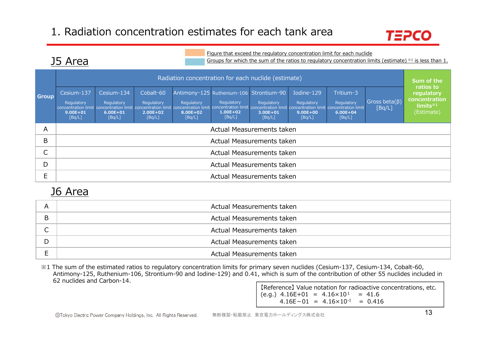

### J5 Area

| Figure that exceed the regulatory concentration limit for each nuclide<br>J5 Area<br>Groups for which the sum of the ratios to regulatory concentration limits (estimate) $*1$ is less than 1. |                                                                                                                   |                                                    |                                                   |                                  |                                                                                                                                                                                        |                                      |                                                    |                                                   |                                |                                                                                |  |
|------------------------------------------------------------------------------------------------------------------------------------------------------------------------------------------------|-------------------------------------------------------------------------------------------------------------------|----------------------------------------------------|---------------------------------------------------|----------------------------------|----------------------------------------------------------------------------------------------------------------------------------------------------------------------------------------|--------------------------------------|----------------------------------------------------|---------------------------------------------------|--------------------------------|--------------------------------------------------------------------------------|--|
|                                                                                                                                                                                                | Radiation concentration for each nuclide (estimate)                                                               |                                                    |                                                   |                                  |                                                                                                                                                                                        |                                      |                                                    |                                                   |                                |                                                                                |  |
| <b>Group</b>                                                                                                                                                                                   | Cesium-137<br>Regulatory<br>concentration limit concentration limit concentration limit<br>$9.00E + 01$<br>[Bq/L] | Cesium-134<br>Regulatory<br>$6.00E + 01$<br>[Bq/L] | Cobalt-60<br>Regulatory<br>$2.00E + 02$<br>[Bq/L] | Regulatory<br>8.00E+02<br>[Bq/L] | Antimony-125 Ruthenium-106 Strontium-90<br>Regulatory<br>concentration limit concentration limit concentration limit concentration limit concentration limit<br>$1.00E + 02$<br>[Bq/L] | Regulatory<br>$3.00E + 01$<br>[Bq/L] | Iodine-129<br>Regulatory<br>$9.00E + 00$<br>[Bq/L] | Tritium-3<br>Regulatory<br>$6.00E + 04$<br>[Bq/L] | Gross beta $(\beta)$<br>[Bq/L] | ratios to<br>regulatory<br>concentration<br>limits <sup>*1</sup><br>(Estimate) |  |
| A                                                                                                                                                                                              |                                                                                                                   |                                                    |                                                   |                                  | Actual Measurements taken                                                                                                                                                              |                                      |                                                    |                                                   |                                |                                                                                |  |
| B                                                                                                                                                                                              |                                                                                                                   |                                                    |                                                   |                                  | Actual Measurements taken                                                                                                                                                              |                                      |                                                    |                                                   |                                |                                                                                |  |
| C                                                                                                                                                                                              | Actual Measurements taken                                                                                         |                                                    |                                                   |                                  |                                                                                                                                                                                        |                                      |                                                    |                                                   |                                |                                                                                |  |
| D                                                                                                                                                                                              | Actual Measurements taken                                                                                         |                                                    |                                                   |                                  |                                                                                                                                                                                        |                                      |                                                    |                                                   |                                |                                                                                |  |
| E                                                                                                                                                                                              |                                                                                                                   |                                                    |                                                   |                                  | Actual Measurements taken                                                                                                                                                              |                                      |                                                    |                                                   |                                |                                                                                |  |

### J6 Area

| A | Actual Measurements taken |
|---|---------------------------|
| B | Actual Measurements taken |
|   | Actual Measurements taken |
| D | Actual Measurements taken |
|   | Actual Measurements taken |

※1 The sum of the estimated ratios to regulatory concentration limits for primary seven nuclides (Cesium-137, Cesium-134, Cobalt-60, Antimony-125, Ruthenium-106, Strontium-90 and Iodine-129) and 0.41, which is sum of the contribution of other 55 nuclides included in 62 nuclides and Carbon-14.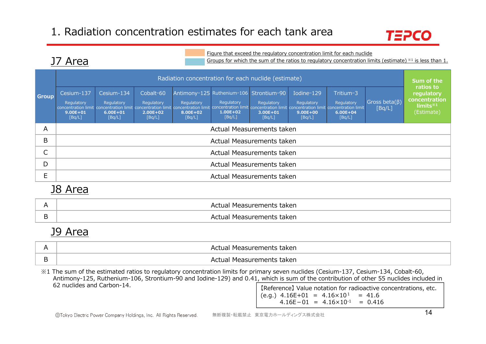

### J7 Area

Groups for which the sum of the ratios to regulatory concentration limits (estimate)  $*1$  is less than 1.

**Group** Radiation concentration for each nuclide (estimate) **告⽰濃度⽐ regulatory 総和※1 concentration** (62核種\_推定値) **limits※1** Cesium-137 Regulatory concentration limit concentration limit concentration limit concentration limit concentration limit concentration limit concentration limit **9.00E+01 9.00E+01**[Bq/L] [Bq/L] Cesium-134 Regulatory 6.00E+01 **6.00E+01**[Bq/L] [Bq/L] Cobalt-60 Regulatory **2.00E+02 2.00E+02**[Bq/L] [Bq/L] Antimony-125 Ruthenium-106 Strontium-90 Regulatory **8.00E+02 8.00E+02**[Bq/L] [Bq/L] Regulatory **1.00E+02 1.00E+02**[Bq/L] [Bq/L] Regulatory **3.00E+01 3.00E+01**[Bq/L] [Bq/L] Iodine-129 Regulatory 9.00E+00 **9.00E+00**[Bq/L] [Bq/L] Tritium-3 Regulatory concentration limit **6.00E+04 6.00E+04**[Bq/L] [Bq/L] Gross beta(β) [Bq/L] A Actual Measurements taken B Actual Measurements taken  $\mathsf{C}$  Actual Measurements taken D Actual Measurements taken E Actual Measurements taken Radiation concentration for each nuclide (estimate) **Sum of the and the state of the state Sum of the ratios to**<br>Group Cesium-137 Cesium-134 Cobalt-60 Antimony-125 Ruthenium-106 Strontium-90 Iodine-129 Tritium-3 Conserva **ratios to** (Estimate) Figure that exceed the regulatory concentration limit for each nuclide<br>Groups for which the sum of the ratios to regulatory concentration limits (estimate)<br>Fritium-106 Strontium-90 Iodine-129 Tritium-3<br>Regulatory Regulato

### J8 Area

| taken<br>1 I C |
|----------------|
| taken<br>T 16  |

### J9 Area

| Actual Measurements taken |
|---------------------------|
| Actual Measurements taken |

※1 The sum of the estimated ratios to regulatory concentration limits for primary seven nuclides (Cesium-137, Cesium-134, Cobalt-60, Antimony-125, Ruthenium-106, Strontium-90 and Iodine-129) and 0.41, which is sum of the contribution of other 55 nuclides included in 62 nuclides and Carbon-14.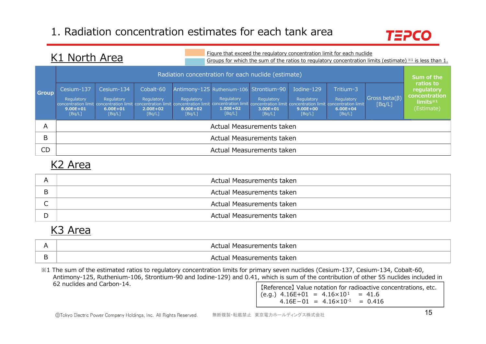

### K1 North Area

Figure that exceed the regulatory concentration limit for each nuclide Groups for which the sum of the ratios to regulatory concentration limits (estimate)  $*1$  is less than 1.

|              | Radiation concentration for each nuclide (estimate) |                                                    |                                                   |                                  |                                                                                                                                                                                                                                                                        |                                      |                                                    |                                                   |                                |                                                                      |  |  |
|--------------|-----------------------------------------------------|----------------------------------------------------|---------------------------------------------------|----------------------------------|------------------------------------------------------------------------------------------------------------------------------------------------------------------------------------------------------------------------------------------------------------------------|--------------------------------------|----------------------------------------------------|---------------------------------------------------|--------------------------------|----------------------------------------------------------------------|--|--|
| <b>Group</b> | Cesium-137<br>Regulatory<br>$9.00E + 01$<br>[Bq/L]  | Cesium-134<br>Regulatory<br>$6.00E + 01$<br>[Bq/L] | Cobalt-60<br>Regulatory<br>$2.00E + 02$<br>[Bq/L] | Regulatory<br>8.00E+02<br>[Bq/L] | Antimony-125 Ruthenium-106 Strontium-90<br>Regulatory<br>concentration limit concentration limit concentration limit concentration limit concentration limit concentration limit concentration limit concentration limit concentration limit<br>$1.00E + 02$<br>[Bq/L] | Regulatory<br>$3.00E + 01$<br>[Bq/L] | Iodine-129<br>Regulatory<br>$9.00E + 00$<br>[Bq/L] | Tritium-3<br>Regulatory<br>$6.00E + 04$<br>[Bq/L] | Gross beta $(\beta)$<br>[Bq/L] | ratios to<br>regulatory<br>concentration<br>$limits*1$<br>(Estimate) |  |  |
| A            |                                                     |                                                    |                                                   |                                  | Actual Measurements taken                                                                                                                                                                                                                                              |                                      |                                                    |                                                   |                                |                                                                      |  |  |
| B            | Actual Measurements taken                           |                                                    |                                                   |                                  |                                                                                                                                                                                                                                                                        |                                      |                                                    |                                                   |                                |                                                                      |  |  |
| CD           |                                                     |                                                    |                                                   |                                  | Actual Measurements taken                                                                                                                                                                                                                                              |                                      |                                                    |                                                   |                                |                                                                      |  |  |

### K2 Area

| A                        | Actual Measurements taken |
|--------------------------|---------------------------|
| B                        | Actual Measurements taken |
| $\overline{\phantom{0}}$ | Actual Measurements taken |
| D                        | Actual Measurements taken |

### K3 Area

| Actual Measurements taken |
|---------------------------|
| Actual Measurements taken |

※1 The sum of the estimated ratios to regulatory concentration limits for primary seven nuclides (Cesium-137, Cesium-134, Cobalt-60, Antimony-125, Ruthenium-106, Strontium-90 and Iodine-129) and 0.41, which is sum of the contribution of other 55 nuclides included in 62 nuclides and Carbon-14.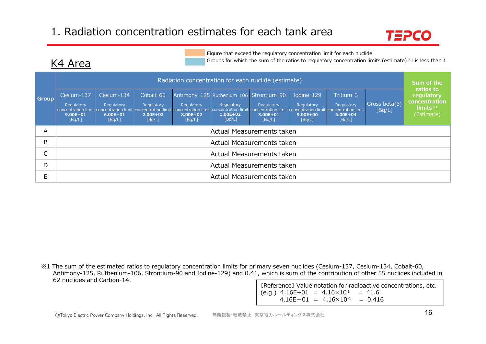K4 Area



#### Figure that exceed the regulatory concentration limit for each nuclide

Groups for which the sum of the ratios to regulatory concentration limits (estimate) ※1 is less than 1.

|              |                                                    |                                                    |                                                   |                                  | Radiation concentration for each nuclide (estimate)                                                                                                                                                                                                                    |                                      |                                                    |                                                   |                                | Sum of the                                                            |  |  |  |  |
|--------------|----------------------------------------------------|----------------------------------------------------|---------------------------------------------------|----------------------------------|------------------------------------------------------------------------------------------------------------------------------------------------------------------------------------------------------------------------------------------------------------------------|--------------------------------------|----------------------------------------------------|---------------------------------------------------|--------------------------------|-----------------------------------------------------------------------|--|--|--|--|
| <b>Group</b> | Cesium-137<br>Regulatory<br>$9.00E + 01$<br>[Bq/L] | Cesium-134<br>Regulatory<br>$6.00E + 01$<br>[Bq/L] | Cobalt-60<br>Regulatory<br>$2.00E + 02$<br>[Bq/L] | Regulatory<br>8.00E+02<br>[Bq/L] | Antimony-125 Ruthenium-106 Strontium-90<br>Regulatory<br>concentration limit concentration limit concentration limit concentration limit concentration limit concentration limit concentration limit concentration limit concentration limit<br>$1.00E + 02$<br>[Bq/L] | Regulatory<br>$3.00E + 01$<br>[Bq/L] | Iodine-129<br>Regulatory<br>$9.00E + 00$<br>[Bq/L] | Tritium-3<br>Regulatory<br>$6.00E + 04$<br>[Bq/L] | Gross beta $(\beta)$<br>[Bq/L] | ratios to<br>regulatory<br>concentration<br>limits $*1$<br>(Estimate) |  |  |  |  |
| A            |                                                    |                                                    |                                                   |                                  | Actual Measurements taken                                                                                                                                                                                                                                              |                                      |                                                    |                                                   |                                |                                                                       |  |  |  |  |
| B            |                                                    |                                                    |                                                   |                                  | Actual Measurements taken                                                                                                                                                                                                                                              |                                      |                                                    |                                                   |                                |                                                                       |  |  |  |  |
|              |                                                    |                                                    |                                                   |                                  | Actual Measurements taken                                                                                                                                                                                                                                              |                                      |                                                    |                                                   |                                |                                                                       |  |  |  |  |
| D            |                                                    | Actual Measurements taken                          |                                                   |                                  |                                                                                                                                                                                                                                                                        |                                      |                                                    |                                                   |                                |                                                                       |  |  |  |  |
| E            |                                                    |                                                    |                                                   |                                  | Actual Measurements taken                                                                                                                                                                                                                                              |                                      |                                                    |                                                   |                                |                                                                       |  |  |  |  |

※1 The sum of the estimated ratios to regulatory concentration limits for primary seven nuclides (Cesium-137, Cesium-134, Cobalt-60, Antimony-125, Ruthenium-106, Strontium-90 and Iodine-129) and 0.41, which is sum of the contribution of other 55 nuclides included in 62 nuclides and Carbon-14.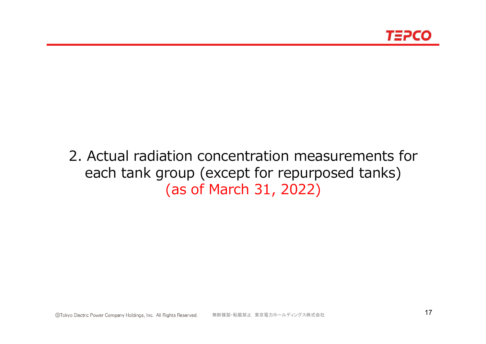# 2. Actual radiation concentration measurements for each tank group (except for repurposed tanks) (as of March 31, 2022)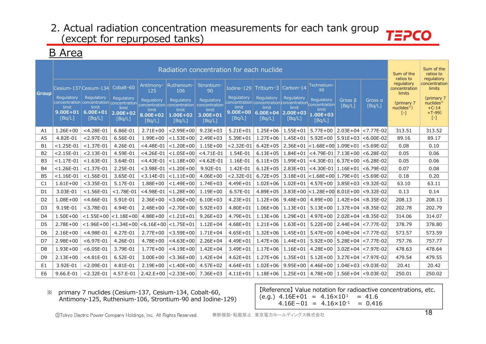### B Area

|                |                                               |                                                                                                                        |                                               |                                           |                                               | Radiation concentration for each nuclide                   |                                                                                                          |                                               |                                               |                                                 |                         |                          | Sum of the<br>ratios to               | Sum of the<br>ratios to<br>regulatory                       |
|----------------|-----------------------------------------------|------------------------------------------------------------------------------------------------------------------------|-----------------------------------------------|-------------------------------------------|-----------------------------------------------|------------------------------------------------------------|----------------------------------------------------------------------------------------------------------|-----------------------------------------------|-----------------------------------------------|-------------------------------------------------|-------------------------|--------------------------|---------------------------------------|-------------------------------------------------------------|
| <b>Group</b>   |                                               | Cesium-137 Cesium-134                                                                                                  | Cobalt-60                                     | Antimony-<br>125                          | Ruthenium-<br>106                             | Strontium-<br>90                                           | Iodine-129 Tritium-3                                                                                     |                                               | Carbon-14                                     | Technetium-<br>99                               |                         |                          | regulatory<br>concentration<br>limits | concentration<br>limits                                     |
|                | Regulatory<br>limit<br>$9.00E + 01$<br>[Bq/L] | Regulatory<br>concentration concentration concentration concentration concentration<br>limit<br>$6.00E + 01$<br>[Bq/L] | Regulatory<br>limit<br>$2.00E + 02$<br>[Bq/L] | Regulatory<br>limit<br>8.00E+02<br>[Bq/L] | Regulatory<br>limit<br>$1.00E + 02$<br>[Bq/L] | Regulatory<br>concentration<br>limit<br>3.00E+01<br>[Bq/L] | Regulatory<br>concentration concentration concentration concentration<br>limit<br>$9.00E + 00$<br>[Bq/L] | Regulatory<br>limit<br>$6.00E + 04$<br>[Bq/L] | Regulatory<br>limit<br>$ 2.00E+03 $<br>[Bq/L] | Regulatory<br>limit<br>$1.00E + 03$<br>[Bq/L]   | Gross $\beta$<br>[Bq/L] | Gross a<br>[Bq/L]        | (primary 7<br>$nuclees*$ )<br>$[ - ]$ | (primary 7<br>$nuclees*$<br>$+C-14$<br>$+T-99$<br>$[\cdot]$ |
| A1             | $1.26E + 00$                                  | $<$ 4.28E-01                                                                                                           | 6.86E-01                                      | $2.71E+00$                                | $< 2.99E + 00$                                | $9.23E + 03$                                               | $5.21E + 01$                                                                                             | $1.25E + 06$                                  | $1.55E + 01$                                  | $5.77E + 00$                                    |                         | $2.03E+04$ <7.77E-02     | 313.51                                | 313.52                                                      |
| A <sub>5</sub> | 4.82E-01                                      | $< 2.97E - 01$                                                                                                         | 6.56E-01                                      | $1.99E + 00$                              | $< 1.53E + 00$                                | $2.49E + 03$                                               | $5.39E + 01$                                                                                             | $1.27E + 06$                                  | $1.45E + 01$                                  | $5.92E + 00$                                    |                         | 5.91E+03 <6.00E-02       | 89.16                                 | 89.17                                                       |
| <b>B1</b>      | $< 1.25E - 01$                                | $< 1.37E - 01$                                                                                                         | 4.26E-01                                      | $<$ 4.48E-01                              | $< 1.20E + 00$                                | $1.15E + 00$                                               | $< 2.32E - 01$                                                                                           | $6.42E + 05$                                  |                                               | $2.36E+01$ < 1.68E+00 1.09E+01 < 5.69E-02       |                         |                          | 0.08                                  | 0.10                                                        |
| <b>B2</b>      | $< 2.15E - 01$                                | $< 2.13E - 01$                                                                                                         | 4.59E-01                                      | $<$ 4.26E-01                              | $< 1.05E + 00$                                | $<$ 4.71E-01                                               | 1.54E-01                                                                                                 | $6.13E + 05$                                  |                                               | $1.84E+01$ <4.79E-01 7.13E+00 <6.28E-02         |                         |                          | 0.05                                  | 0.06                                                        |
| B <sub>3</sub> | $< 1.17E - 01$                                | $< 1.63E - 01$                                                                                                         | 3.64E-01                                      | $<$ 4.43E-01                              | $< 1.18E + 00$                                | $<$ 4.62E-01                                               | 1.16E-01                                                                                                 | $6.11E + 05$                                  | $1.99E + 01$                                  | $<$ 4.30E-01 6.37E+00 $<$ 6.28E-02              |                         |                          | 0.05                                  | 0.06                                                        |
| <b>B4</b>      | $< 1.26E - 01$                                | $< 1.37E - 01$                                                                                                         | 2.25E-01                                      | $<$ 3.98E-01                              | $< 1.20E + 00$                                | 9.92E-01                                                   | 1.42E-01                                                                                                 | $6.12E + 05$                                  | $2.83E+01$                                    | <4.30E-01  1.16E+01  <6.79E-02                  |                         |                          | 0.07                                  | 0.08                                                        |
| <b>B5</b>      | $< 1.16E - 01$                                | $< 1.56E - 01$                                                                                                         | 3.65E-01                                      | $<$ 3.14E-01                              | $ $ < 1.11E+00                                | $4.06E + 00$                                               | $< 2.32E - 01$                                                                                           | $6.72E + 05$                                  |                                               | 3.18E+01 < 1.68E+00 1.79E+01 < 5.69E-02         |                         |                          | 0.18                                  | 0.20                                                        |
| C1             | $1.61E + 00$                                  | $<$ 3.35E-01                                                                                                           | 5.17E-01                                      | $1.88E + 00$                              | $< 1.49E + 00$                                | $1.74E + 03$                                               | 4.49E+01                                                                                                 | $1.02E + 06$                                  |                                               | $1.02E+01$   4.57E+00   3.85E+03   <9.32E-02    |                         |                          | 63.10                                 | 63.11                                                       |
| D <sub>1</sub> | 3.03E-01                                      | $< 1.56E - 01$                                                                                                         | $< 1.78E - 01$                                | $<$ 4.98E-01                              | $< 1.28E + 00$                                | $1.19E + 00$                                               | 6.57E-01                                                                                                 | $4.89E + 05$                                  |                                               | $3.83E+00$ < 1.28E + 00 8.01E + 00 < 9.32E - 02 |                         |                          | 0.13                                  | 0.14                                                        |
| D <sub>2</sub> | $1.08E + 00$                                  | $<$ 4.66E-01                                                                                                           | 5.91E-01                                      | $2.36E + 00$                              | $<$ 3.06E+00                                  | $6.10E + 03$                                               | $4.23E + 01$                                                                                             | $1.12E + 06$                                  |                                               | $9.48E+00$ 4.89E+00                             |                         | $1.42E+04$ $ < 8.35E-02$ | 208.13                                | 208.13                                                      |
| D <sub>3</sub> | 9.19E-01                                      | $<$ 3.78E-01                                                                                                           | 4.94E-01                                      | $2.48E + 00$                              | $< 2.70E + 00$                                | $5.92E + 03$                                               | 4.80E+01                                                                                                 | $1.06E + 06$                                  |                                               | $1.13E+01$   5.13E+00   1.37E+04   <8.35E-02    |                         |                          | 202.78                                | 202.79                                                      |
| D <sub>4</sub> | $1.50E + 00$                                  | $< 1.55E + 00$                                                                                                         | $ $ <1.18E+00 $ $                             | 4.88E+00                                  | $< 1.21E + 01$                                | $9.26E + 03$                                               | 4.79E+01                                                                                                 | $1.13E + 06$                                  | $1.29E + 01$                                  | $4.97E + 00$                                    |                         | $2.02E+04$ $ <8.35E-02$  | 314.06                                | 314.07                                                      |
| D <sub>5</sub> | $2.78E + 00$                                  | $< 1.96E + 00$                                                                                                         | $\vert$ <1.34E+00 $\vert$                     |                                           | $< 6.16E + 00$ $< 1.75E + 01$                 | $1.12E + 04$                                               | $4.68E + 01$                                                                                             | $1.21E + 06$                                  | $1.63E + 01$                                  | $5.22E + 00$                                    |                         | 2.44E+04 <7.77E-02       | 378.79                                | 378.80                                                      |
| D <sub>6</sub> | $2.16E + 00$                                  | $<$ 4.98E-01                                                                                                           | 4.27E-01                                      | $2.77E + 00$                              | $<$ 3.59E+00                                  | $1.71E + 04$                                               | $4.65E + 01$                                                                                             | $1.32E + 06$                                  | $1.45E + 01$                                  | $5.47E + 00$                                    |                         | 4.04E+04 <7.77E-02       | 573.57                                | 573.59                                                      |
| D7             | $2.98E + 00$                                  | $< 6.97E - 01$                                                                                                         | 4.26E-01                                      | $4.78E + 00$                              | $<$ 4.63E+00                                  | $2.26E + 04$                                               | 4.49E+01                                                                                                 | $1.47E + 06$                                  | $1.44E + 01$                                  | $5.92E + 00$                                    |                         | 5.28E+04 <7.77E-02       | 757.76                                | 757.77                                                      |
| D <sub>8</sub> | $1.93E + 00$                                  | $< 6.05E - 01$                                                                                                         | 3.79E-01                                      | $1.77E + 00$                              | $<$ 4.19E+00                                  | $1.42E + 04$                                               | 3.49E+01                                                                                                 | $1.17E + 06$                                  | $1.16E + 01$                                  | $4.28E + 00$                                    |                         | $3.02E+04$ < 7.97E-02    | 478.63                                | 478.64                                                      |
| D <sub>9</sub> | $2.13E + 00$                                  | $<$ 4.81E-01                                                                                                           | 6.52E-01                                      | $3.00E + 00$                              | $<$ 3.36E+00                                  | $1.42E + 04$                                               | $4.62E + 01$                                                                                             | $1.27E + 06$                                  | $1.35E + 01$                                  | $5.12E + 00$                                    |                         | 3.27E+04 <7.97E-02       | 479.54                                | 479.55                                                      |
| E1             | 3.92E-01                                      | $< 2.09E - 01$                                                                                                         | 4.81E-01                                      | $2.19E + 00$                              | $< 1.40E + 00$                                | $4.57E + 02$                                               | $4.64E + 01$                                                                                             | $1.02E + 06$                                  | $9.95E + 00$                                  | 4.46E+00                                        |                         | 1.04E+03 <9.03E-02       | 20.41                                 | 20.42                                                       |
| E <sub>6</sub> | $9.66.E-01$                                   | $< 2.32E - 01$                                                                                                         | 4.57.E-01                                     | $2.42.E+00$                               | $< 2.33E + 00$                                | 7.36E+03                                                   | $4.11E + 01$                                                                                             | $1.18E + 06$                                  | $1.25E + 01$                                  | 4.78E+00   1.56E+04  <9.03E-02                  |                         |                          | 250.01                                | 250.02                                                      |

※ primary 7 nuclides (Cesium-137, Cesium-134, Cobalt-60, Antimony-125, Ruthenium-106, Strontium-90 and Iodine-129)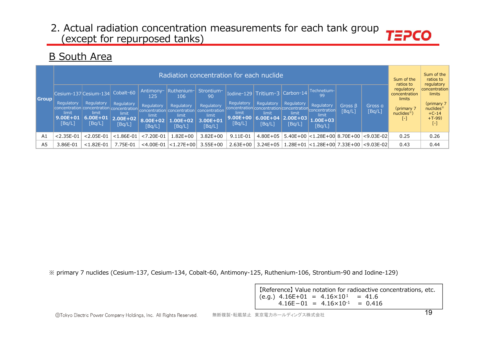### B South Area

|                |                                                                                            |                                               |                                           |                                           |                                                                                 | Radiation concentration for each nuclide                   |                                             |                                                                                                   |                               |                                                                    |                         |                   | Sum of the<br>ratios to               | Sum of the<br>ratios to<br>regulatory                              |
|----------------|--------------------------------------------------------------------------------------------|-----------------------------------------------|-------------------------------------------|-------------------------------------------|---------------------------------------------------------------------------------|------------------------------------------------------------|---------------------------------------------|---------------------------------------------------------------------------------------------------|-------------------------------|--------------------------------------------------------------------|-------------------------|-------------------|---------------------------------------|--------------------------------------------------------------------|
|                |                                                                                            | Cesium-137 Cesium-134 Cobalt-60               |                                           | Antimony-<br>125.                         | Ruthenium-  Strontium-<br>106                                                   | 90                                                         |                                             | Iodine-129 Tritium-3 Carbon-14                                                                    |                               | Technetium-<br>99                                                  |                         |                   | regulatory<br>concentration<br>limits | concentration<br>limits                                            |
| Group          | Regulatory<br>concentration concentration concentration<br>limit<br>$9.00E + 01$<br>[Bq/L] | Regulatory<br>limit<br>$6.00E + 01$<br>[Bq/L] | Regulatory<br>limit<br>2.00E+02<br>[Bq/L] | Regulatory<br>limit<br>8.00E+02<br>[Bq/L] | Regulatory<br>concentration concentration<br>limit<br><b>L.00E+02</b><br>[Bq/L] | Regulatory<br>concentration<br>limit<br>3.00E+01<br>[Bq/L] | Regulatory<br>limit<br>$9.00E+00$<br>[Bq/L] | Regulatory<br>concentration concentration concentration<br>limit<br>$6.00E+04$ 2.00E+03<br>[Bq/L] | Regulatory<br>limit<br>[Bq/L] | <b>Requlatory</b><br>'concentration<br>limit<br>1.00E+03<br>[Bq/L] | $Gross \beta$<br>[Bq/L] | Gross a<br>[Bq/L] | (primary 7<br>$nuclees*$ )<br>۰       | (primary $7$<br>nuclides <sup>*</sup><br>$+C-14$<br>$+T-99$<br>[-] |
| A1             | $< 2.35E - 01$                                                                             | $< 2.05E - 01$                                | $< 1.86E - 01$                            | $< 7.20E - 01$                            | $1.82E + 00$                                                                    | $3.82E + 00$                                               | 9.11E-01                                    | $4.80E + 05$                                                                                      |                               | 5.40E+00 < 1.28E+00 8.70E+00                                       |                         | $<$ 9.03E-02      | 0.25                                  | 0.26                                                               |
| A <sub>5</sub> | 3.86E-01                                                                                   | $< 1.82E - 01$                                | 7.75E-01                                  | $<$ 4.00E-01                              | $< 1.27E + 00$                                                                  | $3.55E + 00$                                               | $2.63E + 00$                                | $3.24E + 05$                                                                                      | 1.28E+01                      | $ $ <1.28E+00 7.33E+00                                             |                         | $ <$ 9.03E-02     | 0.43                                  | 0.44                                                               |

※ primary 7 nuclides (Cesium-137, Cesium-134, Cobalt-60, Antimony-125, Ruthenium-106, Strontium-90 and Iodine-129)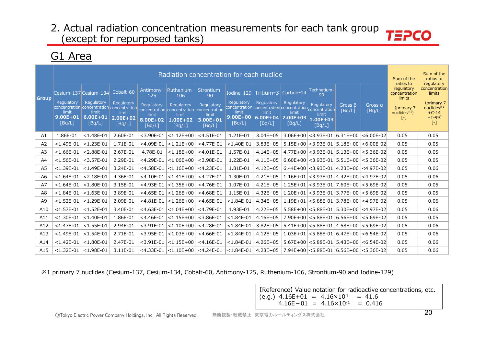# G1 Area

|                | Radiation concentration for each nuclide |                        |                                                                  |                     |                                                    |                                          |                        |                                                                  |                        |                                             |                                |                   |                                                    | Sum of the<br>ratios to<br>regulatory  |
|----------------|------------------------------------------|------------------------|------------------------------------------------------------------|---------------------|----------------------------------------------------|------------------------------------------|------------------------|------------------------------------------------------------------|------------------------|---------------------------------------------|--------------------------------|-------------------|----------------------------------------------------|----------------------------------------|
| <b>Group</b>   |                                          | Cesium-137 Cesium-134  | Cobalt-60                                                        | Antimony-<br>125    | Ruthenium-<br>106                                  | Strontium-<br>90                         |                        | Iodine-129 Tritium-3                                             | Carbon-14              | Technetium-<br>99                           |                                |                   | ratios to<br>regulatory<br>concentration<br>limits | concentration<br>limits                |
|                | Regulatory<br>limit                      | Regulatory<br>limit    | Regulatory<br>concentration concentration concentration<br>limit | Regulatory<br>limit | Regulatory<br>concentration concentration<br>limit | Regulatory<br>concentration<br>limit     | Regulatory<br>limit    | Regulatory<br>concentration concentration concentration<br>limit | Regulatory<br>limit    | Regulatory<br>concentration<br>limit        | Gross $\beta$<br>[Bq/L]        | Gross a<br>[Bq/L] | (primary 7<br>nuclees <sup>1</sup>                 | (primary 7<br>nuclides $*1$<br>$+C-14$ |
|                | $9.00E + 01$<br>[Bq/L]                   | $6.00E + 01$<br>[Bq/L] | $2.00E + 02$<br>[Bq/L]                                           | 8.00E+02<br>[Bq/L]  | $1.00E + 02$<br>[Bq/L]                             | 3.00E+01<br>[Bq/L]                       | $9.00E + 00$<br>[Bq/L] | $6.00E + 04$<br>[Bq/L]                                           | $2.00E + 03$<br>[Bq/L] | 1.00E+03<br>[Bq/L]                          |                                |                   | $[\cdot]$                                          | $+T-99$<br>$[ - ]$                     |
| A1             | 1.86E-01                                 | $< 1.48E - 01$         | 2.60E-01                                                         | $<$ 3.90E-01        | $< 1.12E + 00$                                     | $<$ 4.51E-01                             | 1.21E-01               | $3.04E + 05$                                                     |                        | $3.06E+00$ < 3.93E-01 6.31E+00              |                                | $ <$ 6.00E-02     | 0.05                                               | 0.05                                   |
| A <sub>2</sub> | $< 1.49E - 01$                           | $< 1.23E - 01$         | 1.71E-01                                                         | $<$ 4.09E-01        | $< 1.21E + 00$                                     | $<$ 4.77E-01                             | $<$ 1.40E-01           | $3.83E + 05$                                                     |                        | $5.15E+00$ < 3.93E-01 5.18E+00 < 6.00E-02   |                                |                   | 0.05                                               | 0.05                                   |
| A <sub>3</sub> | $< 1.66E - 01$                           | $< 2.88E - 01$         | 2.67E-01                                                         | 4.78E-01            | $< 1.18E + 00$                                     | $<$ 4.01E-01                             | 1.57E-01               | $4.14E + 05$                                                     |                        | $4.77E+00$ < 3.93E-01 5.13E+00 < 5.36E-02   |                                |                   | 0.05                                               | 0.05                                   |
| A4             | $< 1.56E - 01$                           | $<$ 3.57E-01           | 2.29E-01                                                         | $<$ 4.29E-01        | $< 1.06E + 00$                                     | $<$ 3.98E-01                             | 1.22E-01               | $4.11E + 05$                                                     |                        | $6.60E+00$ < 3.93E-01 5.51E+00 < 5.36E-02   |                                |                   | 0.05                                               | 0.05                                   |
| A5             | $< 1.39E - 01$                           | $< 1.49E - 01$         | 3.24E-01                                                         | $<$ 4.58E-01        | $< 1.16E + 00$                                     | $<$ 4.23E-01                             | 1.81E-01               | $4.12E + 05$                                                     |                        | $6.44E+00$ < 3.93E-01 4.23E+00 < 4.97E-02   |                                |                   | 0.05                                               | 0.06                                   |
| A6             | $< 1.64E - 01$                           | $< 2.18E - 01$         | 4.36E-01                                                         | $<$ 4.10E-01        | $< 1.41E + 00$                                     | $<$ 4.27E-01                             | 1.30E-01               | $4.21E + 05$                                                     |                        | $1.16E+01$ < 3.93E-01 4.42E+00 < 4.97E-02   |                                |                   | 0.05                                               | 0.06                                   |
| A7             | $< 1.64E - 01$                           | $< 1.80E - 01$         | 3.15E-01                                                         | $<$ 4.93E-01        | $< 1.35E + 00$                                     | $<$ 4.76E-01                             | 1.07E-01               | $4.21E + 05$                                                     |                        | $1.25E+01$ < 3.93E-01 7.60E+00 < 5.69E-02   |                                |                   | 0.05                                               | 0.05                                   |
| A8             | $< 1.84E - 01$                           | $< 1.63E - 01$         | 3.89E-01                                                         | $<$ 4.65E-01        | $ $ < 1.26E + 00                                   | $<$ 4.68E-01                             | 1.15E-01               | $4.32E + 05$                                                     | $1.20E + 01$           |                                             | <3.93E-01  3.77E+00  <5.69E-02 |                   | 0.05                                               | 0.05                                   |
| A <sub>9</sub> | $< 1.52E - 01$                           | $< 1.29E - 01$         | 2.09E-01                                                         | $<$ 4.81E-01        | $ $ < 1.26E + 00                                   | $<$ 4.65E-01                             | $< 1.84E - 01$         | $4.34E + 05$                                                     |                        | $1.19E+01$ < 5.88E-01 3.78E+00 < 4.97E-02   |                                |                   | 0.05                                               | 0.06                                   |
| A10            | $< 1.57E - 01$                           | $< 1.52E - 01$         | 3.40E-01                                                         | $<$ 4.63E-01        | $ $ < 1.04E + 00                                   | $<$ 4.79E-01                             | 1.93E-01               | $4.22E + 05$                                                     |                        | $5.58E+00$ < 5.88E-01   5.30E+00 < 4.97E-02 |                                |                   | 0.05                                               | 0.06                                   |
| A11            | $< 1.30E - 01$                           | $< 1.40E - 01$         | 1.86E-01                                                         | $<$ 4.46E-01        | $< 1.15E + 00$                                     | $<$ 3.86E-01                             | $< 1.84E - 01$         | $4.16E + 05$                                                     |                        | 7.90E+00 <5.88E-01 6.56E+00 <5.69E-02       |                                |                   | 0.05                                               | 0.05                                   |
| A12            | $< 1.47E - 01$                           | $< 1.55E - 01$         | 2.94E-01                                                         | $<$ 3.91E-01        | $< 1.10E + 00$                                     | $<$ 4.28E-01                             | $< 1.84E - 01$         | $3.82E + 05$                                                     |                        | $5.41E+00$ < 5.88E-01 4.58E+00 < 5.69E-02   |                                |                   | 0.05                                               | 0.06                                   |
| A13            | $< 1.49E - 01$                           | $< 1.54E - 01$         | 2.71E-01                                                         | $<$ 3.95E-01        | $ $ < 1.03E + 00 $ $                               | $<$ 4.66E-01                             | $< 1.84E - 01$         | $4.12E + 05$                                                     |                        | $1.03E+01$ < 5.88E-01 6.47E+00 < 6.54E-02   |                                |                   | 0.05                                               | 0.06                                   |
| A14            | $< 1.42E - 01$                           | $< 1.80E - 01$         | 2.47E-01                                                         | $<$ 3.91E-01        | $< 1.15E + 00$                                     | $<$ 4.16E-01                             | $< 1.84E - 01$         | $4.26E + 05$                                                     |                        | $5.67E+00$ < 5.88E-01 5.43E+00 < 6.54E-02   |                                |                   | 0.05                                               | 0.06                                   |
| A15            | $< 1.32E - 01$                           | $< 1.98E - 01$         | 3.11E-01                                                         |                     |                                                    | $<$ 4.33E-01 $ $ <1.10E+00 $ $ <4.24E-01 | $< 1.84E - 01$         | $4.28E + 05$                                                     |                        |                                             |                                |                   | 0.05                                               | 0.06                                   |

※1 primary 7 nuclides (Cesium-137, Cesium-134, Cobalt-60, Antimony-125, Ruthenium-106, Strontium-90 and Iodine-129)

【Reference】 Value notation for radioactive concentrations, etc. (e.g.)  $4.16E+01 = 4.16 \times 10^{1} = 41.6$  $4.16E-01 = 4.16 \times 10^{-1} = 0.416$ 

ールのサービスを、コードのデータのデータを、<br>無断複製・転載禁止 東京電力ホールディングス株式会社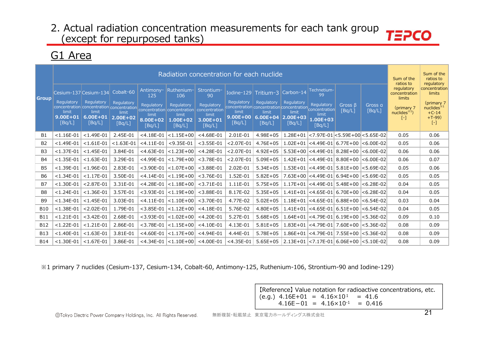# G1 Area

|                |                        |                                                                  |                        |                             |                                           | Radiation concentration for each nuclide |                        |                                                                  |                        |                                           |                                           |                   | Sum of the<br>ratios to               | Sum of the<br>ratios to<br>regulatory          |
|----------------|------------------------|------------------------------------------------------------------|------------------------|-----------------------------|-------------------------------------------|------------------------------------------|------------------------|------------------------------------------------------------------|------------------------|-------------------------------------------|-------------------------------------------|-------------------|---------------------------------------|------------------------------------------------|
| l Group        |                        | Cesium-137 Cesium-134                                            | Cobalt-60              | Antimony-<br>125            | Ruthenium-<br>106                         | Strontium-<br>90                         |                        | Iodine-129 $\text{Tritium-3}$                                    | Carbon-14              | Technetium-<br>99                         |                                           |                   | regulatory<br>concentration<br>limits | concentration<br>limits                        |
|                | Regulatory<br>limit    | Regulatory<br>concentration concentration concentration<br>limit | Regulatory<br>limit    | Regulatory                  | Regulatory<br>concentration concentration | Regulatory<br>concentration              | Regulatory<br>limit    | Regulatory<br>concentration concentration concentration<br>limit | Regulatory<br>limit    | Regulatory<br>concentration               | Gross $\beta$<br>[Bq/L]                   | Gross a<br>[Bq/L] | (primary 7<br>nuclees <sup>3</sup> 1  | (primary 7<br>nuclees <sup>34</sup><br>$+C-14$ |
|                | $9.00E + 01$<br>[Bq/L] | $6.00E + 01$<br>[Bq/L]                                           | $2.00E + 02$<br>[Bq/L] | limit<br>8.00E+02<br>[Bq/L] | limit<br>1.00E+02<br>[Bq/L]               | limit<br>3.00E+01<br>[Bq/L]              | $9.00E + 00$<br>[Bq/L] | $6.00E + 04$<br>[Bq/L]                                           | $2.00E + 03$<br>[Bq/L] | limit<br>$1.00E + 03$<br>[Bq/L]           |                                           |                   | $[-]$                                 | $+T-99$<br>$\left[ -\right]$                   |
| <b>B1</b>      | $< 1.16E - 01$         | $< 1.49E - 01$                                                   | 2.45E-01               | $<$ 4.18E-01                | $< 1.15E + 00$                            | $<$ 4.68E-01                             | 2.01E-01               | $4.98E + 05$                                                     | 1.28E+01               |                                           | $ $ <7.97E-01 $ $ <5.59E+00 $ $ <5.65E-02 |                   | 0.05                                  | 0.06                                           |
| <b>B2</b>      | $< 1.49E - 01$         | $< 1.61E - 01$                                                   | $< 1.63E - 01$         | $<$ 4.11E-01                | $< 9.35E - 01$                            | $<$ 3.55E-01                             | $< 2.07E - 01$         | $4.76E + 05$                                                     |                        | $1.02E+01$ <4.49E-01 6.77E+00 <6.00E-02   |                                           |                   | 0.05                                  | 0.06                                           |
| B <sub>3</sub> | $< 1.37E - 01$         | $< 1.45E - 01$                                                   | 3.84E-01               | $<$ 4.63E-01                | $< 1.23E + 00$                            | $<$ 4.28E-01                             | $< 2.07E - 01$         | $4.92E + 05$                                                     |                        | $5.53E+00$ <4.49E-01 8.28E+00 <6.00E-02   |                                           |                   | 0.06                                  | 0.06                                           |
| <b>B4</b>      | $< 1.35E - 01$         | $< 1.63E - 01$                                                   | 3.29E-01               | $<$ 4.99E-01                | $ $ < 1.79E + 00                          | $<$ 3.78E-01                             | $< 2.07E - 01$         | $5.09E + 05$                                                     |                        | $1.42E+01$ <4.49E-01 8.80E+00 <6.00E-02   |                                           |                   | 0.06                                  | 0.07                                           |
| <b>B5</b>      | $< 1.39E - 01$         | $< 1.96E - 01$                                                   | 2.83E-01               | $<$ 3.90E-01                | $ $ < 1.07E + 00                          | $<$ 3.88E-01                             | 2.02E-01               | $5.34E + 05$                                                     |                        | $1.53E+01$ <4.49E-01 5.81E+00 <5.69E-02   |                                           |                   | 0.05                                  | 0.06                                           |
| <b>B6</b>      | $<$ 1.34E-01           | $< 1.17E - 01$                                                   | 3.50E-01               | $<$ 4.14E-01                | $< 1.19E + 00$                            | $<$ 3.76E-01                             | 1.52E-01               | $5.82E + 05$                                                     |                        | $7.63E+00$ <4.49E-01 6.94E+00 <5.69E-02   |                                           |                   | 0.05                                  | 0.05                                           |
| <b>B7</b>      | $< 1.30E - 01$         | $< 2.87E - 01$                                                   | 3.31E-01               | $<$ 4.28E-01                | $ $ < 1.18E + 00                          | $<$ 3.71E-01                             | 1.11E-01               | $5.75E + 05$                                                     |                        | $1.17E+01$ <4.49E-01 5.48E+00 <6.28E-02   |                                           |                   | 0.04                                  | 0.05                                           |
| B <sub>8</sub> | $< 1.24E - 01$         | $< 1.36E - 01$                                                   | 3.57E-01               | $<$ 3.93E-01                | $ $ < 1.19E + 00                          | $<$ 3.88E-01                             | 8.17E-02               | $5.35E + 05$                                                     |                        | $1.41E+01$ <4.65E-01 6.70E+00 <6.28E-02   |                                           |                   | 0.04                                  | 0.05                                           |
| <b>B9</b>      | $< 1.34E - 01$         | $< 1.45E - 01$                                                   | 3.03E-01               | $<$ 4.11E-01                | $< 1.10E + 00$                            | $<$ 3.70E-01                             | 4.77E-02               | $5.02E + 05$                                                     | $1.18E + 01$           |                                           | <4.65E-01  6.88E+00  <6.54E-02            |                   | 0.03                                  | 0.04                                           |
| <b>B10</b>     | $< 1.38E - 01$         | $< 2.02E - 01$                                                   | 1.79E-01               | $<$ 3.85E-01                | $ $ < 1.12E + 00                          | $<$ 4.18E-01                             | 5.76E-02               | $4.80E + 05$                                                     |                        | $1.41E+01$ <4.65E-01 6.51E+00 <6.54E-02   |                                           |                   | 0.04                                  | 0.05                                           |
| <b>B11</b>     | $< 1.21E - 01$         | $<$ 3.42E-01                                                     | 2.68E-01               | $<$ 3.93E-01                | $< 1.02E + 00$                            | $<$ 4.20E-01                             | 5.27E-01               | $5.68E + 05$                                                     |                        | $1.64E+01$ < 4.79E-01 6.19E+00 < 5.36E-02 |                                           |                   | 0.09                                  | 0.10                                           |
| <b>B12</b>     | $< 1.22E - 01$         | $< 1.21E - 01$                                                   | 2.86E-01               | $<$ 3.78E-01                | $< 1.15E + 00$                            | $<$ 4.10E-01                             | 4.13E-01               | $5.81E + 05$                                                     | $1.83E + 01$           |                                           | <4.79E-01  7.60E+00  <5.36E-02            |                   | 0.08                                  | 0.09                                           |
| <b>B13</b>     | $< 1.40E - 01$         | $< 1.63E - 01$                                                   | 3.81E-01               | $<$ 4.60E-01                | $< 1.17E + 00$                            | $<$ 4.94E-01                             | 4.44E-01               | $5.78E + 05$                                                     | $1.86E + 01$           |                                           | <4.79E-01  7.55E+00  <5.36E-02            |                   | 0.08                                  | 0.09                                           |
| <b>B14</b>     | $<$ 1.30E-01           | $< 1.67E - 01$                                                   | 3.86E-01               |                             | $<$ 4.34E-01 $ $ <1.10E+00 $ $ <4.00E-01  |                                          | $<$ 4.35E-01           | $5.65E + 05$                                                     |                        | 2.13E+01 <7.17E-01 6.06E+00 <5.10E-02     |                                           |                   | 0.08                                  | 0.09                                           |

※1 primary 7 nuclides (Cesium-137, Cesium-134, Cobalt-60, Antimony-125, Ruthenium-106, Strontium-90 and Iodine-129)

【Reference】 Value notation for radioactive concentrations, etc. (e.g.)  $4.16E+01 = 4.16 \times 10^{1} = 41.6$  $4.16E-01 = 4.16 \times 10^{-1} = 0.416$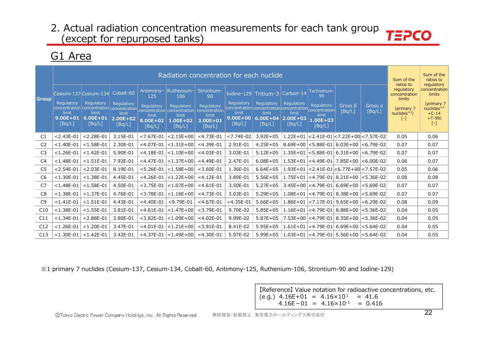# G1 Area

| <b>Group</b>   | Regulatory<br>limit<br>$9.00E + 01$<br>[Bq/L] | Cesium-137 Cesium-134<br>Regulatory<br>concentration concentration concentration<br>limit<br>$6.00E + 01$<br>[Bq/L] | Cobalt-60<br>Regulatory<br>limit<br>$2.00E + 02$<br>[Bq/L] | Antimony-<br>125<br>Regulatory<br>limit<br>8.00E+02<br>[Bq/L] | Radiation concentration for each nuclide<br>Ruthenium-<br>106<br>Regulatory<br>concentration concentration<br>limit<br>1.00E+02<br>[Bq/L] | Strontium-<br>90<br>Regulatory<br>concentration<br>limit<br>$3.00E + 01$<br>[Bq/L] | Regulatory<br>concentration concentration concentration concentration<br>limit<br>9.00E+00<br>[Bq/L] | Iodine-129 Tritium-3<br>Regulatory<br>limit<br>$6.00E + 04$<br>[Bq/L] | Carbon-14<br>Regulatory<br>limit<br>$2.00E + 03$<br>[Bq/L] | Technetium-<br>99<br><b>Requlatory</b><br>limit<br>$1.00E + 03$<br>[Bq/L] | Gross $\beta$<br>[Bq/L]                       | Gross a<br>[Bq/L] | Sum of the<br>ratios to<br>regulatory<br>concentration<br>limits<br>(primary 7<br>nuclees <sup>1</sup><br>$[ - ]$ | Sum of the<br>ratios to<br>regulatory<br>concentration<br>limits<br>(primary 7)<br>nuclides $*1$<br>$+C-14$<br>$+T-99$<br>$\left[ -\right]$ |
|----------------|-----------------------------------------------|---------------------------------------------------------------------------------------------------------------------|------------------------------------------------------------|---------------------------------------------------------------|-------------------------------------------------------------------------------------------------------------------------------------------|------------------------------------------------------------------------------------|------------------------------------------------------------------------------------------------------|-----------------------------------------------------------------------|------------------------------------------------------------|---------------------------------------------------------------------------|-----------------------------------------------|-------------------|-------------------------------------------------------------------------------------------------------------------|---------------------------------------------------------------------------------------------------------------------------------------------|
| C1             | $< 2.43E - 01$                                | $< 2.28E - 01$                                                                                                      | 3.15E-01                                                   | $< 7.67E - 01$                                                | $< 2.15E + 00$                                                                                                                            | $<$ 4.73E-01                                                                       | $< 7.74E - 02$                                                                                       | $3.92E + 05$                                                          | $1.22E + 01$                                               |                                                                           | $ $ <2.41E-01 $ $ <7.22E+00 $ $ <7.57E-02     |                   | 0.05                                                                                                              | 0.06                                                                                                                                        |
| C <sub>2</sub> | $< 1.40E - 01$                                | $< 1.58E - 01$                                                                                                      | 2.30E-01                                                   | $<$ 4.07E-01                                                  | $< 1.31E + 00$                                                                                                                            | $<$ 4.39E-01                                                                       | 2.91E-01                                                                                             | $4.25E + 05$                                                          |                                                            |                                                                           | $8.69E+00$ < 5.88E-01 6.03E+00 < 6.79E-02     |                   | 0.07                                                                                                              | 0.07                                                                                                                                        |
| C <sub>3</sub> | $< 1.26E - 01$                                | $< 1.42E - 01$                                                                                                      | 5.90E-01                                                   | $<$ 4.18E-01                                                  | $< 1.10E + 00$                                                                                                                            | $<$ 4.03E-01                                                                       | 3.03E-01                                                                                             | $5.12E + 05$                                                          |                                                            |                                                                           | $1.35E+01$ < 5.88E-01 6.31E+00 < 6.79E-02     |                   | 0.07                                                                                                              | 0.07                                                                                                                                        |
| C4             | $< 1.48E - 01$                                | $< 1.51E - 01$                                                                                                      | 7.92E-01                                                   | $<$ 4.47E-01                                                  | $< 1.37E + 00$                                                                                                                            | $<$ 4.49E-01                                                                       | 2.47E-01                                                                                             | $6.08E + 05$                                                          |                                                            |                                                                           | $1.53E+01$ <4.49E-01 7.85E+00 <6.00E-02       |                   | 0.06                                                                                                              | 0.07                                                                                                                                        |
| C5             | $< 2.54E - 01$                                | $< 2.03E - 01$                                                                                                      | 8.19E-01                                                   | $< 5.26E - 01$                                                | $< 1.58E + 00$                                                                                                                            | $<$ 3.60E-01                                                                       | 1.36E-01                                                                                             | $6.64E + 05$                                                          |                                                            |                                                                           | $1.93E+01$ < 2.41E-01 < 6.77E + 00 < 7.57E-02 |                   | 0.05                                                                                                              | 0.06                                                                                                                                        |
| C <sub>6</sub> | $< 1.30E - 01$                                | $< 1.38E - 01$                                                                                                      | 4.45E-01                                                   | $<$ 4.26E-01                                                  | $< 1.22E + 00$                                                                                                                            | $<$ 4.12E-01                                                                       | 3.89E-01                                                                                             | $5.56E + 05$                                                          |                                                            |                                                                           | $1.75E+01$ <4.79E-01 8.21E+00 <5.36E-02       |                   | 0.08                                                                                                              | 0.08                                                                                                                                        |
| C7             | $< 1.48E - 01$                                | $< 1.58E - 01$                                                                                                      | 4.50E-01                                                   | $<$ 3.75E-01                                                  | $< 1.07E + 00$                                                                                                                            | $<$ 4.61E-01                                                                       | 3.50E-01                                                                                             | $5.27E + 05$                                                          |                                                            |                                                                           | $3.45E+00$ <4.79E-01 6.69E+00 <5.69E-02       |                   | 0.07                                                                                                              | 0.07                                                                                                                                        |
| C8             | $< 1.38E - 01$                                | $< 1.37E - 01$                                                                                                      | 4.76E-01                                                   | $<$ 3.78E-01                                                  | $< 1.16E + 00$                                                                                                                            | $<$ 4.73E-01                                                                       | 3.03E-01                                                                                             | $5.29E + 05$                                                          |                                                            |                                                                           | $1.08E+01$ < 4.79E-01 8.38E+00 < 5.69E-02     |                   | 0.07                                                                                                              | 0.07                                                                                                                                        |
| C <sub>9</sub> | $< 1.41E - 01$                                | $< 1.51E - 01$                                                                                                      | 4.43E-01                                                   | $<$ 4.40E-01                                                  | $<$ 9.79E-01                                                                                                                              | $<$ 4.67E-01                                                                       | $<$ 4.35E-01                                                                                         | $5.66E + 05$                                                          |                                                            |                                                                           | $1.86E+01$ < 7.17E-01 9.65E+00 < 6.29E-02     |                   | 0.08                                                                                                              | 0.09                                                                                                                                        |
| C10            | $< 1.38E - 01$                                | $< 1.55E - 01$                                                                                                      | 3.81E-01                                                   | $<$ 4.61E-01                                                  | $< 1.47E + 00$                                                                                                                            | $<$ 3.79E-01                                                                       | 9.70E-02                                                                                             | $5.85E + 05$                                                          |                                                            |                                                                           | $1.16E+01$ < 4.79E-01 8.88E+00 < 5.36E-02     |                   | 0.04                                                                                                              | 0.05                                                                                                                                        |
| C11            | $< 1.34E - 01$                                | $< 2.88E - 01$                                                                                                      | 3.80E-01                                                   | $<$ 3.82E-01                                                  | $< 1.09E + 00$                                                                                                                            | $<$ 4.02E-01                                                                       | 9.99E-02                                                                                             | $5.87E + 05$                                                          |                                                            |                                                                           | 7.53E+00 <4.79E-01 8.35E+00 <5.36E-02         |                   | 0.04                                                                                                              | 0.05                                                                                                                                        |
| C12            | $< 1.26E - 01$                                | $< 1.20E - 01$                                                                                                      | 3.47E-01                                                   | $<$ 4.01E-01                                                  | $< 1.21E + 00$                                                                                                                            | $<$ 3.91E-01                                                                       | 8.41E-02                                                                                             | $5.95E + 05$                                                          |                                                            |                                                                           | $1.61E+01$ <4.79E-01 6.69E+00 <5.64E-02       |                   | 0.04                                                                                                              | 0.05                                                                                                                                        |
| C13            | $< 1.30E - 01$                                | $< 1.42E - 01$                                                                                                      | 3.42E-01                                                   |                                                               | $<$ 4.37E-01 $ $ <1.49E+00 $ $ <4.30E-01                                                                                                  |                                                                                    | 5.97E-02                                                                                             | $5.99E + 05$                                                          |                                                            |                                                                           | $1.03E+01$ <4.79E-01 5.56E+00 <5.64E-02       |                   | 0.04                                                                                                              | 0.05                                                                                                                                        |

%1 primary 7 nuclides (Cesium-137, Cesium-134, Cobalt-60, Antimony-125, Ruthenium-106, Strontium-90 and Iodine-129)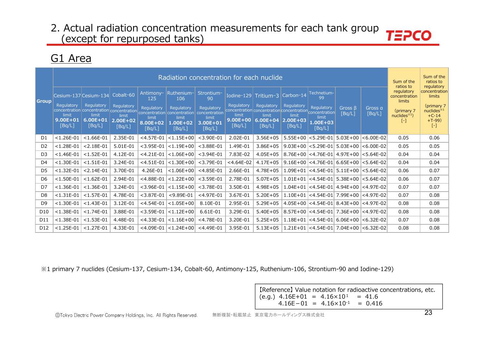### G1 Area

|                 |                                 |                                                         |                                 |                             |                                                            | Radiation concentration for each nuclide     |                                                                       |                                 |                                 |                                           |            |                       | Sum of the<br>ratios to               | Sum of the<br>ratios to<br>regulatory |
|-----------------|---------------------------------|---------------------------------------------------------|---------------------------------|-----------------------------|------------------------------------------------------------|----------------------------------------------|-----------------------------------------------------------------------|---------------------------------|---------------------------------|-------------------------------------------|------------|-----------------------|---------------------------------------|---------------------------------------|
| <b>Group</b>    |                                 | Cesium-137 Cesium-134                                   | Cobalt-60                       | Antimony-<br>125            | Ruthenium-<br>106                                          | Strontium-<br>90                             |                                                                       | Iodine-129 $\text{Tritium-3}$   | Carbon-14                       | Technetium-<br>99                         |            |                       | regulatory<br>concentration<br>limits | concentration<br>limits               |
|                 | Regulatory                      | Regulatory<br>concentration concentration concentration | <b>Regulatory</b>               | Regulatory                  | <b>Regulatory</b>                                          | Regulatory                                   | Regulatory<br>concentration concentration concentration concentration | Regulatory                      | Regulatory                      | Regulatory                                | Gross B    | Gross a               | (primary 7                            | (primary 7)<br>nuclees <sup>34</sup>  |
|                 | limit<br>$9.00E + 01$<br>[Bq/L] | limit<br>$6.00E + 01$<br>[Bq/L]                         | limit<br>$2.00E + 02$<br>[Bq/L] | limit<br>8.00E+02<br>[Bq/L] | concentration concentration<br>limit<br>1.00E+02<br>[Bq/L] | concentration<br>limit<br>3.00E+01<br>[Bq/L] | limit<br>9.00E+00<br>[Bq/L]                                           | limit<br>$6.00E + 04$<br>[Bq/L] | limit<br>$2.00E + 03$<br>[Bq/L] | limit<br>1.00E+03<br>[Bq/L]               | [Bq/L]     | [Bq/L]                | nuclides $*1$<br>۸                    | $+C-14$<br>$+T-99$<br>$[\cdot]$       |
| D <sub>1</sub>  | $< 1.26E - 01$                  | $< 1.66E - 01$                                          | 2.35E-01                        | $<$ 4.57E-01                | $< 1.15E + 00$                                             | $<$ 3.90E-01                                 | 2.02E-01                                                              | $3.56E + 05$                    |                                 | $5.55E+00$ < 5.29E-01                     | $5.03E+00$ | $ <$ 6.00E-02         | 0.05                                  | 0.06                                  |
| D <sub>2</sub>  | $< 1.28E - 01$                  | $< 2.18E - 01$                                          | 5.01E-01                        | $<$ 3.95E-01                | $< 1.19E + 00$                                             | $<$ 3.88E-01                                 | 1.49E-01                                                              | $3.86E + 05$                    |                                 | $9.03E+00$ < 5.29E-01 5.03E+00 < 6.00E-02 |            |                       | 0.05                                  | 0.05                                  |
| D <sub>3</sub>  | $< 1.46E - 01$                  | $< 1.52E - 01$                                          | 4.12E-01                        | $<$ 4.21E-01                | $< 1.06E + 00$                                             | $<$ 3.94E-01                                 | 7.83E-02                                                              | $4.05E + 05$                    |                                 | 8.76E+00 <4.76E-01 4.97E+00 <5.64E-02     |            |                       | 0.04                                  | 0.04                                  |
| D4              | $< 1.30E - 01$                  | $<$ 1.51E-01                                            | 3.24E-01                        | $<$ 4.51E-01                | $< 1.30E + 00$                                             | $<$ 3.79E-01                                 | $<$ 4.64E-02                                                          | $4.17E + 05$                    |                                 | $9.16E+00$ <4.76E-01 6.65E+00 <5.64E-02   |            |                       | 0.04                                  | 0.04                                  |
| D5              | $< 1.32E - 01$                  | $< 2.14E - 01$                                          | 3.70E-01                        | 4.26E-01                    | $< 1.06E + 00$                                             | $<$ 4.85E-01                                 | 2.66E-01                                                              | 4.78E+05                        |                                 | $1.09E+01$ <4.54E-01 5.11E+00 <5.64E-02   |            |                       | 0.06                                  | 0.07                                  |
| D <sub>6</sub>  | $< 1.50E - 01$                  | $< 1.62E - 01$                                          | 2.94E-01                        | $<$ 4.88E-01                | $< 1.22E + 00$                                             | $<$ 3.59E-01                                 | 2.78E-01                                                              | $5.07E + 05$                    |                                 | $1.01E+01$ <4.54E-01                      |            | $5.38E+00$ < 5.64E-02 | 0.06                                  | 0.07                                  |
| D7              | $< 1.36E - 01$                  | $< 1.36E - 01$                                          | 3.24E-01                        | $<$ 3.96E-01                | $< 1.15E + 00$                                             | $<$ 3.78E-01                                 | 3.50E-01                                                              | $4.98E + 05$                    |                                 | 1.04E+01 <4.54E-01 4.94E+00               |            | $<$ 4.97E-02          | 0.07                                  | 0.07                                  |
| D <sub>8</sub>  | $< 1.31E - 01$                  | $< 1.57E - 01$                                          | 4.78E-01                        | $<$ 3.87E-01                | $<$ 9.89E-01                                               | $<$ 4.97E-01                                 | 3.67E-01                                                              | $5.20E + 05$                    |                                 | $1.10E+01$ <4.54E-01 7.99E+00 <4.97E-02   |            |                       | 0.07                                  | 0.08                                  |
| D <sub>9</sub>  | $< 1.30E - 01$                  | $< 1.43E - 01$                                          | 3.12E-01                        | $<$ 4.54E-01                | $< 1.05E + 00$                                             | 8.10E-01                                     | 2.95E-01                                                              | $5.29E + 05$                    |                                 | $4.05E+00$ < 4.54E-01 8.43E+00 < 4.97E-02 |            |                       | 0.08                                  | 0.08                                  |
| D <sub>10</sub> | $< 1.38E - 01$                  | $< 1.74E - 01$                                          | 3.88E-01                        | $<$ 3.59E-01                | $< 1.12E + 00$                                             | 6.61E-01                                     | 3.29E-01                                                              | $5.40E + 05$                    |                                 | $8.57E+00$ < 4.54E-01                     |            | 7.36E+00 <4.97E-02    | 0.08                                  | 0.08                                  |
| D11             | $< 1.38E - 01$                  | $< 1.53E - 01$                                          | 4.48E-01                        | $<$ 4.33E-01                | $< 1.16E + 00$                                             | $<$ 4.78E-01                                 | 3.20E-01                                                              | $5.25E + 05$                    |                                 | $1.18E+01$ <4.54E-01 6.06E+00             |            | $ <$ 6.32E-02         | 0.07                                  | 0.08                                  |
| D <sub>12</sub> | $< 1.25E - 01$                  | $< 1.27E - 01$                                          | 4.33E-01                        | $<$ 4.09E-01                | $ $ < 1.24E + 00                                           | $<$ 4.49E-01                                 | 3.95E-01                                                              | $5.13E + 05$                    |                                 | $1.21E+01$ <4.54E-01 7.04E+00 <6.32E-02   |            |                       | 0.08                                  | 0.08                                  |

%1 primary 7 nuclides (Cesium-137, Cesium-134, Cobalt-60, Antimony-125, Ruthenium-106, Strontium-90 and Iodine-129)

[Reference] Value notation for radioactive concentrations, etc.  $(e.g.) 4.16E+01 = 4.16 \times 10^{1} = 41.6$  $4.16E-01 = 4.16 \times 10^{-1} = 0.416$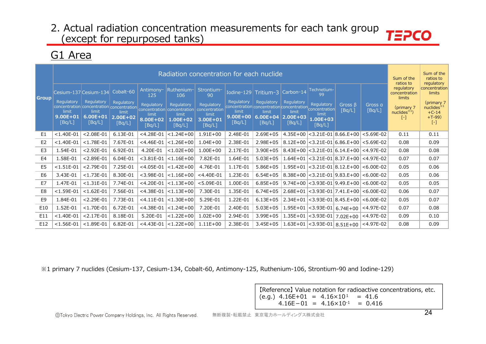# G1 Area

| <b>Group</b>   | Regulatory<br>limit<br>$9.00E + 01$<br>[Bq/L] | Cesium-137 Cesium-134<br>Regulatory<br>concentration concentration concentration<br>limit<br>$6.00E + 01$<br>[BA/L] | Cobalt-60<br>Regulatory<br>limit<br>$2.00E + 02$<br>[Bq/L] | Antimony-<br>125<br>Regulatory<br>limit<br>8.00E+02<br>[Bq/L] | Ruthenium-<br>106<br>Regulatory<br>concentration concentration<br>limit<br>1.00E+02<br>[Bq/L] | Radiation concentration for each nuclide<br>Strontium-<br>90<br><b>Regulatory</b><br>concentration<br>limit<br>3.00E+01<br>[Bq/L] | Regulatory<br>limit<br>9.00E+00<br>[Bq/L] | Iodine-129 Tritium-3<br>Regulatory<br>concentration concentration concentration concentration<br>limit<br>$6.00E + 04$<br>[Bq/L] | Carbon-14<br><b>Regulatory</b><br>limit<br>$2.00E + 03$<br>[Bq/L] | Technetium-<br>99<br>Regulatory<br>limit<br>1.00E+03<br>[Bq/L] | Gross $\beta$<br>[Bq/L]                    | Gross a<br>[Bq/L]                          | Sum of the<br>ratios to<br>regulatory<br>concentration<br>limits<br>(primary 7<br>nuclees <sup>1</sup><br>$\left[ -\right]$ | Sum of the<br>ratios to<br>regulatory<br>concentration<br>limits<br>(primary 7)<br>nuclides <sup>*1</sup><br>$+C-14$<br>$+T-99$<br>$[-]$ |
|----------------|-----------------------------------------------|---------------------------------------------------------------------------------------------------------------------|------------------------------------------------------------|---------------------------------------------------------------|-----------------------------------------------------------------------------------------------|-----------------------------------------------------------------------------------------------------------------------------------|-------------------------------------------|----------------------------------------------------------------------------------------------------------------------------------|-------------------------------------------------------------------|----------------------------------------------------------------|--------------------------------------------|--------------------------------------------|-----------------------------------------------------------------------------------------------------------------------------|------------------------------------------------------------------------------------------------------------------------------------------|
| E1             | $< 1.40E - 01$                                | $< 2.08E - 01$                                                                                                      | 6.13E-01                                                   | $<$ 4.28E-01                                                  | $< 1.24E + 00$                                                                                | $1.91E + 00$                                                                                                                      | 2.48E-01                                  | $2.69E + 05$                                                                                                                     |                                                                   |                                                                |                                            | $4.35E+00$ < 3.21E-01 8.66.E+00 < 5.69E-02 | 0.11                                                                                                                        | 0.11                                                                                                                                     |
| E <sub>2</sub> | $< 1.40E - 01$                                | $<$ 1.78E-01                                                                                                        | 7.67E-01                                                   | $<$ 4.46E-01                                                  | $ $ < 1.26E + 00                                                                              | $1.04E + 00$                                                                                                                      | 2.38E-01                                  | $2.98E + 05$                                                                                                                     |                                                                   |                                                                | $8.12E+00$ < 3.21E-01 6.86 E+00            | $< 5.69E - 02$                             | 0.08                                                                                                                        | 0.09                                                                                                                                     |
| E <sub>3</sub> | 1.54E-01                                      | $< 2.92E - 01$                                                                                                      | 6.92E-01                                                   | 4.20E-01                                                      | $< 1.02E + 00$                                                                                | $1.00E + 00$                                                                                                                      | 2.17E-01                                  | $3.90E + 05$                                                                                                                     |                                                                   |                                                                | $8.43E+00$ < 3.21E-01 6.14.E+00 < 4.97E-02 |                                            | 0.08                                                                                                                        | 0.08                                                                                                                                     |
| E4             | 1.58E-01                                      | $< 2.89E - 01$                                                                                                      | 6.04E-01                                                   | $<$ 3.81E-01                                                  | $< 1.16E + 00$                                                                                | 7.82E-01                                                                                                                          | 1.64E-01                                  | $5.03E + 05$                                                                                                                     |                                                                   |                                                                | $1.64E+01$ < 3.21E-01 8.37.E+00 < 4.97E-02 |                                            | 0.07                                                                                                                        | 0.07                                                                                                                                     |
| E5             | $< 1.51E - 01$                                | $< 2.79E - 01$                                                                                                      | 7.25E-01                                                   | $<$ 4.05E-01                                                  | $< 1.42E + 00$                                                                                | 4.76E-01                                                                                                                          | 1.17E-01                                  | $5.86E + 05$                                                                                                                     |                                                                   |                                                                |                                            | $1.95E+01$ < 3.21E-01 8.12.E+00 < 6.00E-02 | 0.05                                                                                                                        | 0.06                                                                                                                                     |
| E <sub>6</sub> | 3.43E-01                                      | $< 1.73E - 01$                                                                                                      | 8.30E-01                                                   | $<$ 3.98E-01                                                  | $< 1.16E + 00$                                                                                | $<$ 4.40E-01                                                                                                                      | 1.23E-01                                  | $6.54E + 05$                                                                                                                     |                                                                   |                                                                | $8.38E+00$ < 3.21E-01 9.83 E+00            | $< 6.00E - 02$                             | 0.05                                                                                                                        | 0.06                                                                                                                                     |
| E7             | 1.47E-01                                      | $< 1.31E - 01$                                                                                                      | 7.74E-01                                                   | $<$ 4.20E-01                                                  | $< 1.13E + 00$                                                                                | $< 5.09E - 01$                                                                                                                    | 1.00E-01                                  | $6.85E + 05$                                                                                                                     |                                                                   |                                                                | $9.74E+00$ < 3.93E-01 9.49.E+00            | $< 6.00E - 02$                             | 0.05                                                                                                                        | 0.05                                                                                                                                     |
| E8             | $< 1.59E - 01$                                | $< 1.62E - 01$                                                                                                      | 7.56E-01                                                   | $<$ 4.38E-01                                                  | $< 1.13E + 00$                                                                                | 7.30E-01                                                                                                                          | 1.35E-01                                  | $6.74E + 05$                                                                                                                     |                                                                   |                                                                | $2.68E+01$ < 3.93E-01 7.41.E+00            | $< 6.00E - 02$                             | 0.06                                                                                                                        | 0.07                                                                                                                                     |
| E9             | 1.84E-01                                      | $< 2.29E - 01$                                                                                                      | 7.73E-01                                                   | $<$ 4.11E-01                                                  | $< 1.30E + 00$                                                                                | 5.29E-01                                                                                                                          | 1.22E-01                                  | $6.13E + 05$                                                                                                                     |                                                                   |                                                                | $2.34E+01$ < 3.93E-01 8.45 E+00            | $< 6.00E - 02$                             | 0.05                                                                                                                        | 0.07                                                                                                                                     |
| E10            | 1.52E-01                                      | $< 1.70E - 01$                                                                                                      | 6.72E-01                                                   | $<$ 4.38E-01                                                  | $< 1.24E + 00$                                                                                | 7.20E-01                                                                                                                          | 2.40E-01                                  | $5.03E + 05$                                                                                                                     |                                                                   | $1.95E+01$ < 3.93E-01                                          | $6.74E + 00$                               | $<$ 4.97E-02                               | 0.07                                                                                                                        | 0.08                                                                                                                                     |
| E11            | $<$ 1.40E-01                                  | $< 2.17E - 01$                                                                                                      | 8.18E-01                                                   | 5.20E-01                                                      | $< 1.22E + 00$                                                                                | $1.02E + 00$                                                                                                                      | 2.94E-01                                  | $3.99E + 05$                                                                                                                     |                                                                   | $1.35E+01$ < 3.93E-01                                          | $7.02E + 00$                               | $<$ 4.97E-02                               | 0.09                                                                                                                        | 0.10                                                                                                                                     |
| E12            | $<$ 1.56E-01                                  | $< 1.89E - 01$                                                                                                      | 6.82E-01                                                   |                                                               | $<$ 4.43E-01 $ $ <1.22E+00                                                                    | $1.11E + 00$                                                                                                                      | 2.38E-01                                  | $3.45E + 05$                                                                                                                     |                                                                   |                                                                |                                            | $1.63E+01$ < 3.93E-01 8.51E+00 < 4.97E-02  | 0.08                                                                                                                        | 0.09                                                                                                                                     |

%1 primary 7 nuclides (Cesium-137, Cesium-134, Cobalt-60, Antimony-125, Ruthenium-106, Strontium-90 and Iodine-129)

[Reference] Value notation for radioactive concentrations, etc. (e.g.)  $4.16E+01 = 4.16 \times 10^{1} = 41.6$  $4.16E-01 = 4.16 \times 10^{-1} = 0.416$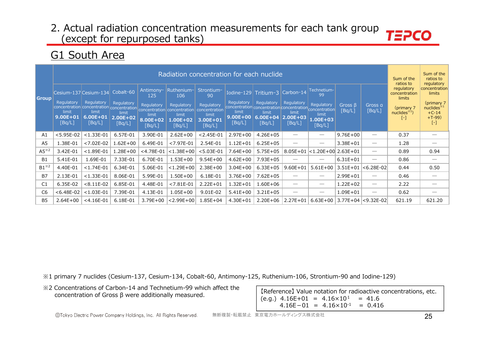# G1 South Area

|                 |                                                                                                                     |                                           |                                                        |                                                               | Radiation concentration for each nuclide                                                      |                                                                                |                                                                                                                  |                                               |                                                            |                                                                                 |                         |                                 | Sum of the<br>ratios to                                                          | Sum of the<br>ratios to<br>regulatory                                                                  |
|-----------------|---------------------------------------------------------------------------------------------------------------------|-------------------------------------------|--------------------------------------------------------|---------------------------------------------------------------|-----------------------------------------------------------------------------------------------|--------------------------------------------------------------------------------|------------------------------------------------------------------------------------------------------------------|-----------------------------------------------|------------------------------------------------------------|---------------------------------------------------------------------------------|-------------------------|---------------------------------|----------------------------------------------------------------------------------|--------------------------------------------------------------------------------------------------------|
| <b>Group</b>    | Cesium-137 Cesium-134<br>Regulatory<br>concentration concentration concentration<br>limit<br>$9.00E + 01$<br>[Bq/L] | Regulatory<br>limit<br>6.00E+01<br>[Bq/L] | Cobalt-60<br>Regulatory<br>limit<br>2.00E+02<br>[Bq/L] | Antimony-<br>125<br>Regulatory<br>limit<br>8.00E+02<br>[Bq/L] | Ruthenium-<br>106<br>Regulatory<br>concentration concentration<br>limit<br>1.00E+02<br>[Bq/L] | Strontium-<br>90<br>Regulatory<br>concentration<br>limit<br>3.00E+01<br>[Bq/L] | Iodine-129 $Tritium-3$<br>Regulatory<br>concentration concentration concentration<br>limit<br>9.00E+00<br>[Bq/L] | Regulatory<br>limit<br>$6.00E + 04$<br>[Bq/L] | Carbon-14<br>Regulatory<br>limit<br>$2.00E + 03$<br>[Bq/L] | Technetium-<br>99<br>Regulatory<br>concentration<br>limit<br>1.00E+03<br>[Bq/L] | Gross $\beta$<br>[Bq/L] | Gross a<br>[Bq/L]               | regulatory<br>concentration<br>limits<br>(primary 7<br>nuclees <sup>3</sup><br>۰ | concentration<br>limits<br>(primary 7<br>nuclides $*1$<br>$+C-14$<br>$+T-99$<br>$\left[ \cdot \right]$ |
| A1              | $<$ 5.95E-02                                                                                                        | $< 1.33E - 01$                            | 6.57E-01                                               | 3.90E-01                                                      | $2.62E + 00$                                                                                  | $< 2.45E - 01$                                                                 | $2.97E + 00$                                                                                                     | $4.26E + 05$                                  |                                                            | $\hspace{0.05cm}$                                                               | $9.76E + 00$            | $\overbrace{\phantom{12332}}$   | 0.37                                                                             |                                                                                                        |
| A5              | 1.38E-01                                                                                                            | $< 7.02E - 02$                            | 1.62E+00                                               | 6.49E-01                                                      | $< 7.97E - 01$                                                                                | 2.54E-01                                                                       | $1.12E + 01$                                                                                                     | $6.25E + 05$                                  |                                                            |                                                                                 | 3.38E+01                |                                 | 1.28                                                                             |                                                                                                        |
| $AS^{\times 2}$ | 3.42E-01                                                                                                            | $< 1.89E - 01$                            | 1.28E+00                                               | $<$ 4.78E-01                                                  | $< 1.38E + 00$                                                                                | $< 5.03E - 01$                                                                 | $7.64E + 00$                                                                                                     | $5.75E + 05$                                  | $8.05E + 01$                                               | $ $ <1.20E+00 2.63E+01                                                          |                         |                                 | 0.89                                                                             | 0.94                                                                                                   |
| <b>B1</b>       | 5.41E-01                                                                                                            | 1.69E-01                                  | 7.33E-01                                               | 6.70E-01                                                      | $1.53E + 00$                                                                                  | $9.54E + 00$                                                                   | $4.62E + 00$                                                                                                     | $7.93E + 05$                                  |                                                            |                                                                                 | $6.31E + 01$            | $\overbrace{\phantom{12332}}$   | 0.86                                                                             |                                                                                                        |
| $B1^{*2}$       | 4.40E-01                                                                                                            | $< 1.74E - 01$                            | 6.34E-01                                               | 5.06E-01                                                      | $< 1.29E + 00$                                                                                | $2.38E + 00$                                                                   | $3.04E + 00$                                                                                                     | $6.33E + 05$                                  | $9.60E + 01$                                               | $5.61E+00$                                                                      | $3.51E + 01$            | $< 6.28E - 02$                  | 0.44                                                                             | 0.50                                                                                                   |
| <b>B7</b>       | 2.13E-01                                                                                                            | $< 1.33E - 01$                            | 8.06E-01                                               | 5.99E-01                                                      | $1.50E + 00$                                                                                  | 6.18E-01                                                                       | $3.76E + 00$                                                                                                     | $7.62E + 05$                                  |                                                            |                                                                                 | 2.99E+01                |                                 | 0.46                                                                             |                                                                                                        |
| C1              | 6.35E-02                                                                                                            | $< 8.11E - 02$                            | 6.85E-01                                               | 4.48E-01                                                      | $< 7.81E - 01$                                                                                | $2.22E + 01$                                                                   | $1.32E + 01$                                                                                                     | $1.60E + 06$                                  |                                                            | $\hspace{0.05cm}$                                                               | $1.22E + 02$            | $\hspace{0.1mm}-\hspace{0.1mm}$ | 2.22                                                                             |                                                                                                        |
| C <sub>6</sub>  | $< 6.48E - 02$                                                                                                      | $< 1.03E - 01$                            | 7.39E-01                                               | 4.13E-01                                                      | $1.05E + 00$                                                                                  | 9.01E-02                                                                       | $5.41E+00$                                                                                                       | $3.21E + 05$                                  |                                                            |                                                                                 | $1.09E + 01$            |                                 | 0.62                                                                             |                                                                                                        |
| <b>B5</b>       | $2.64E + 00$                                                                                                        | $<$ 4.16E-01                              | 6.18E-01                                               | 3.79E+00                                                      | $< 2.99E + 00$                                                                                | $1.85E + 04$                                                                   | $4.30E + 01$                                                                                                     | $2.20E + 06$                                  | $2.27E + 01$                                               | $6.63E + 00$                                                                    |                         | $3.77E+04$ < 9.32E-02           | 621.19                                                                           | 621.20                                                                                                 |

※1 primary 7 nuclides (Cesium-137, Cesium-134, Cobalt-60, Antimony-125, Ruthenium-106, Strontium-90 and Iodine-129)

※2 Concentrations of Carbon-14 and Technetium-99 which affect the concentration of Gross β were additionally measured.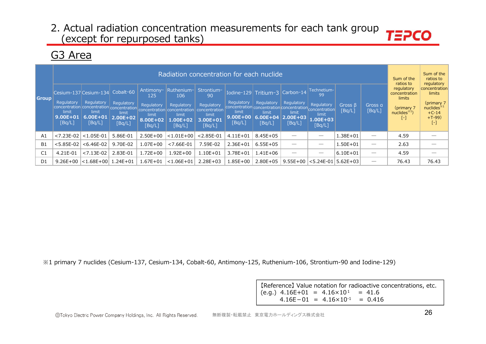# G3 Area

|                |                                               |                                                                                                                               |                                               |                                                                                | Radiation concentration for each nuclide                                        |                                                                                |                                               |                                                                                                                     |                                                            |                                                                                        |                         |                   | Sum of the<br>ratios to                                                    | Sum of the<br>ratios to<br>regulatory                                               |
|----------------|-----------------------------------------------|-------------------------------------------------------------------------------------------------------------------------------|-----------------------------------------------|--------------------------------------------------------------------------------|---------------------------------------------------------------------------------|--------------------------------------------------------------------------------|-----------------------------------------------|---------------------------------------------------------------------------------------------------------------------|------------------------------------------------------------|----------------------------------------------------------------------------------------|-------------------------|-------------------|----------------------------------------------------------------------------|-------------------------------------------------------------------------------------|
| <b>Group</b>   | Regulatory<br>limit<br>$9.00E + 01$<br>[Ba/L] | Cesium-137 Cesium-134 Cobalt-60<br>Regulatory<br>concentration concentration concentration<br>limit<br>$6.00E + 01$<br>[Bq/L] | Regulatory<br>limit<br>$2.00E + 02$<br>[Bq/L] | Antimony-<br>125<br>Regulatory<br>concentration<br>limit<br>8.00E+02<br>[Bq/L] | Ruthenium-<br>106<br>Regulatory<br>concentration<br>limit<br>1.00E+02<br>[Bq/L] | Strontium-<br>90<br>Regulatory<br>concentration<br>limit<br>3.00E+01<br>[Bq/L] | Regulatory<br>limit<br>$9.00E + 00$<br>[Bq/L] | Iodine-129 $Triium-3$<br>Regulatory<br>concentration concentration concentration<br>limit<br>$6.00E + 04$<br>[Bq/L] | Carbon-14<br>Regulatory<br>limit<br>$2.00E + 03$<br>[Bq/L] | Technetium-<br>99<br>Regulatory<br>concentration<br>limit<br><b>1.00E+03</b><br>[Bq/L] | Gross $\beta$<br>[Bq/L] | Gross a<br>[Bq/L] | regulatory<br>concentration<br>limits<br>(primary 7<br>$nuclees^{*1}$<br>۰ | concentration<br>limits<br>(primary 7<br>nuclides $*1$<br>$+C-14$<br>$+T-99$<br>[-] |
| A <sub>1</sub> | $< 7.23E - 02$                                | $< 1.05E - 01$                                                                                                                | 5.86E-01                                      | $2.50E + 00$                                                                   | $< 1.01E + 00$                                                                  | $< 2.85E - 01$                                                                 | $4.11E + 01$                                  | $8.45E + 05$                                                                                                        |                                                            |                                                                                        | 1.38E+01                |                   | 4.59                                                                       |                                                                                     |
| <b>B1</b>      | $< 5.85E - 02$                                | $< 6.46E - 02$                                                                                                                | 9.70E-02                                      | $1.07E + 00$                                                                   | $< 7.66E - 01$                                                                  | 7.59E-02                                                                       | $2.36E + 01$                                  | $6.55E + 05$                                                                                                        |                                                            |                                                                                        | $1.50E + 01$            |                   | 2.63                                                                       |                                                                                     |
| C1             | 4.21E-01                                      | $< 7.13E - 02$                                                                                                                | 2.83E-01                                      | $1.72E + 00$                                                                   | $1.92E + 00$                                                                    | $1.10E + 01$                                                                   | 3.78E+01                                      | $1.41E + 06$                                                                                                        |                                                            |                                                                                        | $6.10E + 01$            |                   | 4.59                                                                       |                                                                                     |
| D <sub>1</sub> | $9.26E + 00$                                  | $ $ <1.68E+00 $ $ 1.24E+01                                                                                                    |                                               | $1.67E + 01$                                                                   | $ $ <1.06E+01                                                                   | $2.28E + 03$                                                                   | $1.85E + 00$                                  | $2.80E + 05$                                                                                                        | $9.55E + 00$                                               | $<$ 5.24E-01   5.62E+03                                                                |                         |                   | 76.43                                                                      | 76.43                                                                               |

※1 primary 7 nuclides (Cesium-137, Cesium-134, Cobalt-60, Antimony-125, Ruthenium-106, Strontium-90 and Iodine-129)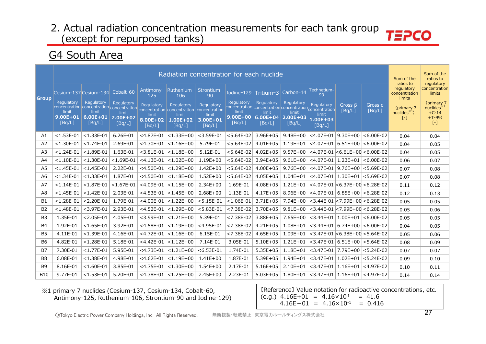### G4 South Area

|                |                                 |                                 |                                 |                             |                                                                                     | Radiation concentration for each nuclide |                                 |                                                                       |                                |                                 |                                         |                   | Sum of the<br>ratios to               | Sum of the<br>ratios to<br>regulatory |
|----------------|---------------------------------|---------------------------------|---------------------------------|-----------------------------|-------------------------------------------------------------------------------------|------------------------------------------|---------------------------------|-----------------------------------------------------------------------|--------------------------------|---------------------------------|-----------------------------------------|-------------------|---------------------------------------|---------------------------------------|
| <b>Group</b>   | Cesium-137 Cesium-134           |                                 | Cobalt-60                       | Antimony-<br>125            | Ruthenium-<br>106                                                                   | Strontium-<br>90                         | Iodine-129                      | Tritium-3                                                             | Carbon-14                      | Technetium-<br>99               |                                         |                   | regulatory<br>concentration<br>limits | concentration<br>limits               |
|                | Regulatory                      | Regulatory                      | Regulatory                      | Regulatory                  | Regulatory<br>concentration concentration concentration concentration concentration | Regulatory<br>concentration              | Regulatory                      | Regulatory<br>concentration concentration concentration concentration | Regulatory                     | Regulatory                      | Gross $\beta$<br>[Bq/L]                 | Gross a<br>[Bq/L] | (primary 7)                           | (primary 7<br>nuclees <sup>34</sup>   |
|                | limit<br>$9.00E + 01$<br>[Bq/L] | limit<br>$6.00E + 01$<br>[Bq/L] | limit<br>$2.00E + 02$<br>[Bq/L] | limit<br>8.00E+02<br>[Bq/L] | limit<br>$1.00E + 02$<br>[Bq/L]                                                     | limit<br>3.00E+01<br>[Bq/L]              | limit<br>$9.00E + 00$<br>[Bq/L] | limit<br>$6.00E + 04$<br>[Bq/L]                                       | limit<br>$ 2.00E+03$<br>[BA/L] | limit<br>$1.00E + 03$<br>[Bq/L] |                                         |                   | nuclides $*1$<br>[-]                  | $+C-14$<br>$+T-99$<br>$[\cdot]$       |
| A1             | $< 1.53E - 01$                  | $< 1.33E - 01$                  | 6.26E-01                        | $<$ 4.87E-01                | $< 1.33E + 00$                                                                      | $<$ 3.59E-01                             | $< 5.64E - 02$                  | $3.96E + 05$                                                          | $9.48E + 00$                   | $<$ 4.07E-01                    | $9.30E + 00$                            | $< 6.00E - 02$    | 0.04                                  | 0.04                                  |
| A2             | $< 1.30E - 01$                  | $<$ 1.74E-01                    | 2.69E-01                        | $<$ 4.30E-01                | $< 1.16E + 00$                                                                      | 5.79E-01                                 | $< 5.64E - 02$                  | $4.01E + 05$                                                          | $1.19E + 01$                   |                                 | $<$ 4.07E-01   6.51E+00   <6.00E-02     |                   | 0.04                                  | 0.05                                  |
| A <sub>3</sub> | $< 1.24E - 01$                  | $< 1.89E - 01$                  | 1.63E-01                        | $< 3.81E - 01$              | $< 1.18E + 00$                                                                      | 5.12E-01                                 | $< 5.64E - 02$                  | $4.02E + 05$                                                          | $9.57E + 00$                   |                                 | $<$ 4.07E-01 $ <$ 6.61E+00 $<$ 6.00E-02 |                   | 0.04                                  | 0.05                                  |
| A4             | $< 1.10E - 01$                  | $< 1.30E - 01$                  | $< 1.69E - 01$                  | $<$ 4.13E-01                | $< 1.02E + 00$                                                                      | $1.19E + 00$                             | $< 5.64E - 02$                  | $3.94E + 05$                                                          | $9.61E + 00$                   |                                 | $<$ 4.07E-01   1.23E+01   <6.00E-02     |                   | 0.06                                  | 0.07                                  |
| A <sub>5</sub> | $< 1.45E - 01$                  | $< 1.45E - 01$                  | 2.22E-01                        | $<$ 4.50E-01                | $< 1.29E + 00$                                                                      | $1.42E + 00$                             | $< 5.64E - 02$                  | $4.00E + 05$                                                          | $9.76E + 00$                   |                                 | $<$ 4.07E-01 9.76E+00 $<$ 5.69E-02      |                   | 0.07                                  | 0.08                                  |
| A6             | $< 1.34E - 01$                  | $< 1.33E - 01$                  | 1.87E-01                        | $<$ 4.50E-01                | $ $ < 1.18E+00                                                                      | $1.52E + 00$                             | $< 5.64E - 02$                  | $4.05E + 05$                                                          | $1.04E + 01$                   |                                 | $<$ 4.07E-01   1.30E+01   <5.69E-02     |                   | 0.07                                  | 0.08                                  |
| A7             | $< 1.14E - 01$                  | $< 1.87E - 01$                  | $< 1.67E - 01$                  | $<$ 4.09E-01                | $< 1.15E + 00$                                                                      | $2.34E + 00$                             | 1.69E-01                        | $4.08E + 05$                                                          | $1.21E + 01$                   |                                 | <4.07E-01 $ <$ 6.37E+00 $ <$ 6.28E-02   |                   | 0.11                                  | 0.12                                  |
| A8             | $< 1.45E - 01$                  | $< 1.42E - 01$                  | 2.03E-01                        | $<$ 4.53E-01                | $< 1.45E + 00$                                                                      | $2.68E + 00$                             | 1.13E-01                        | $4.17E + 05$                                                          | $8.96E + 00$                   |                                 | $<$ 4.07E-01 6.85E+00 $<$ 6.28E-02      |                   | 0.12                                  | 0.13                                  |
| <b>B1</b>      | $< 1.28E - 01$                  | $< 2.20E - 01$                  | 1.79E-01                        | $<$ 4.00E-01                | $< 1.22E + 00$                                                                      | $< 5.15E - 01$                           | $< 1.06E - 01$                  | $3.71E + 05$                                                          | 7.94E+00                       |                                 | $<$ 3.44E-01 $<$ 7.99E+00 $<$ 6.28E-02  |                   | 0.05                                  | 0.05                                  |
| <b>B2</b>      | $< 1.48E - 01$                  | $<$ 3.97E-01                    | 2.93E-01                        | $<$ 4.52E-01                | $< 1.29E + 00$                                                                      | $< 5.83E - 01$                           | $< 7.38E - 02$                  | 3.70E+05                                                              | $9.81E + 00$                   |                                 | $<$ 3.44E-01 $<$ 7.99E+00 $<$ 6.28E-02  |                   | 0.05                                  | 0.06                                  |
| B <sub>3</sub> | 1.35E-01                        | $< 2.05E - 01$                  | 4.05E-01                        | $<$ 3.99E-01                | $< 1.21E + 00$                                                                      | 5.39E-01                                 | $< 7.38E - 02$                  | $3.88E + 05$                                                          | $7.65E + 00$                   |                                 | $<$ 3.44E-01   1.00E+01   <6.00E-02     |                   | 0.05                                  | 0.05                                  |
| <b>B4</b>      | 1.92E-01                        | $< 1.65E - 01$                  | 3.92E-01                        | $<$ 4.58E-01                | $< 1.19E + 00$                                                                      | $<$ 4.95E-01                             | $< 7.38E - 02$                  | $4.21E + 05$                                                          | $1.08E + 01$                   |                                 | $<$ 3.44E-01   6.74E+00   $<$ 6.00E-02  |                   | 0.04                                  | 0.05                                  |
| B <sub>5</sub> | 4.11E-01                        | $< 1.39E - 01$                  | 4.16E-01                        | $<$ 4.72E-01                | $ $ < 1.16E + 00                                                                    | 6.15E-01                                 | $< 7.38E - 02$                  | $4.65E + 05$                                                          | $1.09E + 01$                   |                                 | $<$ 3.47E-01 $ <$ 6.38E+00 $<$ 5.64E-02 |                   | 0.05                                  | 0.06                                  |
| <b>B6</b>      | 4.82E-01                        | $< 1.28E - 01$                  | 5.18E-01                        | $<$ 4.42E-01                | $< 1.12E + 00$                                                                      | 7.14E-01                                 | 3.05E-01                        | $5.10E + 05$                                                          | $1.21E + 01$                   |                                 | $<$ 3.47E-01   6.51E+00   <5.64E-02     |                   | 0.08                                  | 0.09                                  |
| <b>B7</b>      | 7.30E-01                        | $< 1.77E - 01$                  | 5.95E-01                        | $<$ 4.73E-01                | $< 1.21E + 00$                                                                      | $< 6.53E - 01$                           | 1.74E-01                        | $5.35E + 05$                                                          | 1.18E+01                       | $<$ 3.47E-01                    | 7.79E+00 <5.24E-02                      |                   | 0.07                                  | 0.07                                  |
| B8             | 6.08E-01                        | $< 1.38E - 01$                  | 4.98E-01                        | $<$ 4.62E-01                | $< 1.19E + 00$                                                                      | $1.41E + 00$                             | 1.87E-01                        | $5.39E + 05$                                                          | $1.94E + 01$                   |                                 | $<$ 3.47E-01   1.02E+01   <5.24E-02     |                   | 0.09                                  | 0.10                                  |
| <b>B9</b>      | 8.16E-01                        | $< 1.60E - 01$                  | 3.85E-01                        | $<$ 4.75E-01                | $< 1.30E + 00$                                                                      | $1.54E + 00$                             | 2.17E-01                        | $5.16E + 05$                                                          | $2.10E + 01$                   |                                 | $<$ 3.47E-01   1.16E+01                 | $ <$ 4.97E-02     | 0.10                                  | 0.11                                  |
| <b>B10</b>     | 9.77E-01                        | $< 1.53E - 01$                  | 5.20E-01                        | $<$ 4.38E-01                | $ $ < 1.25E + 00                                                                    | $2.45E + 00$                             | 2.23E-01                        | $5.03E + 05$                                                          | 1.80E+01                       |                                 | $<$ 3.47E-01   1.16E+01   <4.97E-02     |                   | 0.14                                  | 0.14                                  |

※1 primary 7 nuclides (Cesium-137, Cesium-134, Cobalt-60, Antimony-125, Ruthenium-106, Strontium-90 and Iodine-129)

【Reference】 Value notation for radioactive concentrations, etc.  $(e.q.)$  4.16E+01 = 4.16×10<sup>1</sup> = 41.6  $4.16E-01 = 4.16 \times 10^{-1} = 0.416$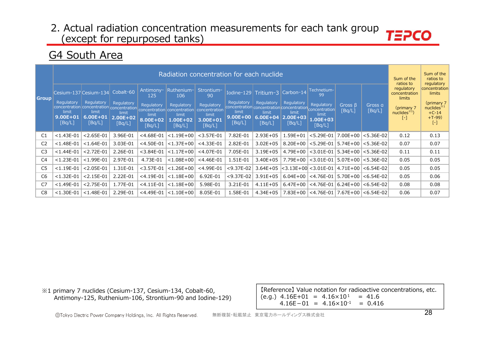# G4 South Area

|                |                                                      |                                                                                                                               |                                               |                                                                                |                                                                                 | Radiation concentration for each nuclide                                       |                                                                                                          |                                                                                 |                                               |                                                                |                         |                                        | Sum of the<br>ratios to                                                                  | Sum of the<br>ratios to<br>regulatory                                                        |
|----------------|------------------------------------------------------|-------------------------------------------------------------------------------------------------------------------------------|-----------------------------------------------|--------------------------------------------------------------------------------|---------------------------------------------------------------------------------|--------------------------------------------------------------------------------|----------------------------------------------------------------------------------------------------------|---------------------------------------------------------------------------------|-----------------------------------------------|----------------------------------------------------------------|-------------------------|----------------------------------------|------------------------------------------------------------------------------------------|----------------------------------------------------------------------------------------------|
| <b>Group</b>   | <b>Regulatory</b><br>limit<br>$9.00E + 01$<br>[Bq/L] | Cesium-137 Cesium-134 Cobalt-60<br>Regulatory<br>concentration concentration concentration<br>limit<br>$6.00E + 01$<br>[Bq/L] | Regulatory<br>limit<br>$2.00E + 02$<br>[Bq/L] | Antimony-<br>125<br>Regulatory<br>concentration<br>limit<br>8.00E+02<br>[Bq/L] | Ruthenium-<br>106<br>Regulatory<br>concentration<br>limit<br>1.00E+02<br>[Bq/L] | Strontium-<br>90<br>Regulatory<br>concentration<br>limit<br>3.00E+01<br>[Bq/L] | Regulatory<br>concentration concentration concentration concentration<br>limit<br>$9.00E + 00$<br>[Bq/L] | Iodine-129 Tritium-3 Carbon-14<br>Regulatory<br>limit<br>$6.00E + 04$<br>[Bq/L] | Regulatory<br>limit<br>$2.00E + 03$<br>[Bq/L] | Technetium-<br>99<br>Regulatory<br>limit<br>1.00E+03<br>[Bq/L] | Gross $\beta$<br>[Bq/L] | Gross a<br>[Bq/L]                      | regulatory<br>concentration<br>limits<br>(primary 7<br>nuclees <sup>1</sup><br>$[\cdot]$ | concentration<br>limits<br>(primary 7<br>nuclides <sup>*1</sup><br>$+C-14$<br>$+T-99$<br>[-] |
| C <sub>1</sub> | $< 1.43E - 01$                                       | $< 2.65E - 01$                                                                                                                | 3.96E-01                                      | $<$ 4.68E-01                                                                   | $< 1.19E + 00$                                                                  | $<$ 3.57E-01                                                                   | 7.82E-01                                                                                                 | $2.93E + 05$                                                                    | $1.59E + 01$                                  | $< 5.29E - 01$                                                 | $7.00E + 00$            | $ $ < 5.36E-02                         | 0.12                                                                                     | 0.13                                                                                         |
| C <sub>2</sub> | $< 1.48E - 01$                                       | $< 1.64E - 01$                                                                                                                | 3.03E-01                                      | $<$ 4.50E-01                                                                   | $< 1.37E + 00$                                                                  | $<$ 4.33E-01                                                                   | 2.82E-01                                                                                                 | $3.02E + 05$                                                                    | $8.20E + 00$                                  | $< 5.29E - 01$                                                 |                         | 5.74E+00 <5.36E-02                     | 0.07                                                                                     | 0.07                                                                                         |
| C <sub>3</sub> | $< 1.44E - 01$                                       | $< 2.72E - 01$                                                                                                                | 2.26E-01                                      | $<$ 3.84E-01                                                                   | $< 1.17E + 00$                                                                  | $<$ 4.07E-01                                                                   | 7.05E-01                                                                                                 | $3.19E + 05$                                                                    | $4.79E + 00$                                  |                                                                |                         | $<$ 3.01E-01   5.34E+00   $<$ 5.36E-02 | 0.11                                                                                     | 0.11                                                                                         |
| C <sub>4</sub> | $< 1.23E - 01$                                       | $<$ 1.99E-01                                                                                                                  | 2.97E-01                                      | 4.73E-01                                                                       | $<$ 1.08E+00                                                                    | $<$ 4.46E-01                                                                   | 1.51E-01                                                                                                 | $3.40E + 05$                                                                    |                                               | 7.79E+00 <3.01E-01   5.07E+00 <5.36E-02                        |                         |                                        | 0.05                                                                                     | 0.05                                                                                         |
| C <sub>5</sub> | $< 1.19E - 01$                                       | $< 2.05E - 01$                                                                                                                | 1.31E-01                                      | $<$ 3.57E-01                                                                   | $< 1.26E + 00$                                                                  | $<$ 4.99E-01                                                                   | $<$ 9.37E-02                                                                                             | $3.64E + 05$                                                                    |                                               | $<$ 3.13E+00 $<$ 3.01E-01   4.71E+00   $<$ 6.54E-02            |                         |                                        | 0.05                                                                                     | 0.05                                                                                         |
| C <sub>6</sub> | $< 1.32E - 01$                                       | $< 2.15E - 01$                                                                                                                | 2.22E-01                                      | $<$ 4.19E-01                                                                   | $< 1.18E + 00$                                                                  | 6.92E-01                                                                       | $<$ 9.37E-02                                                                                             | $3.91E + 05$                                                                    |                                               | $6.04E+00$ <4.76E-01                                           |                         | 5.70E+00 <6.54E-02                     | 0.05                                                                                     | 0.06                                                                                         |
| C7             | $< 1.49E - 01$                                       | $< 2.75E - 01$                                                                                                                | 1.77E-01                                      | $<$ 4.11E-01                                                                   | $< 1.18E + 00$                                                                  | 5.98E-01                                                                       | 3.21E-01                                                                                                 | $4.11E + 05$                                                                    | $6.47E + 00$                                  | <4.76E-01 6.24E+00 <6.54E-02                                   |                         |                                        | 0.08                                                                                     | 0.08                                                                                         |
| C8             | $< 1.30E - 01$                                       | $< 1.48E - 01$                                                                                                                | 2.29E-01                                      | $<$ 4.49E-01                                                                   | $ $ < 1.10E+00                                                                  | 8.05E-01                                                                       | 1.58E-01                                                                                                 | $4.34E + 05$                                                                    |                                               | 7.83E+00 <4.76E-01 7.67E+00 <6.54E-02                          |                         |                                        | 0.06                                                                                     | 0.07                                                                                         |

※1 primary 7 nuclides (Cesium-137, Cesium-134, Cobalt-60, Antimony-125, Ruthenium-106, Strontium-90 and Iodine-129)

【Reference】 Value notation for radioactive concentrations, etc.  $(e.g.)$  4.16E+01 = 4.16×10<sup>1</sup> = 41.6  $4.16E-01 = 4.16 \times 10^{-1} = 0.416$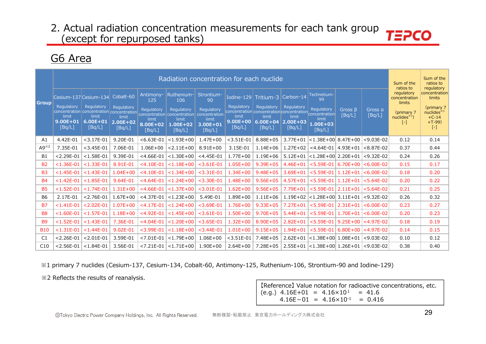### G6 Area

|                |                        |                                                                  |                        |                                    | Radiation concentration for each nuclide |                                 |                        |                                                                  |                        |                                                 |                   |                                        | Sum of the<br>ratios to               | Sum of the<br>ratios to<br>regulatory  |
|----------------|------------------------|------------------------------------------------------------------|------------------------|------------------------------------|------------------------------------------|---------------------------------|------------------------|------------------------------------------------------------------|------------------------|-------------------------------------------------|-------------------|----------------------------------------|---------------------------------------|----------------------------------------|
| <b>Group</b>   |                        | Cesium-137 Cesium-134                                            | Cobalt-60              | Antimony-<br>125                   | Ruthenium-<br>106                        | Strontium-<br>90                |                        | Iodine-129 $Triium-3$                                            | Carbon-14              | Technetium-<br>99                               |                   |                                        | regulatory<br>concentration<br>limits | concentration<br>limits                |
|                | Regulatory<br>limit    | Regulatory<br>concentration concentration concentration<br>limit | Regulatory<br>limit    | <b>Regulatory</b><br>concentration | Regulatory<br>concentration              | Regulatory<br>concentration     | Regulatory<br>limit    | Regulatory<br>concentration concentration concentration<br>limit | Regulatory<br>limit    | Regulatory<br>concentration                     | Gross B<br>[Bq/L] | Gross a<br>[Bq/L]                      | (primary 7<br>nuclides $*1$           | (primary 7<br>nuclides $*1$<br>$+C-14$ |
|                | $9.00E + 01$<br>[Bq/L] | $6.00E + 01$<br>[Bq/L]                                           | $2.00E + 02$<br>[Bq/L] | limit<br>8.00E+02<br>[Bq/L]        | limit<br>1.00E+02<br>[Bq/L]              | limit<br>$3.00E + 01$<br>[Bq/L] | $9.00E + 00$<br>[Bq/L] | $6.00E + 04$<br>[Bq/L]                                           | $2.00E + 03$<br>[Bq/L] | limit<br>$1.00E + 03$<br>[Bq/L]                 |                   |                                        | $\lbrack - \rbrack$                   | $+T-99$<br>[-]                         |
| A1             | 4.42E-01               | $<$ 3.17E-01                                                     | 9.20E-01               | $< 6.63E - 01$                     | $< 1.93E + 00$                           | $1.47E + 00$                    | $<$ 3.51E-01           | 8.88E+05                                                         | $3.77E + 01$           | $<$ 1.38E+00 8.47E+00                           |                   | $<$ 9.03E-02                           | 0.12                                  | 0.14                                   |
| $A9^{*2}$      | 7.35E-01               | $<$ 3.45E-01                                                     | 7.06E-01               | $1.06E + 00$                       | $< 2.11E + 00$                           | $8.91E + 00$                    | 3.15E-01               | $1.14E + 06$                                                     | $1.27E + 02$           |                                                 |                   | $<$ 4.64E-01   4.93E+01   $<$ 8.87E-02 | 0.37                                  | 0.44                                   |
| <b>B1</b>      | $< 2.29E - 01$         | $<$ 1.58E-01                                                     | 9.39E-01               | $<$ 4.66E-01                       | $< 1.30E + 00$                           | $<$ 4.45E-01                    | $1.77E + 00$           | $1.19E + 06$                                                     | $5.12E + 01$           | $ $ <1.28E+00 $ $ 2.20E+01                      |                   | $< 9.32E - 02$                         | 0.24                                  | 0.26                                   |
| <b>B2</b>      | $< 1.36E - 01$         | $<$ 1.33E-01                                                     | 8.91E-01               | $<$ 4.10E-01                       | $< 1.18E + 00$                           | $<$ 3.61E-01                    | $1.05E + 00$           | $9.39E + 05$                                                     | $4.46E + 01$           |                                                 |                   | $<$ 5.59E-01   6.70E+00   $<$ 6.00E-02 | 0.15                                  | 0.17                                   |
| <b>B3</b>      | $< 1.45E - 01$         | $< 1.43E - 01$                                                   | $1.04E + 00$           | $<$ 4.10E-01                       | $< 1.34E + 00$                           | $<$ 3.31E-01                    | $1.34E + 00$           | $9.48E + 05$                                                     | $3.69E + 01$           | $< 5.59E - 01$                                  | $1.12E + 01$      | $< 6.00E - 02$                         | 0.18                                  | 0.20                                   |
| <b>B4</b>      | $< 1.42E - 01$         | $< 1.85E - 01$                                                   | 9.64E-01               | $<$ 4.64E-01                       | $< 1.24E + 00$                           | $<$ 3.30E-01                    | $1.48E + 00$           | $9.56E + 05$                                                     | $4.57E + 01$           | $< 5.59E - 01$                                  | $1.12E + 01$      | $< 5.64E - 02$                         | 0.20                                  | 0.22                                   |
| <b>B5</b>      | $< 1.52E - 01$         | $< 1.74E - 01$                                                   | $1.31E + 00$           | $<$ 4.66E-01                       | $< 1.37E + 00$                           | $<$ 3.01E-01                    | $1.62E + 00$           | $9.56E + 05$                                                     | 7.79E+01               | $<$ 5.59E-01   2.11E+01                         |                   | $< 5.64E - 02$                         | 0.21                                  | 0.25                                   |
| B <sub>6</sub> | 2.17E-01               | $< 2.76E - 01$                                                   | $1.67E + 00$           | $<$ 4.37E-01                       | $< 1.23E + 00$                           | 5.49E-01                        | $1.89E + 00$           | $1.11E + 06$                                                     | $1.19E + 02$           | $ $ <1.28E+00 $ $ 3.11E+01 $ $                  |                   | $<$ 9.32E-02                           | 0.26                                  | 0.32                                   |
| <b>B7</b>      | $< 1.41E - 01$         | $< 2.02E - 01$                                                   | $1.07E + 00$           | $<$ 4.17E-01                       | $< 1.24E + 00$                           | $<$ 3.69E-01                    | $1.76E + 00$           | $9.33E + 05$                                                     | $7.27E + 01$           | $<$ 5.59E-01   2.31E+01                         |                   | $< 6.00E - 02$                         | 0.23                                  | 0.27                                   |
| B <sub>8</sub> | $< 1.60E - 01$         | $< 1.57E - 01$                                                   | $1.18E + 00$           | $<$ 4.92E-01                       | $< 1.45E + 00$                           | $<$ 3.61E-01                    | $1.50E + 00$           | $9.70E + 05$                                                     | $5.44E + 01$           | $< 5.59E - 01$                                  | $1.70E + 01$      | $< 6.00E - 02$                         | 0.20                                  | 0.23                                   |
| <b>B9</b>      | $< 1.52E - 01$         | $< 1.43E - 01$                                                   | 7.36E-01               | $<$ 4.04E-01                       | $< 1.20E + 00$                           | $<$ 3.65E-01                    | $1.32E + 00$           | 8.90E+05                                                         | $2.82E + 01$           | $< 5.59E - 01$                                  |                   | $9.25E+00$ <4.97E-02                   | 0.18                                  | 0.19                                   |
| <b>B10</b>     | $< 1.31E - 01$         | $< 1.44E - 01$                                                   | $9.02E - 01$           | $<$ 3.99E-01                       | $< 1.18E + 00$                           | $<$ 3.44E-01                    | $1.01E + 00$           | $9.15E + 05$                                                     | $1.94E + 01$           | $< 5.59E - 01$                                  |                   | $6.80E+00$ <4.97E-02                   | 0.14                                  | 0.15                                   |
| C1             | $< 2.26E - 01$         | $< 2.01E - 01$                                                   | 3.59E-01               | $< 7.01E - 01$                     | $< 1.79E + 00$                           | $1.06E + 00$                    | $<$ 3.51E-01           | 7.48E+05                                                         | $2.62E + 01$           | $ $ <1.38E+00 $ $ 1.08E+01 $ $                  |                   | $< 9.03E - 02$                         | 0.10                                  | 0.12                                   |
| C10            | $< 2.56E - 01$         | $< 1.84E - 01$                                                   | 3.56E-01               |                                    | $< 7.21E - 01$ $  < 1.71E + 00$          | $1.90E + 00$                    | $2.64E + 00$           | $7.28E + 05$                                                     |                        | $2.55E+01$ < 1.38E + 00 1.26E + 01 < 9.03E - 02 |                   |                                        | 0.38                                  | 0.40                                   |

%1 primary 7 nuclides (Cesium-137, Cesium-134, Cobalt-60, Antimony-125, Ruthenium-106, Strontium-90 and Iodine-129)

※2 Reflects the results of reanalysis.

[Reference] Value notation for radioactive concentrations, etc.  $(e.g.) 4.16E+01 = 4.16 \times 10^{1} = 41.6$  $4.16E-01 = 4.16 \times 10^{-1} = 0.416$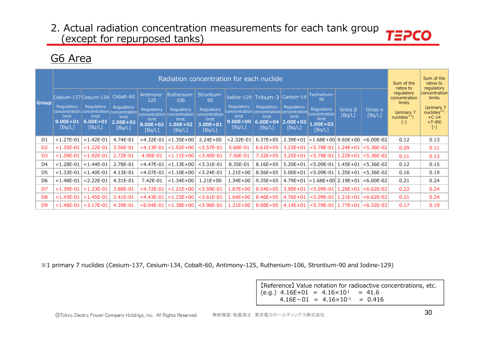### G6 Area

|                |                                               |                                  |                                               |                                           |                                                                                                                    | Radiation concentration for each nuclide                   |                                               |                                                                                            |                                               |                                                                       |                         |                          | Sum of the<br>ratios to                        | Sum of the<br>ratios to<br>regulatory                    |
|----------------|-----------------------------------------------|----------------------------------|-----------------------------------------------|-------------------------------------------|--------------------------------------------------------------------------------------------------------------------|------------------------------------------------------------|-----------------------------------------------|--------------------------------------------------------------------------------------------|-----------------------------------------------|-----------------------------------------------------------------------|-------------------------|--------------------------|------------------------------------------------|----------------------------------------------------------|
|                |                                               | Cesium-137 Cesium-134            | Cobalt-60                                     | Antimony-<br>125                          | Ruthenium-<br>106                                                                                                  | Strontium-<br>90                                           |                                               | Iodine-129 Tritium-3                                                                       | Carbon-14                                     | Technetium-<br>99                                                     |                         |                          | regulatory<br>concentration                    | concentration<br>limits                                  |
| Group          | Regulatory<br>limit<br>$9.00E + 01$<br>[Bq/L] | Regulatory<br>6.00E+01<br>[Bq/L] | Regulatory<br>limit<br>$2.00E + 02$<br>[Bq/L] | Regulatory<br>limit<br>8.00E+02<br>[Bq/L] | Regulatory<br>concentration concentration concentration concentration concentration<br>limit<br>1.00E+02<br>[Bq/L] | Regulatory<br>concentration<br>limit<br>3.00E+01<br>[Bq/L] | Regulatory<br>limit<br>$9.00E + 00$<br>[Bq/L] | Regulatory<br>concentration concentration concentration<br>limit<br>$6.00E + 04$<br>[Bq/L] | Regulatory<br>limit<br>$2.00E + 03$<br>[Bq/L] | <b>Regulatory</b><br>concentration<br>limit<br>$1.00E + 03$<br>[Bq/L] | Gross $\beta$<br>[Bq/L] | Gross a<br>[Bq/L]        | limits<br>(primary 7)<br>$nuclees3$ )<br>$[-]$ | (primary 7<br>nuclides $*1$<br>$+C-14$<br>$+T-99$<br>[-] |
| D1             | $< 1.27E - 01$                                | $< 1.42E - 01$                   | 4.74E-01                                      | $<$ 4.32E-01                              | $< 1.35E + 00$                                                                                                     | $2.24E + 00$                                               | $< 2.32E - 01$                                | $6.37E + 05$                                                                               | $2.39E + 01$                                  | <1.68E+00  9.65E+00  <6.00E-02                                        |                         |                          | 0.12                                           | 0.13                                                     |
| D <sub>2</sub> | $< 1.35E - 01$                                | $< 1.22E - 01$                   | 3.56E-01                                      | $<$ 4.13E-01                              | $< 1.02E + 00$                                                                                                     | $<$ 3.57E-01                                               | 5.68E-01                                      | $6.61E + 05$                                                                               | $3.23E + 01$                                  | $<$ 5.78E-01                                                          |                         | $1.24E+01$ $ <$ 5.36E-02 | 0.09                                           | 0.11                                                     |
| D <sub>3</sub> | $< 1.28E - 01$                                | $<$ 1.92E-01                     | 2.72E-01                                      | 4.90E-01                                  | $< 1.11E + 00$                                                                                                     | $<$ 3.40E-01                                               | 7.56E-01                                      | $7.32E + 05$                                                                               | $3.25E + 01$                                  | $<$ 5.78E-01   1.22E+01                                               |                         | $< 5.36E - 02$           | 0.11                                           | 0.13                                                     |
| D <sub>4</sub> | $< 1.28E - 01$                                | $< 1.44E - 01$                   | 2.78E-01                                      | $<$ 4.47E-01                              | $< 1.13E + 00$                                                                                                     | $<$ 3.31E-01                                               | 8.35E-01                                      | $8.16E + 05$                                                                               | $5.20E + 01$                                  | $<$ 5.09E-01   1.45E+01   <5.36E-02                                   |                         |                          | 0.12                                           | 0.15                                                     |
| D5             | $< 1.33E - 01$                                | $< 1.40E - 01$                   | 4.13E-01                                      | $<$ 4.07E-01                              | $<$ 1.10E+00                                                                                                       | $<$ 3.24E-01                                               | $1.21E + 00$                                  | $8.56E + 05$                                                                               | $5.00E + 01$                                  | $<$ 5.09E-01   1.35E+01 $ $ < 5.36E-02                                |                         |                          | 0.16                                           | 0.19                                                     |
| D6             | $< 1.48E - 01$                                | $< 2.22E - 01$                   | 4.31E-01                                      | 7.42E-01                                  | $< 1.34E + 00$                                                                                                     | $1.21E + 00$                                               | $1.34E + 00$                                  | $9.35E + 05$                                                                               |                                               | $4.79E+01$ < $1.68E+00$ 2.19E + 01 < 6.00E - 02                       |                         |                          | 0.21                                           | 0.24                                                     |
| D7             | $< 1.39E - 01$                                | $< 1.23E - 01$                   | 3.88E-01                                      | $<$ 4.72E-01                              | $< 1.21E + 00$                                                                                                     | $<$ 3.59E-01                                               | $1.67E + 00$                                  | $8.54E + 05$                                                                               | $3.90E + 01$                                  | $< 5.09E - 01$                                                        | $1.28E+01$              | $ <$ 6.62E-02            | 0.22                                           | 0.24                                                     |
| D <sub>8</sub> | $< 1.43E - 01$                                | $< 1.45E - 01$                   | 3.41E-01                                      | $<$ 4.43E-01                              | $< 1.23E + 00$                                                                                                     | $<$ 3.61E-01                                               | $1.64E + 00$                                  | $8.46E + 05$                                                                               | $4.76E + 01$                                  | $<$ 5.09E-01   1.21E+01                                               |                         | $< 6.62E - 02$           | 0.21                                           | 0.24                                                     |
| D <sub>9</sub> | $< 1.48E - 01$                                | $<$ 3.17E-01                     | 4.39E-01                                      | $< 6.04E - 01$                            | $< 1.38E + 00$                                                                                                     | $<$ 3.96E-01                                               | $1.21E + 00$                                  | $8.08E + 05$                                                                               | 4.14E+01                                      | <5.78E-01   1.77E+01   <6.32E-02                                      |                         |                          | 0.17                                           | 0.19                                                     |

※1 primary 7 nuclides (Cesium-137, Cesium-134, Cobalt-60, Antimony-125, Ruthenium-106, Strontium-90 and Iodine-129)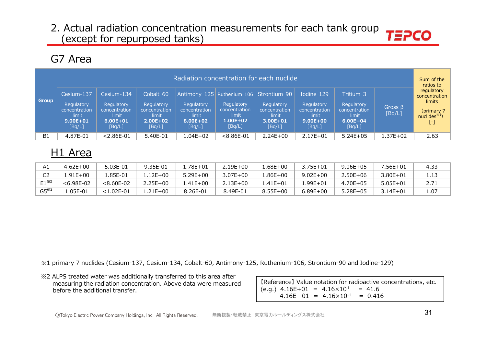### G7 Area

| <b>Group</b> | Cesium-137<br>Regulatory<br>concentration<br>limit<br>$9.00E + 01$<br>[Bq/L] | Cesium-134<br>Regulatory<br>concentration<br>limit<br>$6.00E + 01$<br>[Bq/L] | Cobalt-60<br>Regulatory<br>concentration<br>limit.<br>$2.00E + 02$<br>[Bq/L] | Radiation concentration for each nuclide<br>Regulatory<br>concentration<br>limit<br>8.00E+02<br>[Bq/L] | Antimony-125   Ruthenium-106   Strontium-90<br>Regulatory<br>concentration<br>limit<br>$1.00E + 02$<br>[Bq/L] | Regulatory<br>concentration<br>limit.<br>$3.00E + 01$<br>[Bq/L] | Iodine-129<br>Regulatory<br>concentration<br>limit<br>$9.00E + 00$<br>[Bq/L] | Tritium-3<br>Regulatory<br>concentration<br>limit<br>$6.00E + 04$<br>[Bq/L] | Gross $\beta$<br>[Bq/L] | Sum of the<br>ratios to<br>regulatory<br>concentration<br>limits<br>(primary 7)<br>nuclees <sup>381</sup><br>$\left[ -\right]$ |
|--------------|------------------------------------------------------------------------------|------------------------------------------------------------------------------|------------------------------------------------------------------------------|--------------------------------------------------------------------------------------------------------|---------------------------------------------------------------------------------------------------------------|-----------------------------------------------------------------|------------------------------------------------------------------------------|-----------------------------------------------------------------------------|-------------------------|--------------------------------------------------------------------------------------------------------------------------------|
| B1           | 4.87E-01                                                                     | $< 2.86E - 01$                                                               | 5.40E-01                                                                     | $1.04E + 02$                                                                                           | $< 8.86E - 01$                                                                                                | $2.24E+00$                                                      | $2.17E + 01$                                                                 | $5.24E + 05$                                                                | 1.37E+02                | 2.63                                                                                                                           |

# H1 Area

|                         | $4.62E + 00$   | 5.03E-01       | 9.35E-01     | .78E+01      | 2.19E+00     | $.68E + 00$  | $3.75E + 01$ | $9.06E + 05$ | $.56E+01$    | 4.33 |
|-------------------------|----------------|----------------|--------------|--------------|--------------|--------------|--------------|--------------|--------------|------|
|                         | $.91E+00$      | .85E-01        | .12E+00      | $5.29E + 00$ | $3.07E + 00$ | l.86E+00     | $9.02E + 00$ | 2.50E+06     | $3.80E + 01$ | 1.13 |
| $F1^{*2}$               | $< 6.98E - 02$ | $< 8.60E - 02$ | $2.25E + 00$ | $.41E + 00$  | $2.13E + 00$ | $.41F + 01$  | $.99E + 01$  | 4.70E+05     | $5.05E + 01$ |      |
| $GS^{\divideontimes 2}$ | .05E-01        | $< 1.02E - 01$ | .21E+00      | 8.26E-01     | 8.49E-01     | $8.55E + 00$ | $6.89E + 00$ | $5.28E + 05$ | $3.14E + 01$ | 1.07 |

※1 primary 7 nuclides (Cesium-137, Cesium-134, Cobalt-60, Antimony-125, Ruthenium-106, Strontium-90 and Iodine-129)

※2 ALPS treated water was additionally transferred to this area after measuring the radiation concentration. Above data were measured before the additional transfer.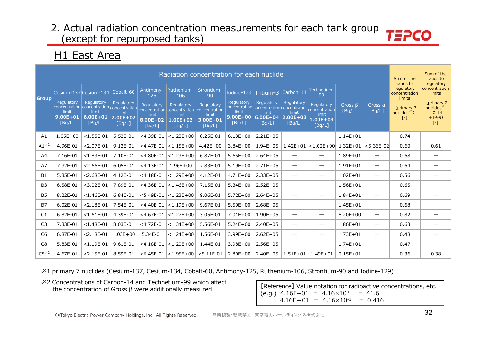### **H1 East Area**

|                 |                                               |                                                                    |                                                            |                                                               |                                                                                                                                         | Radiation concentration for each nuclide                                           |                                               |                                                                                                                                  |                                                            |                                                                    |                         |                                 | Sum of the<br>ratios to                                                       | Sum of the<br>ratios to<br>regulatory                                                           |
|-----------------|-----------------------------------------------|--------------------------------------------------------------------|------------------------------------------------------------|---------------------------------------------------------------|-----------------------------------------------------------------------------------------------------------------------------------------|------------------------------------------------------------------------------------|-----------------------------------------------|----------------------------------------------------------------------------------------------------------------------------------|------------------------------------------------------------|--------------------------------------------------------------------|-------------------------|---------------------------------|-------------------------------------------------------------------------------|-------------------------------------------------------------------------------------------------|
| <b>Group</b>    | Regulatory<br>limit<br>$9.00E + 01$<br>[Bq/L] | Cesium-137 Cesium-134<br>Regulatory<br>limit<br>6.00E+01<br>[Bq/L] | Cobalt-60<br>Regulatory<br>limit<br>$2.00E + 02$<br>[Bq/L] | Antimony-<br>125<br>Regulatory<br>limit<br>8.00E+02<br>[Bq/L] | Ruthenium-<br>106<br>Regulatory<br>concentration concentration concentration concentration concentration<br>limit<br>1.00E+02<br>[Bq/L] | Strontium-<br>90<br>Regulatory<br>concentration<br>limit<br>$3.00E + 01$<br>[Bq/L] | Regulatory<br>limit<br>$9.00E + 00$<br>[Bq/L] | Iodine-129 Tritium-3<br>Regulatory<br>concentration concentration concentration concentration<br>limit<br>$6.00E + 04$<br>[Bq/L] | Carbon-14<br>Regulatory<br>limit<br>$2.00E + 03$<br>[Bq/L] | Technetium-<br>99<br>Regulatory<br>limit<br>$1.00E + 03$<br>[Bq/L] | Gross $\beta$<br>[Bq/L] | Gross a<br>[Bq/L]               | regulatory<br>concentration<br>limits<br>(primary 7<br>nuclides $*1$<br>$[-]$ | concentration<br>limits<br>(primary 7<br>nuclees <sup>34</sup><br>$+C-14$<br>$+T-99$<br>$[ - ]$ |
| A1              | $1.05E + 00$                                  | $<$ 1.55E-01                                                       | 5.52E-01                                                   | $<$ 4.39E-01                                                  | $< 1.28E + 00$                                                                                                                          | 8.25E-01                                                                           | $6.13E + 00$                                  | $2.21E + 05$                                                                                                                     | $\qquad \qquad$                                            | $\hspace{0.1mm}-\hspace{0.1mm}$                                    | $1.14E + 01$            | $\overline{\phantom{0}}$        | 0.74                                                                          |                                                                                                 |
| $A1^{*2}$       | 4.96E-01                                      | $< 2.07E - 01$                                                     | 9.12E-01                                                   | $<$ 4.47E-01                                                  | $< 1.15E + 00$                                                                                                                          | $4.42E + 00$                                                                       | $3.84E + 00$                                  | $1.94E + 05$                                                                                                                     | $1.42E + 01$                                               | $ $ <1.02E+00 $ $                                                  | $1.32E + 01$            | $ $ <5.36E-02 $ $               | 0.60                                                                          | 0.61                                                                                            |
| A <sup>4</sup>  | 7.16E-01                                      | $< 1.83E - 01$                                                     | 7.10E-01                                                   | $<$ 4.80E-01                                                  | $< 1.23E + 00$                                                                                                                          | 6.87E-01                                                                           | $5.65E + 00$                                  | $2.64E + 05$                                                                                                                     | $\hspace{0.05cm}$                                          | $\hspace{0.05cm}$                                                  | $1.89E + 01$            | $\qquad \qquad$                 | 0.68                                                                          |                                                                                                 |
| A7              | 7.32E-01                                      | $< 2.66E - 01$                                                     | 6.05E-01                                                   | $<$ 4.13E-01                                                  | $1.96E + 00$                                                                                                                            | 7.83E-01                                                                           | $5.19E + 00$                                  | $2.71E + 05$                                                                                                                     | $\hspace{0.1mm}-\hspace{0.1mm}$                            | $\hspace{0.05cm}$                                                  | $1.91E + 01$            | $\hspace{0.1mm}-\hspace{0.1mm}$ | 0.64                                                                          |                                                                                                 |
| <b>B1</b>       | 5.35E-01                                      | $< 2.68E - 01$                                                     | 4.12E-01                                                   | $<$ 4.18E-01                                                  | $< 1.29E + 00$                                                                                                                          | 4.12E-01                                                                           | $4.71E + 00$                                  | $2.33E + 05$                                                                                                                     | $\overline{\phantom{m}}$                                   | $\hspace{0.1mm}-\hspace{0.1mm}$                                    | $1.02E + 01$            |                                 | 0.56                                                                          |                                                                                                 |
| B <sub>3</sub>  | 6.58E-01                                      | $<$ 3.02E-01                                                       | 7.89E-01                                                   | $<$ 4.36E-01                                                  | $< 1.46E + 00$                                                                                                                          | 7.15E-01                                                                           | $5.34E + 00$                                  | $2.52E + 05$                                                                                                                     | $\overbrace{\phantom{12333}}$                              | $\hspace{0.1mm}-\hspace{0.1mm}$                                    | $1.56E + 01$            | $\overline{\phantom{0}}$        | 0.65                                                                          |                                                                                                 |
| B <sub>5</sub>  | 8.22E-01                                      | $< 1.46E - 01$                                                     | 6.84E-01                                                   | $< 5.49E - 01$                                                | $< 1.23E + 00$                                                                                                                          | 9.06E-01                                                                           | $5.72E + 00$                                  | $2.64E + 05$                                                                                                                     |                                                            | $\hspace{0.05cm}$                                                  | $1.84E + 01$            | $\overline{\phantom{0}}$        | 0.69                                                                          |                                                                                                 |
| <b>B7</b>       | $6.02E - 01$                                  | $< 2.18E - 01$                                                     | 7.54E-01                                                   | $<$ 4.40E-01                                                  | $< 1.19E + 00$                                                                                                                          | 9.67E-01                                                                           | $5.59E + 00$                                  | $2.68E + 05$                                                                                                                     | $\hspace{0.05cm}$                                          | $\hspace{0.05cm}$                                                  | $1.45E + 01$            | $\overline{\phantom{0}}$        | 0.68                                                                          |                                                                                                 |
| C1              | 6.82E-01                                      | $< 1.61E - 01$                                                     | 4.39E-01                                                   | $<$ 4.67E-01                                                  | $< 1.27E + 00$                                                                                                                          | 3.05E-01                                                                           | $7.01E + 00$                                  | $1.90E + 05$                                                                                                                     | $\hspace{0.05cm}$                                          | $\hspace{0.1mm}-\hspace{0.1mm}$                                    | $8.20E + 00$            | $\overline{\phantom{0}}$        | 0.82                                                                          |                                                                                                 |
| C <sub>3</sub>  | 7.33E-01                                      | $< 1.48E - 01$                                                     | 8.03E-01                                                   | $<$ 4.72E-01                                                  | $< 1.34E + 00$                                                                                                                          | 5.56E-01                                                                           | $5.24E + 00$                                  | $2.40E + 05$                                                                                                                     | $\hspace{0.05cm}$                                          | $\hspace{0.1mm}-\hspace{0.1mm}$                                    | $1.86E + 01$            | $\overline{\phantom{0}}$        | 0.63                                                                          |                                                                                                 |
| C <sub>6</sub>  | 6.87E-01                                      | $< 2.18E - 01$                                                     | $1.03E + 00$                                               | 5.34E-01                                                      | $< 1.24E + 00$                                                                                                                          | 1.56E-01                                                                           | $3.99E + 00$                                  | $2.62E + 05$                                                                                                                     | $\overbrace{\phantom{12333}}$                              | $\hspace{0.1mm}-\hspace{0.1mm}$                                    | $1.73E + 01$            | $\overline{\phantom{0}}$        | 0.48                                                                          |                                                                                                 |
| C <sub>8</sub>  | 5.83E-01                                      | $< 1.19E - 01$                                                     | 9.61E-01                                                   | $<$ 4.18E-01                                                  | $< 1.20E + 00$                                                                                                                          | 1.44E-01                                                                           | $3.98E + 00$                                  | $2.56E + 05$                                                                                                                     | $\qquad \qquad$                                            | $\hspace{0.05cm}$                                                  | $1.74E + 01$            | $\qquad \qquad$                 | 0.47                                                                          |                                                                                                 |
| $C8^{\times 2}$ | 4.67E-01                                      | $< 2.15E - 01$                                                     | 8.59E-01                                                   |                                                               | $<$ 6.45E-01 $ $ < 1.95E+00 $ $                                                                                                         | $< 5.11E-01$                                                                       | $2.80E + 00$                                  | $2.40E + 05$                                                                                                                     | $1.51E + 01$                                               | $1.49E + 01$                                                       | $2.15E + 01$            | $\overline{\phantom{0}}$        | 0.36                                                                          | 0.38                                                                                            |

※1 primary 7 nuclides (Cesium-137, Cesium-134, Cobalt-60, Antimony-125, Ruthenium-106, Strontium-90 and Iodine-129)

※2 Concentrations of Carbon-14 and Technetium-99 which affect the concentration of Gross β were additionally measured.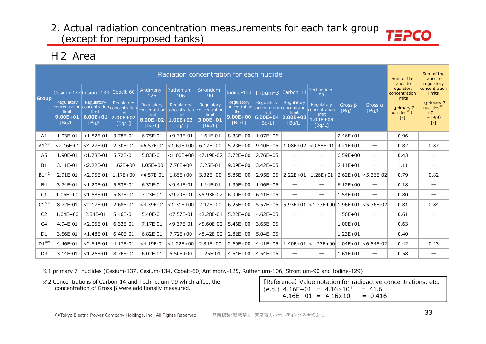### H2 Area

|                         |                                                                        |                                                                                                      |                                                            |                                                               | Radiation concentration for each nuclide                                        |                                                                                    |                                                                                                                        |                                                            |                                                                                                                                                                                                                                                                                                                                                                                               |                                                                    |                         |                                 | Sum of the<br>ratios to                                                          | Sum of the<br>ratios to<br>regulatory                                                           |
|-------------------------|------------------------------------------------------------------------|------------------------------------------------------------------------------------------------------|------------------------------------------------------------|---------------------------------------------------------------|---------------------------------------------------------------------------------|------------------------------------------------------------------------------------|------------------------------------------------------------------------------------------------------------------------|------------------------------------------------------------|-----------------------------------------------------------------------------------------------------------------------------------------------------------------------------------------------------------------------------------------------------------------------------------------------------------------------------------------------------------------------------------------------|--------------------------------------------------------------------|-------------------------|---------------------------------|----------------------------------------------------------------------------------|-------------------------------------------------------------------------------------------------|
| <b>Group</b>            | Cesium-137 Cesium-134<br>Regulatory<br>limit<br>$9.00E + 01$<br>[Bq/L] | Regulatory<br>concentration concentration concentration concentration<br>limit<br>6.00E+01<br>[Bq/L] | Cobalt-60<br>Requlatory<br>limit<br>$2.00E + 02$<br>[Bq/L] | Antimony-<br>125<br>Regulatory<br>limit<br>8.00E+02<br>[Bq/L] | Ruthenium-<br>106<br>Regulatory<br>concentration<br>limit<br>1.00E+02<br>[Bq/L] | Strontium-<br>90<br>Regulatory<br>concentration<br>limit<br>$3.00E + 01$<br>[Bq/L] | Iodine-129<br>Regulatory<br>concentration concentration concentration concentration<br>limit<br>$9.00E + 00$<br>[Bq/L] | Tritium-3<br>Regulatory<br>limit<br>$6.00E + 04$<br>[Bq/L] | Carbon-14<br>Regulatory<br>limit<br>$2.00E + 03$<br>[Bq/L]                                                                                                                                                                                                                                                                                                                                    | Technetium-<br>99<br>Regulatory<br>limit<br>$1.00E + 03$<br>[Bq/L] | Gross $\beta$<br>[Bq/L] | Gross a<br>[Bq/L]               | regulatory<br>concentration<br>limits<br>(primary 7<br>$nuclees^{*1}$<br>$[ - ]$ | concentration<br>limits<br>(primary 7<br>nuclees <sup>34</sup><br>$+C-14$<br>$+T-99$<br>$[ - ]$ |
| A1                      | 1.03E-01                                                               | $< 1.82E - 01$                                                                                       | 3.78E-01                                                   | 6.75E-01                                                      | $< 9.73E - 01$                                                                  | 4.64E-01                                                                           | $8.33E + 00$                                                                                                           | $1.07E + 06$                                               |                                                                                                                                                                                                                                                                                                                                                                                               | $\hspace{0.05cm}$                                                  | $2.46E + 01$            | $\overline{\phantom{m}}$        | 0.96                                                                             |                                                                                                 |
| $A1^{\times 2}$         | $< 2.46E - 01$                                                         | $<$ 4.27E-01                                                                                         | 2.30E-01                                                   | $< 6.57E - 01$                                                | $< 1.69E + 00$                                                                  | $6.17E + 00$                                                                       | $5.23E+00$                                                                                                             | $9.40E + 05$                                               | $1.08E + 02$                                                                                                                                                                                                                                                                                                                                                                                  | $< 9.58E - 01$                                                     | $4.21E + 01$            | $\overbrace{\phantom{13333}}$   | 0.82                                                                             | 0.87                                                                                            |
| A5                      | 1.90E-01                                                               | $< 1.78E - 01$                                                                                       | 5.72E-01                                                   | 5.83E-01                                                      | $< 1.00E + 00$                                                                  | $< 7.19E - 02$                                                                     | $3.72E + 00$                                                                                                           | $2.76E + 05$                                               |                                                                                                                                                                                                                                                                                                                                                                                               | $\hspace{0.1mm}-\hspace{0.1mm}$                                    | $6.59E + 00$            |                                 | 0.43                                                                             | $\hspace{0.05cm}$                                                                               |
| <b>B1</b>               | 3.11E-01                                                               | $< 2.22E - 01$                                                                                       | $1.62E + 00$                                               | $1.05E + 00$                                                  | 7.70E+00                                                                        | 3.25E-01                                                                           | $9.09E + 00$                                                                                                           | $3.42E + 05$                                               | $\hspace{0.1mm}-\hspace{0.1mm}$                                                                                                                                                                                                                                                                                                                                                               | $\hspace{0.1mm}-\hspace{0.1mm}$                                    | $2.11E + 01$            | $\hspace{0.1mm}-\hspace{0.1mm}$ | 1.11                                                                             | $\hspace{0.05cm}$                                                                               |
| $B1^{\times 2}$         | 2.91E-01                                                               | $< 2.95E - 01$                                                                                       | $1.17E + 00$                                               | $<$ 4.57E-01                                                  | $1.85E + 00$                                                                    | $3.32E + 00$                                                                       | $5.85E+00$                                                                                                             | $2.95E + 05$                                               | $2.22E + 01$                                                                                                                                                                                                                                                                                                                                                                                  | $1.26E + 01$                                                       |                         | $2.62E+01$ < 5.36E-02           | 0.79                                                                             | 0.82                                                                                            |
| <b>B4</b>               | 3.74E-01                                                               | $< 1.20E - 01$                                                                                       | 5.53E-01                                                   | 6.32E-01                                                      | $< 9.44E - 01$                                                                  | 1.14E-01                                                                           | $1.39E + 00$                                                                                                           | $1.96E + 05$                                               | $\overline{\phantom{0}}$                                                                                                                                                                                                                                                                                                                                                                      | $\hspace{0.05cm}$                                                  | $6.12E + 00$            | $\overline{\phantom{0}}$        | 0.18                                                                             | $\overbrace{\phantom{13333}}$                                                                   |
| C1                      | $1.06E + 00$                                                           | $< 1.58E - 01$                                                                                       | 5.87E-01                                                   | 7.23E-01                                                      | $<$ 9.29E-01                                                                    | $< 5.93E - 02$                                                                     | $6.90E + 00$                                                                                                           | $6.41E + 05$                                               | $\hspace{1.0cm} \overline{\hspace{1.0cm} \hspace{1.0cm} \hspace{1.0cm} } \hspace{1.0cm} \hspace{1.0cm} \overline{\hspace{1.0cm} \hspace{1.0cm} \hspace{1.0cm} } \hspace{1.0cm} \hspace{1.0cm} \overline{\hspace{1.0cm} \hspace{1.0cm} \hspace{1.0cm} } \hspace{1.0cm} \hspace{1.0cm} \overline{\hspace{1.0cm} \hspace{1.0cm} \hspace{1.0cm} } \hspace{1.0cm} \hspace{1.0cm} \hspace{1.0cm} }$ | $\hspace{0.1mm}-\hspace{0.1mm}$                                    | $1.54E + 01$            |                                 | 0.80                                                                             | $\overbrace{\phantom{13333}}$                                                                   |
| $C1^{\divideontimes 2}$ | 8.72E-01                                                               | $< 2.17E - 01$                                                                                       | 2.68E-01                                                   | $<$ 4.39E-01                                                  | $< 1.31E + 00$                                                                  | $2.47E + 00$                                                                       | $6.25E + 00$                                                                                                           | $5.57E + 05$                                               | $5.93E + 01$                                                                                                                                                                                                                                                                                                                                                                                  | $ $ <1.23E+00 $ $ 1.96E+01                                         |                         | $ 5.36E-02$                     | 0.81                                                                             | 0.84                                                                                            |
| C <sub>2</sub>          | $1.04E + 00$                                                           | 2.34E-01                                                                                             | 5.46E-01                                                   | 5.40E-01                                                      | $< 7.57E - 01$                                                                  | $< 2.28E - 01$                                                                     | $5.22E + 00$                                                                                                           | $4.62E + 05$                                               | $\hspace{1.0cm} \overline{\hspace{1.0cm} \hspace{1.0cm} \hspace{1.0cm} } \hspace{1.0cm} \hspace{1.0cm} \overline{\hspace{1.0cm} \hspace{1.0cm} \hspace{1.0cm} } \hspace{1.0cm} \hspace{1.0cm} \overline{\hspace{1.0cm} \hspace{1.0cm} \hspace{1.0cm} } \hspace{1.0cm} \hspace{1.0cm} \overline{\hspace{1.0cm} \hspace{1.0cm} \hspace{1.0cm} } \hspace{1.0cm} \hspace{1.0cm} \hspace{1.0cm} }$ | $\hspace{0.1mm}-\hspace{0.1mm}$                                    | $1.56E + 01$            | $\qquad \qquad$                 | 0.61                                                                             | $\hspace{0.05cm}$                                                                               |
| C <sub>4</sub>          | 4.94E-01                                                               | $< 2.05E - 01$                                                                                       | 6.32E-01                                                   | 7.17E-01                                                      | $<$ 9.37E-01                                                                    | $< 5.60E - 02$                                                                     | $5.46E + 00$                                                                                                           | $3.65E + 05$                                               | $\overline{\phantom{m}}$                                                                                                                                                                                                                                                                                                                                                                      | $\hspace{0.1mm}-\hspace{0.1mm}$                                    | $1.00E + 01$            | $\overbrace{\phantom{13333}}$   | 0.63                                                                             |                                                                                                 |
| D <sub>1</sub>          | 3.56E-01                                                               | $< 1.48E - 01$                                                                                       | 6.40E-01                                                   | 6.82E-01                                                      | $7.72E + 00$                                                                    | $< 8.42E - 02$                                                                     | $2.82E+00$                                                                                                             | $5.04E + 05$                                               | $\hspace{0.1mm}-\hspace{0.1mm}$                                                                                                                                                                                                                                                                                                                                                               | $\hspace{0.1mm}-\hspace{0.1mm}$                                    | $1.23E + 01$            | $\overbrace{\phantom{12333}}$   | 0.40                                                                             | $\overbrace{\phantom{13333}}$                                                                   |
| $D1^{*2}$               | 4.46E-01                                                               | $< 2.64E - 01$                                                                                       | 4.17E-01                                                   | $<$ 4.19E-01                                                  | $< 1.22E + 00$                                                                  | $2.84E + 00$                                                                       | $2.69E + 00$                                                                                                           | $4.41E + 05$                                               | $1.40E + 01$                                                                                                                                                                                                                                                                                                                                                                                  | $ $ <1.23E+00 $ $ 1.04E+01                                         |                         | $ <$ 6.54E-02 $ $               | 0.42                                                                             | 0.43                                                                                            |
| D <sub>3</sub>          | 3.14E-01                                                               | $< 1.26E - 01$                                                                                       | 8.76E-01                                                   | 6.02E-01                                                      | $6.50E + 00$                                                                    | 2.25E-01                                                                           | $4.51E+00$                                                                                                             | $4.54E + 05$                                               |                                                                                                                                                                                                                                                                                                                                                                                               |                                                                    | $1.61E + 01$            |                                 | 0.58                                                                             |                                                                                                 |

※1 primary 7 nuclides (Cesium-137, Cesium-134, Cobalt-60, Antimony-125, Ruthenium-106, Strontium-90 and Iodine-129)

※2 Concentrations of Carbon-14 and Technetium-99 which affect the concentration of Gross β were additionally measured.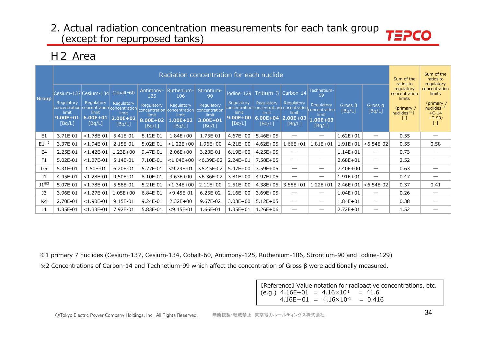### H2 Area

|                 |                                                                        |                                                                                            |                                                            |                                                                   | Radiation concentration for each nuclide                                                      |                                                                                       |                                               |                                                                                                                    |                                                            |                                                                                 |                   |                               | Sum of the<br>ratios to                                                                | Sum of the<br>ratios to<br>regulatory                                                            |
|-----------------|------------------------------------------------------------------------|--------------------------------------------------------------------------------------------|------------------------------------------------------------|-------------------------------------------------------------------|-----------------------------------------------------------------------------------------------|---------------------------------------------------------------------------------------|-----------------------------------------------|--------------------------------------------------------------------------------------------------------------------|------------------------------------------------------------|---------------------------------------------------------------------------------|-------------------|-------------------------------|----------------------------------------------------------------------------------------|--------------------------------------------------------------------------------------------------|
| <b>Group</b>    | Cesium-137 Cesium-134<br>Regulatory<br>limit<br>$9.00E + 01$<br>[Bq/L] | Regulatory<br>concentration concentration concentration<br>limit<br>$6.00E + 01$<br>[Bq/L] | Cobalt-60<br>Regulatory<br>limit<br>$2.00E + 02$<br>[Bq/L] | Antimony-<br>125<br>Regulatory<br>limit<br>$8.00E + 02$<br>[Bq/L] | Ruthenium-<br>106<br>Regulatory<br>concentration concentration<br>limit<br>1.00E+02<br>[Bq/L] | Strontium-<br>90<br><b>Regulatory</b><br>concentration<br>limit<br>3.00E+01<br>[Bq/L] | Regulatory<br>limit<br>$9.00E + 00$<br>[Bq/L] | Iodine-129 Tritium-3<br>Regulatory<br>concentration concentration concentration<br>limit<br>$6.00E + 04$<br>[Bq/L] | Carbon-14<br>Regulatory<br>limit<br>$2.00E + 03$<br>[Bq/L] | Technetium-<br>99<br>Regulatory<br>concentration<br>limit<br>1.00E+03<br>[Bq/L] | Gross B<br>[Bq/L] | Gross a<br>[Bq/L]             | regulatory<br>concentration<br>limits<br>(primary 7<br>nuclees <sup>1</sup><br>$[ - ]$ | concentration<br>limits<br>(primary 7<br>nuclides <sup>*1</sup><br>$+C-14$<br>$+T-99$<br>$[ - ]$ |
| E <sub>1</sub>  | 3.71E-01                                                               | $< 1.78E - 01$                                                                             | 5.41E-01                                                   | 8.12E-01                                                          | $1.84E + 00$                                                                                  | 1.75E-01                                                                              | $4.67E + 00$                                  | $5.46E + 05$                                                                                                       |                                                            | $\hspace{0.1mm}-\hspace{0.1mm}$                                                 | $1.62E + 01$      | $\overbrace{\phantom{12333}}$ | 0.55                                                                                   |                                                                                                  |
| $E1^{*2}$       | 3.37E-01                                                               | $< 1.94E - 01$                                                                             | 2.15E-01                                                   | 5.02E-01                                                          | $< 1.22E + 00$                                                                                | $1.96E + 00$                                                                          | $4.21E + 00$                                  | $4.62E + 05$                                                                                                       | $1.66E + 01$                                               | $1.81E + 01$                                                                    | $1.91E + 01$      | $< 6.54E - 02$                | 0.55                                                                                   | 0.58                                                                                             |
| E <sub>4</sub>  | 2.25E-01                                                               | $< 1.42E - 01$                                                                             | $1.23E + 00$                                               | 9.47E-01                                                          | $2.06E + 00$                                                                                  | 3.23E-01                                                                              | $6.19E + 00$                                  | $4.25E + 05$                                                                                                       |                                                            | $\overbrace{\phantom{12333}}$                                                   | $1.14E + 01$      | $\overbrace{\phantom{12333}}$ | 0.73                                                                                   |                                                                                                  |
| F <sub>1</sub>  | 5.02E-01                                                               | $< 1.27E - 01$                                                                             | 5.14E-01                                                   | 7.10E-01                                                          | $< 1.04E + 00$                                                                                | $< 6.39E - 02$                                                                        | $2.24E + 01$                                  | $7.58E + 05$                                                                                                       |                                                            | $\hspace{0.05cm}$                                                               | $2.68E + 01$      | $\overbrace{\phantom{12333}}$ | 2.52                                                                                   |                                                                                                  |
| G5              | 5.31E-01                                                               | 1.50E-01                                                                                   | 6.20E-01                                                   | 5.77E-01                                                          | $<$ 9.29E-01                                                                                  | $< 5.45E - 02$                                                                        | $5.47E + 00$                                  | $3.59E + 05$                                                                                                       |                                                            | $\hspace{0.1mm}-\hspace{0.1mm}$                                                 | 7.40E+00          |                               | 0.63                                                                                   |                                                                                                  |
| 11              | 4.45E-01                                                               | $< 1.28E - 01$                                                                             | 9.50E-01                                                   | 8.10E-01                                                          | $3.63E + 00$                                                                                  | $< 6.36E - 02$                                                                        | $3.81E + 00$                                  | $4.97E + 05$                                                                                                       | $\overbrace{\phantom{12332}}$                              | $\hspace{0.1mm}-\hspace{0.1mm}$                                                 | $1.91E + 01$      | $\overbrace{\phantom{12333}}$ | 0.47                                                                                   | $\overline{\phantom{a}}$                                                                         |
| $J1^{\times 2}$ | 5.07E-01                                                               | $< 1.78E - 01$                                                                             | 5.58E-01                                                   | 5.21E-01                                                          | $< 1.34E + 00$                                                                                | $2.11E+00$                                                                            | $2.51E+00$                                    | $4.38E + 05$                                                                                                       | $3.88E + 01$                                               | $1.22E + 01$                                                                    | $2.46E + 01$      | $< 6.54E-02$                  | 0.37                                                                                   | 0.41                                                                                             |
| J3              | 3.96E-01                                                               | $< 1.27E - 01$                                                                             | $.05E + 00$                                                | 6.84E-01                                                          | $<$ 9.45E-01                                                                                  | 6.25E-02                                                                              | $2.16E + 00$                                  | $3.69E + 05$                                                                                                       |                                                            | $\overbrace{\phantom{12333}}$                                                   | $1.04E + 01$      |                               | 0.26                                                                                   |                                                                                                  |
| K4              | 2.70E-01                                                               | $<$ 1.90E-01                                                                               | 9.15E-01                                                   | 9.24E-01                                                          | $2.32E + 00$                                                                                  | 9.67E-02                                                                              | $3.03E + 00$                                  | $5.12E + 05$                                                                                                       | $\overbrace{\phantom{12332}}$                              | $\hspace{0.1mm}-\hspace{0.1mm}$                                                 | $1.84E + 01$      | $\overbrace{\phantom{12333}}$ | 0.38                                                                                   |                                                                                                  |
| L1              | 1.35E-01                                                               | $< 1.33E - 01$                                                                             | 7.92E-01                                                   | 5.83E-01                                                          | $<$ 9.45E-01                                                                                  | 1.66E-01                                                                              | 1.35E+01                                      | $1.26E + 06$                                                                                                       |                                                            | $\hspace{0.05cm}$                                                               | $2.72E + 01$      | $\overbrace{\phantom{12333}}$ | 1.52                                                                                   |                                                                                                  |

※1 primary 7 nuclides (Cesium-137, Cesium-134, Cobalt-60, Antimony-125, Ruthenium-106, Strontium-90 and Iodine-129) ※2 Concentrations of Carbon-14 and Technetium-99 which affect the concentration of Gross β were additionally measured.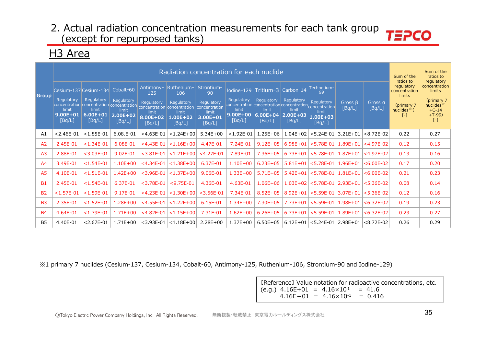# H3 Area

|                |                                               |                                                                    |                                                            |                                                               | Radiation concentration for each nuclide                                                                                                |                                                                                |                                                                                                                    |                                               |                                                            |                                                                                     |                                        |                              | Sum of the<br>ratios to                                                           | Sum of the<br>ratios to<br>regulatory                                                     |
|----------------|-----------------------------------------------|--------------------------------------------------------------------|------------------------------------------------------------|---------------------------------------------------------------|-----------------------------------------------------------------------------------------------------------------------------------------|--------------------------------------------------------------------------------|--------------------------------------------------------------------------------------------------------------------|-----------------------------------------------|------------------------------------------------------------|-------------------------------------------------------------------------------------|----------------------------------------|------------------------------|-----------------------------------------------------------------------------------|-------------------------------------------------------------------------------------------|
| <b>Group</b>   | Regulatory<br>limit<br>$9.00E + 01$<br>[Bq/L] | Cesium-137 Cesium-134<br>Regulatory<br>limit<br>6.00E+01<br>[Bq/L] | Cobalt-60<br>Regulatory<br>limit<br>$2.00E + 02$<br>[Bq/L] | Antimony-<br>125<br>Regulatory<br>limit<br>8.00E+02<br>[Bq/L] | Ruthenium-<br>106<br>Regulatory<br>concentration concentration concentration concentration concentration<br>limit<br>1.00E+02<br>[Bq/L] | Strontium-<br>90<br>Regulatory<br>concentration<br>limit<br>3.00E+01<br>[Bq/L] | Iodine-129 Tritium-3<br>Regulatory<br>concentration concentration concentration<br>limit<br>$9.00E + 00$<br>[Bq/L] | Regulatory<br>limit<br>$6.00E + 04$<br>[Bq/L] | Carbon-14<br>Regulatory<br>limit<br>$2.00E + 03$<br>[Bq/L] | Technetium-<br>99<br>Regulatory<br>concentration<br>limit<br>$1.00E + 03$<br>[Bq/L] | Gross $\beta$<br>[Bq/L]                | Gross <sub>a</sub><br>[Bq/L] | regulatory<br>concentration<br>limits<br>(primary 7<br>nuclides $*1$ )<br>$[ - ]$ | concentration<br>limits<br>(primary 7<br>nuclides $*1$<br>$+C-14$<br>$+T-99$<br>$[\cdot]$ |
| A1             | $< 2.46E - 01$                                | $< 1.85E - 01$                                                     | 6.08.E-01                                                  | $<$ 4.63E-01                                                  | $< 1.24E + 00$                                                                                                                          | $5.34E + 00$                                                                   | $<$ 1.92E-01                                                                                                       | $1.25E + 06$                                  | $1.04E + 02$                                               | $< 5.24E - 01$                                                                      | $3.21E + 01$                           | $< 8.72E - 02$               | 0.22                                                                              | 0.27                                                                                      |
| A <sub>2</sub> | 2.45E-01                                      | $< 1.34E - 01$                                                     | 6.08E-01                                                   | $<$ 4.43E-01                                                  | $< 1.16E + 00$                                                                                                                          | 4.47E-01                                                                       | 7.24E-01                                                                                                           | $9.12E + 05$                                  | $6.98E + 01$                                               | $< 5.78E - 01$                                                                      | $1.89E + 01$                           | $ <$ 4.97E-02                | 0.12                                                                              | 0.15                                                                                      |
| A <sub>3</sub> | 2.88E-01                                      | $<$ 3.03E-01                                                       | 9.02E-01                                                   | $<$ 3.81E-01                                                  | $< 1.21E + 00$                                                                                                                          | $<$ 4.27E-01                                                                   | 7.89E-01                                                                                                           | $7.36E + 05$                                  | $6.73E + 01$                                               | $< 5.78E - 01$                                                                      | $1.87E+01$ $\leq 4.97E-02$             |                              | 0.13                                                                              | 0.16                                                                                      |
| A4             | 3.49E-01                                      | $< 1.54E - 01$                                                     | $1.10E + 00$                                               | $<$ 4.34E-01                                                  | $< 1.38E + 00$                                                                                                                          | 6.37E-01                                                                       | $1.10E + 00$                                                                                                       | $6.23E + 05$                                  | $5.81E + 01$                                               | $< 5.78E - 01$                                                                      | $ 1.96E+01 < 6.00E-02$                 |                              | 0.17                                                                              | 0.20                                                                                      |
| A <sub>5</sub> | 4.10E-01                                      | $< 1.51E - 01$                                                     | $1.42E + 00$                                               | $<$ 3.96E-01                                                  | $< 1.37E + 00$                                                                                                                          | 9.06E-01                                                                       | $1.33E + 00$                                                                                                       | $5.71E + 05$                                  | $5.42E + 01$                                               | $< 5.78E - 01$                                                                      | $1.81E+01$                             | $< 6.00E - 02$               | 0.21                                                                              | 0.23                                                                                      |
| <b>B1</b>      | 2.45E-01                                      | $< 1.54E - 01$                                                     | 6.37E-01                                                   | $<$ 3.78E-01                                                  | $<$ 9.75E-01                                                                                                                            | 4.36E-01                                                                       | 4.63E-01                                                                                                           | $1.06E + 06$                                  | $1.03E + 02$                                               | $< 5.78E - 01$                                                                      | $ 2.93E + 01$                          | $< 5.36E - 02$               | 0.08                                                                              | 0.14                                                                                      |
| <b>B2</b>      | $< 1.57E - 01$                                | $< 1.59E - 01$                                                     | 9.17E-01                                                   | $<$ 4.23E-01                                                  | $< 1.30E + 00$                                                                                                                          | $<$ 3.56E-01                                                                   | 7.34E-01                                                                                                           | $8.52E + 05$                                  | $8.92E + 01$                                               | $< 5.59E - 01$                                                                      | $ 3.07E + 01  < 5.36E - 02$            |                              | 0.12                                                                              | 0.16                                                                                      |
| <b>B3</b>      | 2.35E-01                                      | $< 1.52E - 01$                                                     | $1.28E + 00$                                               | $<$ 4.55E-01                                                  | $< 1.22E + 00$                                                                                                                          | 6.15E-01                                                                       | $1.34E + 00$                                                                                                       | $7.30E + 05$                                  | $7.73E + 01$                                               |                                                                                     | $<$ 5.59E-01   1.98E+01   $<$ 6.32E-02 |                              | 0.19                                                                              | 0.23                                                                                      |
| <b>B4</b>      | 4.64E-01                                      | $< 1.79E - 01$                                                     | $1.71E + 00$                                               | $<$ 4.82E-01                                                  | $< 1.15E + 00$                                                                                                                          | 7.31E-01                                                                       | $1.62E + 00$                                                                                                       | $6.26E + 05$                                  | $6.73E + 01$                                               | $< 5.59E - 01$                                                                      | $1.89E + 01$                           | $< 6.32E - 02$               | 0.23                                                                              | 0.27                                                                                      |
| <b>B5</b>      | 4.40E-01                                      | $< 2.67E - 01$                                                     | $1.71E + 00$                                               | $<$ 3.93E-01                                                  | $\vert$ < 1.18E+00 $\vert$                                                                                                              | $2.28E + 00$                                                                   | $1.37E + 00$                                                                                                       | $6.50E + 05$                                  | $6.12E + 01$                                               |                                                                                     | $ $ <5.24E-01   2.98E+01 $ $ <8.72E-02 |                              | 0.26                                                                              | 0.29                                                                                      |

※1 primary 7 nuclides (Cesium-137, Cesium-134, Cobalt-60, Antimony-125, Ruthenium-106, Strontium-90 and Iodine-129)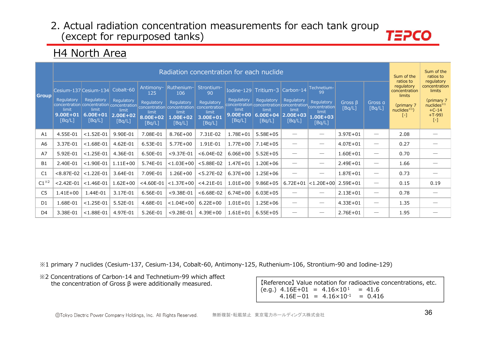# *TEPCO*

# H4 North Area

|                |                                               |                                                                        |                                                            |                                                               |                                                                                                                                         | Radiation concentration for each nuclide                                       |                                               |                                                                                                                                  |                                                            |                                                                    |                         |                                                                                                                                                                                                                                                                                                                                                                                               | Sum of the<br>ratios to                                                         | Sum of the<br>ratios to<br>regulatory                                                           |
|----------------|-----------------------------------------------|------------------------------------------------------------------------|------------------------------------------------------------|---------------------------------------------------------------|-----------------------------------------------------------------------------------------------------------------------------------------|--------------------------------------------------------------------------------|-----------------------------------------------|----------------------------------------------------------------------------------------------------------------------------------|------------------------------------------------------------|--------------------------------------------------------------------|-------------------------|-----------------------------------------------------------------------------------------------------------------------------------------------------------------------------------------------------------------------------------------------------------------------------------------------------------------------------------------------------------------------------------------------|---------------------------------------------------------------------------------|-------------------------------------------------------------------------------------------------|
| <b>Group</b>   | Regulatory<br>limit<br>$9.00E + 01$<br>[Bq/L] | Cesium-137 Cesium-134<br>Regulatory<br>limit<br>$6.00E + 01$<br>[Bq/L] | Cobalt-60<br>Regulatory<br>limit<br>$2.00E + 02$<br>[Bq/L] | Antimony-<br>125<br>Regulatory<br>limit<br>8.00E+02<br>[Bq/L] | Ruthenium-<br>106<br>Regulatory<br>concentration concentration concentration concentration concentration<br>limit<br>1.00E+02<br>[Bq/L] | Strontium-<br>90<br>Regulatory<br>concentration<br>limit<br>3.00E+01<br>[Bq/L] | Regulatory<br>limit<br>$9.00E + 00$<br>[Bq/L] | Iodine-129 Tritium-3<br>Regulatory<br>concentration concentration concentration concentration<br>limit<br>$6.00E + 04$<br>[Bq/L] | Carbon-14<br>Regulatory<br>limit<br>$2.00E + 03$<br>[Bq/L] | Technetium-<br>99<br>Regulatory<br>limit<br>$1.00E + 03$<br>[Bq/L] | Gross $\beta$<br>[Bq/L] | Gross a<br>[Bq/L]                                                                                                                                                                                                                                                                                                                                                                             | regulatory<br>concentration<br>limits<br>(primary 7<br>nuclides $*1$<br>$[ - ]$ | concentration<br>limits<br>(primary 7<br>nuclees <sup>34</sup><br>$+C-14$<br>$+T-99$<br>$[ - ]$ |
| A1             | 4.55E-01                                      | $< 1.52E - 01$                                                         | 9.90E-01                                                   | 7.08E-01                                                      | 8.76E+00                                                                                                                                | 7.31E-02                                                                       | 1.78E+01                                      | $5.58E + 05$                                                                                                                     |                                                            | $\hspace{0.1mm}-\hspace{0.1mm}$                                    | $3.97E + 01$            |                                                                                                                                                                                                                                                                                                                                                                                               | 2.08                                                                            |                                                                                                 |
| A6             | 3.37E-01                                      | $< 1.68E - 01$                                                         | 4.62E-01                                                   | 6.53E-01                                                      | $5.77E + 00$                                                                                                                            | 1.91E-01                                                                       | $1.77E + 00$                                  | $7.14E + 05$                                                                                                                     |                                                            | $\overbrace{\phantom{12332}}$                                      | $4.07E + 01$            | $\overline{\phantom{0}}$                                                                                                                                                                                                                                                                                                                                                                      | 0.27                                                                            |                                                                                                 |
| A7             | 5.92E-01                                      | $< 1.25E - 01$                                                         | 4.36E-01                                                   | 6.50E-01                                                      | $<$ 9.37E-01                                                                                                                            | $< 6.04E - 02$                                                                 | $6.06E + 00$                                  | $5.52E + 05$                                                                                                                     |                                                            | $\overbrace{\phantom{12333}}$                                      | $1.60E + 01$            | $\hspace{1.0cm} \overline{\hspace{1.0cm} \hspace{1.0cm} \hspace{1.0cm} } \hspace{1.0cm} \hspace{1.0cm} \overline{\hspace{1.0cm} \hspace{1.0cm} \hspace{1.0cm} } \hspace{1.0cm} \hspace{1.0cm} \overline{\hspace{1.0cm} \hspace{1.0cm} \hspace{1.0cm} } \hspace{1.0cm} \hspace{1.0cm} \overline{\hspace{1.0cm} \hspace{1.0cm} \hspace{1.0cm} } \hspace{1.0cm} \hspace{1.0cm} \hspace{1.0cm} }$ | 0.70                                                                            |                                                                                                 |
| <b>B1</b>      | 2.40E-01                                      | $<$ 1.90E-01                                                           | $1.11E + 00$                                               | 5.74E-01                                                      | $< 1.03E + 00$                                                                                                                          | $< 5.88E - 02$                                                                 | $1.47E + 01$                                  | $1.20E + 06$                                                                                                                     |                                                            | $\hspace{0.1mm}-\hspace{0.1mm}$                                    | $2.49E + 01$            | $\hspace{1.0cm} \overline{\hspace{1.0cm} \hspace{1.0cm} \hspace{1.0cm} } \hspace{1.0cm} \hspace{1.0cm} \overline{\hspace{1.0cm} \hspace{1.0cm} \hspace{1.0cm} } \hspace{1.0cm} \hspace{1.0cm} \overline{\hspace{1.0cm} \hspace{1.0cm} \hspace{1.0cm} } \hspace{1.0cm} \hspace{1.0cm} \overline{\hspace{1.0cm} \hspace{1.0cm} \hspace{1.0cm} } \hspace{1.0cm} \hspace{1.0cm} \hspace{1.0cm} }$ | 1.66                                                                            |                                                                                                 |
| C1             | $< 8.87E - 02$                                | $< 1.22E - 01$                                                         | 3.64E-01                                                   | 7.09E-01                                                      | $1.26E + 00$                                                                                                                            | $< 5.27E - 02$                                                                 | $6.37E + 00$                                  | $1.25E + 06$                                                                                                                     |                                                            |                                                                    | $1.87E + 01$            | $\overline{\phantom{0}}$                                                                                                                                                                                                                                                                                                                                                                      | 0.73                                                                            |                                                                                                 |
| $C1^{*2}$      | $< 2.42E - 01$                                | $< 1.46E - 01$                                                         | $1.62E + 00$                                               | $<$ 4.60E-01                                                  | $< 1.37E + 00$                                                                                                                          | $<$ 4.21E-01                                                                   | $1.01E + 00$                                  | $9.86E + 05$                                                                                                                     |                                                            | 6.72E+01 $ <1.20E+00$ 2.59E+01                                     |                         |                                                                                                                                                                                                                                                                                                                                                                                               | 0.15                                                                            | 0.19                                                                                            |
| C <sub>5</sub> | $1.41E + 00$                                  | 1.44E-01                                                               | 3.17E-01                                                   | 6.56E-01                                                      | $<$ 9.38E-01                                                                                                                            | $< 6.68E - 02$                                                                 | $6.74E + 00$                                  | $6.03E + 05$                                                                                                                     |                                                            |                                                                    | $2.13E + 01$            | $\overline{\phantom{0}}$                                                                                                                                                                                                                                                                                                                                                                      | 0.78                                                                            |                                                                                                 |
| D <sub>1</sub> | 1.68E-01                                      | $< 1.25E - 01$                                                         | 5.52E-01                                                   | 4.68E-01                                                      | $< 1.04E + 00$                                                                                                                          | $6.22E + 00$                                                                   | $1.01E + 01$                                  | $1.25E + 06$                                                                                                                     |                                                            | $\hspace{0.1mm}-\hspace{0.1mm}$                                    | $4.33E + 01$            | $\overline{\phantom{0}}$                                                                                                                                                                                                                                                                                                                                                                      | 1.35                                                                            |                                                                                                 |
| D4             | 3.38E-01                                      | $< 1.88E - 01$                                                         | 4.97E-01                                                   | 5.26E-01                                                      | $<$ 9.28E-01                                                                                                                            | $4.39E + 00$                                                                   | $1.61E + 01$                                  | $6.55E + 05$                                                                                                                     |                                                            | $\hspace{0.1mm}-\hspace{0.1mm}$                                    | $2.76E + 01$            |                                                                                                                                                                                                                                                                                                                                                                                               | 1.95                                                                            |                                                                                                 |

※1 primary 7 nuclides (Cesium-137, Cesium-134, Cobalt-60, Antimony-125, Ruthenium-106, Strontium-90 and Iodine-129)

※2 Concentrations of Carbon-14 and Technetium-99 which affect the concentration of Gross β were additionally measured.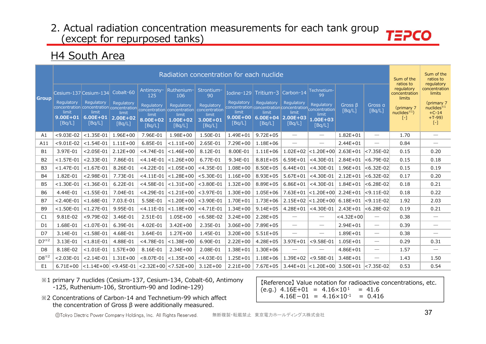H4 South Area

|                |                                               |                                                                                            |                                               |                                           | Radiation concentration for each nuclide                                     |                                                                |                                               |                                                                                   |                                                      |                                                                |                         |                                 | Sum of the<br>ratios to               | Sum of the<br>ratios to<br>regulatory                          |
|----------------|-----------------------------------------------|--------------------------------------------------------------------------------------------|-----------------------------------------------|-------------------------------------------|------------------------------------------------------------------------------|----------------------------------------------------------------|-----------------------------------------------|-----------------------------------------------------------------------------------|------------------------------------------------------|----------------------------------------------------------------|-------------------------|---------------------------------|---------------------------------------|----------------------------------------------------------------|
| <b>Group</b>   | Cesium-137 Cesium-134                         |                                                                                            | Cobalt-60                                     | Antimony-<br>125                          | Ruthenium-<br>106                                                            | Strontium-<br>90                                               |                                               | Iodine-129 Tritium-3                                                              | Carbon-14                                            | Technetium-<br>99                                              |                         |                                 | regulatory<br>concentration<br>limits | concentration<br>limits                                        |
|                | Regulatory<br>limit<br>$9.00E + 01$<br>[Bq/L] | Regulatory<br>concentration concentration concentration<br>limit<br>$6.00E + 01$<br>[Bq/L] | Regulatory<br>limit<br>$2.00E + 02$<br>[Bq/L] | Regulatory<br>limit<br>8.00E+02<br>[Bq/L] | Regulatory<br>concentration concentration<br>limit<br>$1.00E + 02$<br>[Bq/L] | Regulatory<br>concentration<br>limit<br>$3.00E + 01$<br>[Bq/L] | Regulatory<br>limit<br>$9.00E + 00$<br>[Bq/L] | <b>Regulatory</b><br>concentration concentration concentration<br>limit<br>[Bq/L] | Regulatory<br>limit<br>$6.00E+04$ 2.00E+03<br>[Bq/L] | Regulatory<br>concentration<br>limit<br>$1.00E + 03$<br>[Bq/L] | Gross $\beta$<br>[Bq/L] | Gross a<br>[Bq/L]               | (primary 7<br>nuclides $*1$<br>[-]    | (primary 7<br>nuclides $*1$<br>$+C-14$<br>$+T-99$<br>$[\cdot]$ |
| A1             | $<$ 9.03E-02                                  | $< 1.35E - 01$                                                                             | $1.96E + 00$                                  | 7.96E-01                                  | $1.98E + 00$                                                                 | 1.50E-01                                                       | $1.49E + 01$                                  | $9.72E + 05$                                                                      | $\overbrace{\phantom{12322111}}$                     | $\hspace{0.1mm}-\hspace{0.1mm}$                                | $1.82E + 01$            | $\hspace{0.05cm}$               | 1.70                                  |                                                                |
| A11            | $< 9.01E - 02$                                | $< 1.54E - 01$                                                                             | $1.11E + 00$                                  | 6.85E-01                                  | $< 1.11E + 00$                                                               | 2.65E-01                                                       | 7.29E+00                                      | $1.18E + 06$                                                                      | $\hspace{0.1mm}-\hspace{0.1mm}$                      | $\hspace{0.1mm}-\hspace{0.1mm}$                                | $2.44E + 01$            | $\hspace{0.05cm}$               | 0.84                                  | $\overline{\phantom{0}}$                                       |
| <b>B1</b>      | 3.97E-01                                      | $< 2.05E - 01$                                                                             | $2.12E + 00$                                  | $<$ 4.74E-01                              | $< 1.46E + 00$                                                               | 8.12E-01                                                       | 8.00E-01                                      | $1.11E + 06$                                                                      | $1.02E + 02$                                         | $ $ <1.20E+00 $ $                                              | $2.63E + 01$            | $< 7.35E - 02$                  | 0.15                                  | 0.20                                                           |
| <b>B2</b>      | $< 1.57E - 01$                                | $< 2.33E - 01$                                                                             | 7.86E-01                                      | $<$ 4.14E-01                              | $< 1.26E + 00$                                                               | 6.77E-01                                                       | 9.34E-01                                      | $8.81E + 05$                                                                      | $6.59E + 01$                                         | $<$ 4.30E-01                                                   | $2.84E + 01$            | $< 6.79E - 02$                  | 0.15                                  | 0.18                                                           |
| <b>B3</b>      | $< 1.47E - 01$                                | $< 1.67E - 01$                                                                             | 8.26E-01                                      | $<$ 4.22E-01                              | $< 1.05E + 00$                                                               | $<$ 4.35E-01                                                   | $1.08E + 00$                                  | $8.50E + 05$                                                                      | $6.44E + 01$                                         | $<$ 4.30E-01                                                   | $1.96E + 01$            | $< 6.32E - 02$                  | 0.15                                  | 0.19                                                           |
| <b>B4</b>      | 1.82E-01                                      | $< 2.98E - 01$                                                                             | 7.73E-01                                      | $<$ 4.11E-01                              | $< 1.28E + 00$                                                               | $< 5.30E - 01$                                                 | $1.16E + 00$                                  | $8.93E + 05$                                                                      | $5.67E + 01$                                         | $<$ 4.30E-01                                                   | $2.12E + 01$            | $< 6.32E - 02$                  | 0.17                                  | 0.20                                                           |
| <b>B5</b>      | $< 1.30E - 01$                                | $< 1.36E - 01$                                                                             | 6.22E-01                                      | $<$ 4.58E-01                              | $< 1.31E + 00$                                                               | $<$ 3.80E-01                                                   | $1.32E + 00$                                  | 8.89E+05                                                                          | $6.86E + 01$                                         | $<$ 4.30E-01                                                   | $1.84E + 01$            | $< 6.28E - 02$                  | 0.18                                  | 0.21                                                           |
| <b>B6</b>      | 4.44E-01                                      | $< 1.55E - 01$                                                                             | 7.04E-01                                      | $<$ 4.29E-01                              | $< 1.21E + 00$                                                               | $<$ 3.97E-01                                                   | $1.30E + 00$                                  | $1.05E + 06$                                                                      |                                                      | 7.63E+01 <1.20E+00                                             | $2.24E + 01$            | $<$ 9.11E-02                    | 0.18                                  | 0.22                                                           |
| <b>B7</b>      | $< 2.40E - 01$                                | $< 1.68E - 01$                                                                             | 7.03.E-01                                     | 5.58E-01                                  | $< 1.20E + 00$                                                               | $<$ 3.90E-01                                                   | $1.70E + 01$                                  | $1.73E + 06$                                                                      | $2.15E + 02$                                         | $ $ < 1.20E + 00 $ $                                           | $6.18E + 01$            | $< 9.11E - 02$                  | 1.92                                  | 2.03                                                           |
| <b>B9</b>      | $< 1.50E - 01$                                | $< 1.27E - 01$                                                                             | 9.95E-01                                      | $<$ 4.11E-01                              | $< 1.18E + 00$                                                               | $<$ 4.71E-01                                                   | $1.34E + 00$                                  | $9.14E + 05$                                                                      | $4.28E + 01$                                         | $<$ 4.30E-01                                                   | $2.43E + 01$            | $< 6.28E - 02$                  | 0.19                                  | 0.21                                                           |
| C1             | 9.81E-02                                      | $<$ 9.79E-02                                                                               | 3.46E-01                                      | 2.51E-01                                  | $1.05E + 00$                                                                 | $< 6.58E - 02$                                                 | $3.24E + 00$                                  | $2.28E + 05$                                                                      |                                                      |                                                                | $<$ 4.32E+00            | $\equiv$                        | 0.38                                  |                                                                |
| D <sub>1</sub> | 1.68E-01                                      | $< 1.07E - 01$                                                                             | 6.39E-01                                      | 4.02E-01                                  | $3.42E + 00$                                                                 | 2.35E-01                                                       | $3.06E + 00$                                  | 7.89E+05                                                                          |                                                      | $\overbrace{\phantom{12333}}$                                  | $2.94E + 01$            | $\hspace{0.1mm}-\hspace{0.1mm}$ | 0.39                                  | $\overbrace{\phantom{12333}}$                                  |
| D7             | 3.14E-01                                      | $< 1.58E - 01$                                                                             | 4.68E-01                                      | 3.64E-01                                  | $1.27E + 00$                                                                 | 1.45E-01                                                       | $3.20E + 00$                                  | $5.51E+05$                                                                        |                                                      | $\hspace{0.1mm}-\hspace{0.1mm}$                                | $1.89E + 01$            | $\hspace{0.05cm}$               | 0.38                                  | $\overline{\phantom{0}}$                                       |
| $D7^{*2}$      | 3.13E-01                                      | $< 1.81E - 01$                                                                             | 4.88E-01                                      | $<$ 4.78E-01                              | $< 1.38E + 00$                                                               | 6.90E-01                                                       | $2.22E + 00$                                  | $4.28E + 05$                                                                      | $3.97E + 01$                                         | $<$ 9.58E-01                                                   | $1.05E + 01$            | $\hspace{0.1mm}-\hspace{0.1mm}$ | 0.29                                  | 0.31                                                           |
| D <sub>8</sub> | 8.18E-02                                      | $< 1.01E - 01$                                                                             | $1.57E + 00$                                  | 8.16E-01                                  | $2.34E + 00$                                                                 | 2.08E-01                                                       | 1.38E+01                                      | $1.30E + 06$                                                                      | $\hspace{0.05cm}$                                    | $\hspace{0.05cm}$                                              | $4.86E + 01$            | $\hspace{0.05cm}$               | 1.57                                  | $\overline{\phantom{0}}$                                       |
| $D8^{*2}$      | $< 2.03E - 01$                                | $< 2.14E - 01$                                                                             | $1.31E + 00$                                  | $< 8.07E - 01$                            | $< 1.35E + 00$                                                               | $<$ 4.03E-01                                                   | $1.25E + 01$                                  | $1.18E + 06$                                                                      | $1.39E + 02$                                         | $<$ 9.58E-01                                                   | $3.48E + 01$            |                                 | 1.43                                  | 1.50                                                           |
| E <sub>1</sub> | $6.71E + 00$                                  |                                                                                            |                                               |                                           | $ $ <1.14E+00 $ $ <9.45E-01 $ $ <2.32E+00 $ $ <7.52E+00 $ $                  | $3.12E + 00$                                                   | $2.21E+00$                                    | 7.67E+05                                                                          |                                                      | $3.44E+01$ < 1.20E+00                                          | $3.50E + 01$            | $< 7.35E - 02$                  | 0.53                                  | 0.54                                                           |

- \*1 primary 7 nuclides (Cesium-137, Cesium-134, Cobalt-60, Antimony -125, Ruthenium-106, Strontium-90 and Iodine-129)
- \*2 Concentrations of Carbon-14 and Technetium-99 which affect the concentration of Gross  $\beta$  were additionally measured.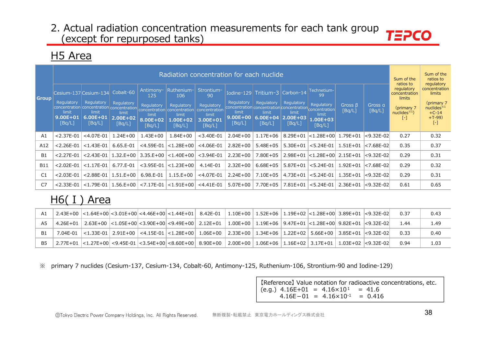# H<sub>5</sub> Area

|                |                                                                                  |                                                      |                                           |                                                               |                                                                                                                                          | Radiation concentration for each nuclide                                       |                                               |                                                                                                                    |                                                                   |                                                                                 |                         |                   | Sum of the                                                                             | Sum of the<br>ratios to                                                                             |
|----------------|----------------------------------------------------------------------------------|------------------------------------------------------|-------------------------------------------|---------------------------------------------------------------|------------------------------------------------------------------------------------------------------------------------------------------|--------------------------------------------------------------------------------|-----------------------------------------------|--------------------------------------------------------------------------------------------------------------------|-------------------------------------------------------------------|---------------------------------------------------------------------------------|-------------------------|-------------------|----------------------------------------------------------------------------------------|-----------------------------------------------------------------------------------------------------|
| <b>Group</b>   | Cesium-137 Cesium-134 Cobalt-60<br>Regulatory<br>limit<br>$9.00E + 01$<br>[Bq/L] | <b>Regulatory</b><br>limit<br>$6.00E + 01$<br>[Bq/L] | Regulatory<br>limit<br>2.00E+02<br>[Bq/L] | Antimony-<br>125<br>Regulatory<br>limit<br>8.00E+02<br>[Bq/L] | Ruthenium- <br>106<br>Regulatory<br>concentration concentration concentration concentration concentration<br>limit<br>1.00E+02<br>[Bq/L] | Strontium-<br>90<br>Regulatory<br>concentration<br>limit<br>3.00E+01<br>[Bq/L] | Regulatory<br>limit<br>$9.00E + 00$<br>[Bq/L] | Iodine-129 Tritium-3<br>Regulatory<br>concentration concentration concentration<br>limit<br>$6.00E + 04$<br>[Bq/L] | Carbon-14<br><b>Regulatory</b><br>limit<br>$2.00E + 03$<br>[Bq/L] | Technetium-<br>99<br>Regulatory<br>concentration<br>limit<br>1.00E+03<br>[Bq/L] | Gross $\beta$<br>[Bq/L] | Gross a<br>[Bq/L] | ratios to<br>regulatory<br>concentration<br>limits<br>(primary 7<br>nuclides $*1$<br>۰ | regulatory<br>concentration<br>limits<br>(primary 7<br>nuclides $*1$<br>$+C-14$<br>$+T-99$<br>$[-]$ |
| A1             | $< 2.37E - 01$                                                                   | $<$ 4.07E-01                                         | $.24E + 00$                               | $1.43E + 00$                                                  | $.84E+00$                                                                                                                                | $<$ 3.40E-01                                                                   | $2.04E + 00$                                  | $1.17E + 06$                                                                                                       | $8.29E + 01$                                                      | $ $ < 1.28E + 00 $ $                                                            | 1.79E+01                | l<9.32E-02l       | 0.27                                                                                   | 0.32                                                                                                |
| A12            | $< 2.26E - 01$                                                                   | $< 1.43E - 01$                                       | $6.65.E-01$                               | $<$ 4.59E-01                                                  | $ $ < 1.28E + 00                                                                                                                         | $<$ 4.06E-01                                                                   | $2.82E + 00$                                  | $5.48E + 05$                                                                                                       | $5.30E + 01$                                                      | $ $ < 5.24E-01                                                                  | $1.51E + 01$            | l<7.68E-02l       | 0.35                                                                                   | 0.37                                                                                                |
| <b>B1</b>      | $< 2.27E - 01$                                                                   | $< 2.43E - 01$                                       | $1.32.E+00$                               |                                                               | $3.35.E+00$ $ <$ 1.40E+00                                                                                                                | $<$ 3.94E-01                                                                   | $2.23E+00$                                    | 7.80E+05                                                                                                           |                                                                   | 2.98E+01 <1.28E+00 2.15E+01                                                     |                         | $ <$ 9.32E-02 $ $ | 0.29                                                                                   | 0.31                                                                                                |
| <b>B11</b>     | $< 2.02E - 01$                                                                   | $< 1.17E - 01$                                       | 6.77.E-01                                 | $<$ 3.95E-01                                                  | $\vert$ <1.23E+00 $\vert$                                                                                                                | 4.14E-01                                                                       | $2.32E+00$                                    | $6.68E + 05$                                                                                                       | $5.87E + 01$                                                      | $ $ < 5.24E-01                                                                  | $1.92E + 01$            | l<7.68E-02l       | 0.29                                                                                   | 0.32                                                                                                |
| C1             | $< 2.03E - 01$                                                                   | $< 2.88E - 01$                                       | $1.51.E+00$                               | 6.98.E-01                                                     | $1.15.E+00$                                                                                                                              | $<$ 4.07E-01                                                                   | $2.24E + 00$                                  | 7.10E+05                                                                                                           |                                                                   | $4.73E+01$ $\leq$ 5.24E-01                                                      | $1.35E + 01$            | $ <$ 9.32E-02 $ $ | 0.29                                                                                   | 0.31                                                                                                |
| C <sub>7</sub> | $< 2.33E - 01$                                                                   | $< 1.79E - 01$                                       |                                           |                                                               | $1.56.E+00$ $  < 7.17E-01$ $  < 1.91E+00$ $ $                                                                                            | $<$ 4.41E-01                                                                   | $5.07E + 00$                                  | 7.70E+05                                                                                                           |                                                                   | 7.81E+01 <5.24E-01                                                              | 2.36E+01                | $ <$ 9.32E-02 $ $ | 0.61                                                                                   | 0.65                                                                                                |

# $H6(1)$  Area

| A1        |  |  | 2.43E+00  <1.64E+00  <3.01E+00  <4.46E+00  <1.44E+01   8.42E-01   1.10E+00   1.52E+06   1.19E+02  <1.28E+00   3.89E+01  <9.32E-02  |  |  |  | 0.37 | 0.43 |
|-----------|--|--|------------------------------------------------------------------------------------------------------------------------------------|--|--|--|------|------|
| A5        |  |  | 4.26E+01   2.63E+00  <1.05E+00  <3.90E+00   <9.49E+00   2.12E+01   1.00E+00   1.19E+06   9.47E+01  <1.28E+00   9.82E+01  <9.32E-02 |  |  |  | 1.44 | 1.49 |
| B1        |  |  | 7.04E-01  <1.33E-01   2.91E+00   <4.15E-01  <1.28E+00   1.06E+00   2.33E+00   1.34E+06   1.22E+02   5.66E+00   3.85E+01  <9.32E-02 |  |  |  | 0.33 | 0.40 |
| <b>B5</b> |  |  | 2.77E+01  <1.27E+00 <9.45E-01  <3.54E+00 <8.60E+00  8.90E+00   2.00E+00   1.06E+06   1.16E+02   3.17E+01   1.03E+02  <9.32E-02     |  |  |  |      | 1.03 |

※ primary 7 nuclides (Cesium-137, Cesium-134, Cobalt-60, Antimony-125, Ruthenium-106, Strontium-90 and Iodine-129)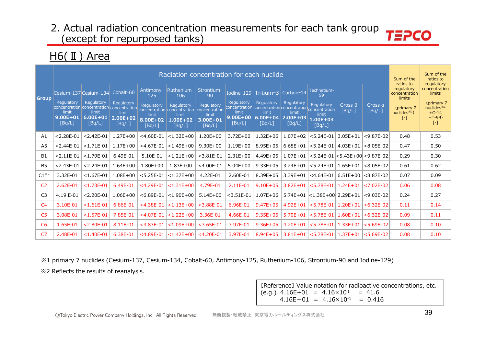### $HG(II)$  Area

|                         |                                               |                                               |                                               |                                           | Radiation concentration for each nuclide                                                                           |                                                            |                                               |                                                                                                          |                                               |                                                    |                   |                   | Sum of the<br>ratios to                       | Sum of the<br>ratios to<br>regulatory                          |
|-------------------------|-----------------------------------------------|-----------------------------------------------|-----------------------------------------------|-------------------------------------------|--------------------------------------------------------------------------------------------------------------------|------------------------------------------------------------|-----------------------------------------------|----------------------------------------------------------------------------------------------------------|-----------------------------------------------|----------------------------------------------------|-------------------|-------------------|-----------------------------------------------|----------------------------------------------------------------|
| <b>Group</b>            |                                               | Cesium-137 Cesium-134                         | Cobalt-60                                     | Antimony-<br>125                          | Ruthenium-<br>106                                                                                                  | Strontium-<br>90                                           |                                               | Iodine-129   Tritium-3                                                                                   | Carbon-14                                     | Technetium-<br>99                                  |                   |                   | regulatory<br>concentration<br>limits         | concentration<br>limits                                        |
|                         | Regulatory<br>limit<br>$9.00E + 01$<br>[Bq/L] | Regulatory<br>limit<br>$6.00E + 01$<br>[Bq/L] | Regulatory<br>limit<br>$2.00E + 02$<br>[Bq/L] | Regulatory<br>limit<br>8.00E+02<br>[Bq/L] | Regulatory<br>concentration concentration concentration concentration concentration<br>limit<br>1.00E+02<br>[Bq/L] | Regulatory<br>concentration<br>limit<br>3.00E+01<br>[Bq/L] | Regulatory<br>limit<br>$9.00E + 00$<br>[Bq/L] | Regulatory<br>concentration concentration concentration concentration<br>limit<br>$6.00E + 04$<br>[Bq/L] | Regulatory<br>limit<br>$2.00E + 03$<br>[Bq/L] | Regulatory<br>limit<br>$1.00E + 03$<br>[Bq/L]      | Gross B<br>[Bq/L] | Gross a<br>[Bq/L] | (primary 7<br>nuclees <sup>3</sup> 1<br>$[-]$ | (primary 7<br>nuclides $*1$<br>$+C-14$<br>$+T-99$<br>$[\cdot]$ |
| A1                      | $< 2.28E - 01$                                | $< 2.42E - 01$                                | $1.27E + 00$                                  | $<$ 4.60E-01                              | $< 1.32E + 00$                                                                                                     | $1.20E + 00$                                               | $3.72E + 00$                                  | $1.32E + 06$                                                                                             | $1.07E + 02$                                  | $<$ 5.24E-01                                       | $3.05E + 01$      | $<$ 9.87E-02      | 0.48                                          | 0.53                                                           |
| A <sub>5</sub>          | $< 2.44E - 01$                                | $< 1.71E - 01$                                | $1.17E + 00$                                  | $<$ 4.67E-01                              | $< 1.49E + 00$                                                                                                     | $9.30E + 00$                                               | $1.19E + 00$                                  | $8.95E + 05$                                                                                             | $6.68E + 01$                                  | $< 5.24E - 01$                                     | $4.03E + 01$      | $< 8.05E - 02$    | 0.47                                          | 0.50                                                           |
| <b>B1</b>               | $< 2.11E - 01$                                | $< 1.79E - 01$                                | 6.49E-01                                      | 5.10E-01                                  | $< 1.21E + 00$                                                                                                     | $<$ 3.81E-01                                               | $2.31E+00$                                    | 4.49E+05                                                                                                 | $1.07E + 01$                                  | <5.24E-01   <5.43E+00   <9.87E-02                  |                   |                   | 0.29                                          | 0.30                                                           |
| B <sub>5</sub>          | $< 2.43E - 01$                                | $< 2.24E - 01$                                | $1.64E + 00$                                  | $1.80E + 00$                              | $1.83E + 00$                                                                                                       | $<$ 4.00E-01                                               | $5.04E + 00$                                  | $9.33E + 05$                                                                                             | $3.24E + 01$                                  | $<$ 5.24E-01                                       | $1.65E + 01$      | $< 8.05E - 02$    | 0.61                                          | 0.62                                                           |
| $C1^{\divideontimes 2}$ | 3.32E-01                                      | $< 1.67E - 01$                                | $1.08E + 00$                                  | $< 5.25E - 01$                            | $ $ < 1.37E + 00                                                                                                   | 4.22E-01                                                   | 2.60E-01                                      | 8.39E+05                                                                                                 | $3.39E + 01$                                  | <4.64E-01   6.51E+00                               |                   | $ <\,8.87E-02$    | 0.07                                          | 0.09                                                           |
| C <sub>2</sub>          | 2.62E-01                                      | $< 1.73E - 01$                                | 6.49E-01                                      | $<$ 4.29E-01                              | $< 1.31E + 00$                                                                                                     | 4.79E-01                                                   | 2.11E-01                                      | $9.10E + 05$                                                                                             | $3.82E + 01$                                  | $< 5.78E - 01$                                     | $1.24E + 01$      | $< 7.02E - 02$    | 0.06                                          | 0.08                                                           |
| C <sub>3</sub>          | 4.19.E-01                                     | $< 2.20E - 01$                                | $1.06E + 00$                                  | $< 6.89E - 01$                            | $ $ < 1.90E + 00                                                                                                   | $5.14E + 00$                                               | $<$ 3.51E-01                                  | $1.07E + 06$                                                                                             |                                               | 5.74E+01 <1.38E+00 2.29E+01                        |                   | $<$ 9.03E-02      | 0.24                                          | 0.27                                                           |
| C <sub>4</sub>          | 3.10E-01                                      | $< 1.61E - 01$                                | 6.86E-01                                      | $<$ 4.38E-01                              | $< 1.13E + 00$                                                                                                     | $<$ 3.88E-01                                               | 6.96E-01                                      | $9.47E + 05$                                                                                             | $4.92E + 01$                                  | $< 5.78E - 01$                                     | $1.20E + 01$      | $< 6.32E - 02$    | 0.11                                          | 0.14                                                           |
| C <sub>5</sub>          | 3.08E-01                                      | $< 1.57E - 01$                                | 7.85E-01                                      | $<$ 4.07E-01                              | $ $ < 1.22E + 00                                                                                                   | 3.36E-01                                                   | 4.66E-01                                      | $9.35E + 05$                                                                                             | $5.70E + 01$                                  | $< 5.78E - 01$                                     | $1.60E + 01$      | $< 6.32E - 02$    | 0.09                                          | 0.11                                                           |
| C <sub>6</sub>          | 1.65E-01                                      | $< 2.80E - 01$                                | 8.11E-01                                      | $<$ 3.83E-01                              | $< 1.09E + 00$                                                                                                     | $<$ 3.65E-01                                               | 3.97E-01                                      | $9.36E + 05$                                                                                             | $4.20E + 01$                                  | $< 5.78E - 01$                                     | $1.33E + 01$      | $< 5.69E - 02$    | 0.08                                          | 0.10                                                           |
| C <sub>7</sub>          | 2.48E-01                                      | $< 1.40E - 01$                                | 6.38E-01                                      |                                           | $<$ 4.89E-01 $ $ < 1.42E+00 $ $                                                                                    | $<$ 4.20E-01                                               | 3.97E-01                                      | $8.94E + 05$                                                                                             |                                               | $3.81E+01$ $ <$ 5.78E-01 $ 1.37E+01$ $ <$ 5.69E-02 |                   |                   | 0.08                                          | 0.10                                                           |

%1 primary 7 nuclides (Cesium-137, Cesium-134, Cobalt-60, Antimony-125, Ruthenium-106, Strontium-90 and Iodine-129) ※2 Reflects the results of reanalysis.

> [Reference] Value notation for radioactive concentrations, etc.  $(e.g.)$  4.16E+01 = 4.16×10<sup>1</sup> = 41.6  $4.16E-01 = 4.16 \times 10^{-1} = 0.416$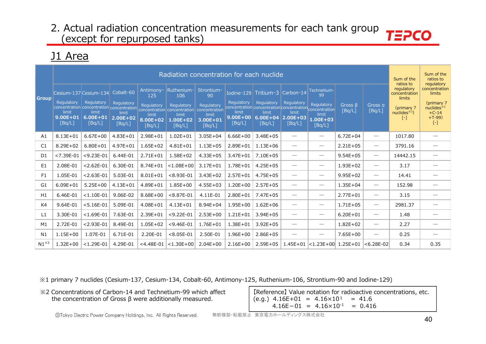### J1 Area

|                |                                               |                                                                                                                     |                                                            |                                                               | Radiation concentration for each nuclide                                                                 |                                                                                |                                               |                                                                                                                     |                                                            |                                                                                     |                          |                                 | Sum of the<br>ratios to                                                         | Sum of the<br>ratios to<br>regulatory                                                             |
|----------------|-----------------------------------------------|---------------------------------------------------------------------------------------------------------------------|------------------------------------------------------------|---------------------------------------------------------------|----------------------------------------------------------------------------------------------------------|--------------------------------------------------------------------------------|-----------------------------------------------|---------------------------------------------------------------------------------------------------------------------|------------------------------------------------------------|-------------------------------------------------------------------------------------|--------------------------|---------------------------------|---------------------------------------------------------------------------------|---------------------------------------------------------------------------------------------------|
| <b>Group</b>   | Regulatory<br>limit<br>$9.00E + 01$<br>[Bq/L] | Cesium-137 Cesium-134<br>Regulatory<br>concentration concentration concentration<br>limit<br>$6.00E + 01$<br>[Bq/L] | Cobalt-60<br>Regulatory<br>limit<br>$2.00E + 02$<br>[Bq/L] | Antimony-<br>125<br>Regulatory<br>limit<br>8.00E+02<br>[Bq/L] | Ruthenium-<br>106<br><b>Regulatory</b><br>concentration concentration<br>limit<br>$1.00E + 02$<br>[Bq/L] | Strontium-<br>90<br>Regulatory<br>concentration<br>limit<br>3.00E+01<br>[Bq/L] | Regulatory<br>limit<br>$9.00E + 00$<br>[Bq/L] | Iodine-129 $Triium-3$<br>Regulatory<br>concentration concentration concentration<br>limit<br>$6.00E + 04$<br>[Bq/L] | Carbon-14<br>Regulatory<br>limit<br>$2.00E + 03$<br>[Bq/L] | Technetium-<br>99<br>Regulatory<br>concentration<br>limit<br>$1.00E + 03$<br>[Bq/L] | <b>Gross B</b><br>[Ba/L] | Gross a<br>[Bq/L]               | regulatory<br>concentration<br>limits<br>(primary 7<br>nuclides $*1$<br>$[ - ]$ | concentration<br>limits<br>(primary 7<br>nuclees <sup>34</sup><br>$+C-14$<br>$+T-99$<br>$[\cdot]$ |
| A1             | $8.13E + 01$                                  | $6.67E + 00$                                                                                                        | $4.83E + 01$                                               | $2.98E + 01$                                                  | $1.02E + 01$                                                                                             | $3.05E + 04$                                                                   | $6.66E + 00$                                  | $3.48E + 05$                                                                                                        | $\overbrace{\phantom{12333}}$                              | $\hspace{0.1mm}-\hspace{0.1mm}$                                                     | $6.72E + 04$             | $\overline{\phantom{m}}$        | 1017.80                                                                         |                                                                                                   |
| C <sub>1</sub> | 8.29E+02                                      | $6.80E + 01$                                                                                                        | $4.97E + 01$                                               | $1.65E + 02$                                                  | $4.81E + 01$                                                                                             | $1.13E + 05$                                                                   | $2.89E + 01$                                  | $1.13E + 06$                                                                                                        | $\overbrace{\phantom{12333}}$                              | $\hspace{0.05cm}$                                                                   | $2.21E + 05$             | $\hspace{0.1mm}-\hspace{0.1mm}$ | 3791.16                                                                         |                                                                                                   |
| D1             | $< 7.39E - 01$                                | $<$ 9.23E-01                                                                                                        | 6.44E-01                                                   | $2.71E + 01$                                                  | $1.58E + 02$                                                                                             | $4.33E + 05$                                                                   | $3.47E + 01$                                  | 7.10E+05                                                                                                            | $\hspace{0.1mm}-\hspace{0.1mm}$                            | $\hspace{0.05cm}$                                                                   | $9.54E + 05$             | $\hspace{0.1mm}-\hspace{0.1mm}$ | 14442.15                                                                        |                                                                                                   |
| E1             | 2.08E-01                                      | $< 2.62E - 01$                                                                                                      | 6.30E-01                                                   | $8.74E + 01$                                                  | $< 1.08E + 00$                                                                                           | $3.17E + 01$                                                                   | 1.78E+01                                      | $4.25E + 05$                                                                                                        | $\overbrace{\phantom{12333}}$                              | $\hspace{0.1mm}-\hspace{0.1mm}$                                                     | $1.93E + 02$             | $\overline{\phantom{m}}$        | 3.17                                                                            | $\overbrace{\phantom{12333}}$                                                                     |
| F1             | 1.05E-01                                      | $< 2.63E - 01$                                                                                                      | 5.03E-01                                                   | $8.01E + 01$                                                  | $< 8.93E - 01$                                                                                           | $3.43E + 02$                                                                   | $2.57E + 01$                                  | $4.75E + 05$                                                                                                        | $\hspace{0.05cm}$                                          | $\hspace{0.1mm}-\hspace{0.1mm}$                                                     | $9.95E + 02$             | $\hspace{0.1mm}-\hspace{0.1mm}$ | 14.41                                                                           |                                                                                                   |
| G1             | $6.09E + 01$                                  | $5.25E+00$                                                                                                          | $4.13E + 01$                                               | 4.89E+01                                                      | $1.85E + 00$                                                                                             | $4.55E + 03$                                                                   | $1.20E + 00$                                  | $2.57E + 05$                                                                                                        | $\overbrace{\phantom{aaaaa}}$                              | $\hspace{0.05cm}$                                                                   | $1.35E + 04$             | $\hspace{0.1mm}-\hspace{0.1mm}$ | 152.98                                                                          |                                                                                                   |
| H1             | 6.46E-01                                      | $< 1.10E - 01$                                                                                                      | 9.06E-02                                                   | $8.68E + 00$                                                  | $< 8.87E - 01$                                                                                           | 4.11E-01                                                                       | $2.80E + 01$                                  | 7.47E+05                                                                                                            | $\hspace{0.1mm}-\hspace{0.1mm}$                            | $\hspace{0.1mm}-\hspace{0.1mm}$                                                     | $2.77E + 01$             | $\hspace{0.1mm}-\hspace{0.1mm}$ | 3.15                                                                            |                                                                                                   |
| K4             | 9.64E-01                                      | $< 5.16E - 01$                                                                                                      | 5.09E-01                                                   | $4.08E + 01$                                                  | $4.13E + 01$                                                                                             | $8.94E + 04$                                                                   | $1.95E + 00$                                  | $1.62E + 06$                                                                                                        |                                                            | $\hspace{0.05cm}$                                                                   | $1.71E + 05$             | $\hspace{0.1mm}-\hspace{0.1mm}$ | 2981.37                                                                         |                                                                                                   |
| L1             | 3.30E-01                                      | $< 1.69E - 01$                                                                                                      | 7.63E-01                                                   | $2.39E + 01$                                                  | $<$ 9.22E-01                                                                                             | $2.53E+00$                                                                     | $1.21E + 01$                                  | $3.94E + 05$                                                                                                        |                                                            | $\hspace{0.1mm}-\hspace{0.1mm}$                                                     | $6.20E + 01$             | $\overline{\phantom{m}}$        | 1.48                                                                            |                                                                                                   |
| M1             | 2.72E-01                                      | $< 2.93E - 01$                                                                                                      | 8.49E-01                                                   | $1.05E + 02$                                                  | $<$ 9.46E-01                                                                                             | $1.76E + 01$                                                                   | 1.38E+01                                      | $3.92E + 05$                                                                                                        | $\overbrace{\phantom{aaaaa}}$                              | $\hspace{0.05cm}$                                                                   | $1.82E + 02$             | $\hspace{0.1mm}-\hspace{0.1mm}$ | 2.27                                                                            |                                                                                                   |
| N1             | $1.15E + 00$                                  | 1.07E-01                                                                                                            | 6.71E-01                                                   | 2.20E-01                                                      | $< 8.05E - 01$                                                                                           | 2.50E-01                                                                       | $1.96E + 00$                                  | $2.86E + 05$                                                                                                        | $\overline{\phantom{0}}$                                   | $\hspace{0.05cm}$                                                                   | $7.65E + 00$             | $\hspace{0.1mm}-\hspace{0.1mm}$ | 0.25                                                                            |                                                                                                   |
| $N1^{*2}$      | $1.32E + 00$                                  | $< 1.29E - 01$                                                                                                      | 4.29E-01                                                   |                                                               | $<$ 4.48E-01 $ $ < 1.30E+00                                                                              | $2.04E + 00$                                                                   | $2.16E + 00$                                  | $2.59E + 05$                                                                                                        |                                                            | $1.45E+01$ < 1.23E + 00 1.25E + 01                                                  |                          | $ <$ 6.28E-02                   | 0.34                                                                            | 0.35                                                                                              |

※1 primary 7 nuclides (Cesium-137, Cesium-134, Cobalt-60, Antimony-125, Ruthenium-106, Strontium-90 and Iodine-129)

※2 Concentrations of Carbon-14 and Technetium-99 which affect the concentration of Gross β were additionally measured.

【Reference】 Value notation for radioactive concentrations, etc.  $(e.g.)$  4.16E+01 = 4.16 $\times$ 10<sup>1</sup> = 41.6  $4.16E-01 = 4.16 \times 10^{-1} = 0.416$ 

無断複製・転載禁止 東京電力ホールディングス株式会社 インプリング しゅうしょう イングル イングル しゅうしゅう しゅうしゅう インプレー インプレー インプレー しゅうしゅう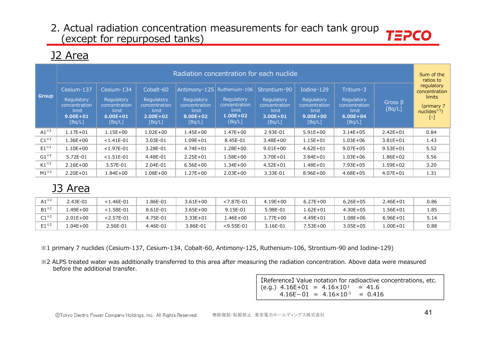### J2 Area

|                         |                                                                              |                                                                              |                                                                             | Radiation concentration for each nuclide                                   |                                                                                 |                                                                                |                                                                              |                                                                             |                         | Sum of the<br>ratios to                                                    |
|-------------------------|------------------------------------------------------------------------------|------------------------------------------------------------------------------|-----------------------------------------------------------------------------|----------------------------------------------------------------------------|---------------------------------------------------------------------------------|--------------------------------------------------------------------------------|------------------------------------------------------------------------------|-----------------------------------------------------------------------------|-------------------------|----------------------------------------------------------------------------|
| <b>Group</b>            | Cesium-137<br>Regulatory<br>concentration<br>limit<br>$9.00E + 01$<br>[Bq/L] | Cesium-134<br>Regulatory<br>concentration<br>limit<br>$6.00E + 01$<br>[Bq/L] | Cobalt-60<br>Regulatory<br>concentration<br>limit<br>$2.00E + 02$<br>[Bq/L] | Antimony-125<br>Regulatory<br>concentration<br>limit<br>8.00E+02<br>[Bq/L] | Ruthenium-106<br>Regulatory<br>concentration<br>limit<br>$1.00E + 02$<br>[Bq/L] | Strontium-90<br>Regulatory<br>concentration<br>limit<br>$3.00E + 01$<br>[Bq/L] | Iodine-129<br>Regulatory<br>concentration<br>limit<br>$9.00E + 00$<br>[Bq/L] | Tritium-3<br>Regulatory<br>concentration<br>limit<br>$6.00E + 04$<br>[Bq/L] | Gross $\beta$<br>[Bq/L] | regulatory<br>concentration<br>limits<br>(primary 7<br>nuclides $*1$<br>Ŀ. |
| $A1^{\times 2}$         | $1.17E + 01$                                                                 | $1.15E + 00$                                                                 | $1.02E + 00$                                                                | $1.45E + 00$                                                               | $1.47E + 00$                                                                    | 2.93E-01                                                                       | $5.91E+00$                                                                   | $3.14E + 05$                                                                | $2.42E + 01$            | 0.84                                                                       |
| $C1^{\divideontimes 2}$ | $1.36E + 00$                                                                 | $< 1.41E - 01$                                                               | 3.03E-01                                                                    | 1.09E+01                                                                   | 8.45E-01                                                                        | $3.48E + 00$                                                                   | $1.15E + 01$                                                                 | $1.03E + 06$                                                                | $3.81E + 01$            | 1.43                                                                       |
| $E1^{\times 2}$         | $1.10E + 00$                                                                 | $< 1.97E - 01$                                                               | 3.28E-01                                                                    | $4.74E + 01$                                                               | $1.28E + 00$                                                                    | $9.01E + 00$                                                                   | $4.62E + 01$                                                                 | $9.07E + 05$                                                                | $9.53E + 01$            | 5.52                                                                       |
| $G1^{\times 2}$         | 5.72E-01                                                                     | $< 1.51E - 01$                                                               | 4.48E-01                                                                    | $2.25E + 01$                                                               | $1.58E + 00$                                                                    | 3.70E+01                                                                       | $3.84E + 01$                                                                 | $1.03E + 06$                                                                | $1.86E + 02$            | 5.56                                                                       |
| $K1^{\times 2}$         | $2.16E + 00$                                                                 | 3.57E-01                                                                     | 2.04E-01                                                                    | $6.56E + 00$                                                               | $1.34E + 00$                                                                    | $4.52E + 01$                                                                   | $1.48E + 01$                                                                 | 7.93E+05                                                                    | $1.59E + 02$            | 3.20                                                                       |
| $M1^{\times 2}$         | $2.20E + 01$                                                                 | $1.84E + 00$                                                                 | $1.08E + 00$                                                                | $1.27E + 00$                                                               | $2.03E + 00$                                                                    | 3.33E-01                                                                       | $8.96E + 00$                                                                 | $4.68E + 05$                                                                | $4.07E + 01$            | 1.31                                                                       |

# J3 Area

| A1 $^{\times2}$ | 43E-01      | <1.46E-01    | $.86E-01$ | $3.61E + 00$ | $< 7.87E - 01$ | $4.19E + 00$ | $6.27E + 00$ | $6.26E + 05$ | 2.46E+01     | 0.86 |
|-----------------|-------------|--------------|-----------|--------------|----------------|--------------|--------------|--------------|--------------|------|
| $B1^{\times 2}$ | $.49E + 00$ | $<$ 1.58E-01 | 8.61E-01  | $3.65E + 00$ | 9.15E-01       | 5.98E-01     | .62E+01      | $4.30E + 05$ | 56E+01       | 1.85 |
| $C1^{\times 2}$ | 2.01E+00    | $<$ 2.57E-01 | 4.75E-01  | $3.33E + 01$ | $.46E + 00$    | .77E+00      | $4.49E + 01$ | $.08E + 06$  | $6.96E + 01$ | 5.14 |
| $E1^{*2}$       | $.04E + 00$ | 2.56E-01     | 4.46E-01  | 3.86E-01     | $<$ 9.55E-01   | 3.16E-01     | $.53E+00$    | 3.05E+05     | $.00E + 01$  | 0.88 |

※1 primary 7 nuclides (Cesium-137, Cesium-134, Cobalt-60, Antimony-125, Ruthenium-106, Strontium-90 and Iodine-129)

※2 ALPS treated water was additionally transferred to this area after measuring the radiation concentration. Above data were measured before the additional transfer.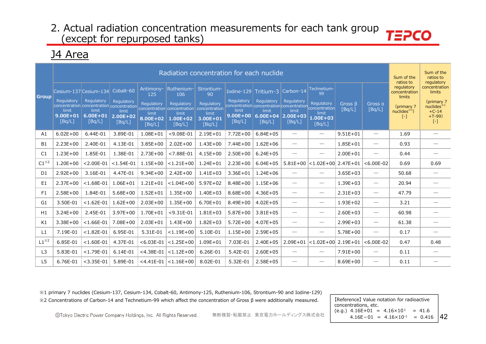### J4 Area

|                 |                                               |                                                                                            |                                               |                                           | Radiation concentration for each nuclide                                     |                                                                |                                               |                                                                                                                 |                               |                                               |                   |                                 | Sum of the<br>ratios to                  | Sum of the<br>ratios to<br>regulatory                                  |
|-----------------|-----------------------------------------------|--------------------------------------------------------------------------------------------|-----------------------------------------------|-------------------------------------------|------------------------------------------------------------------------------|----------------------------------------------------------------|-----------------------------------------------|-----------------------------------------------------------------------------------------------------------------|-------------------------------|-----------------------------------------------|-------------------|---------------------------------|------------------------------------------|------------------------------------------------------------------------|
| <b>Group</b>    | Cesium-137 Cesium-134                         |                                                                                            | Cobalt-60                                     | Antimony-<br>125                          | Ruthenium-<br>106                                                            | Strontium-<br>90                                               |                                               | Iodine-129 Tritium-3                                                                                            | Carbon-14                     | Technetium-<br>99                             |                   |                                 | regulatory<br>concentration<br>limits    | concentration<br>limits                                                |
|                 | Regulatory<br>limit<br>$9.00E + 01$<br>[Bq/L] | Regulatory<br>concentration concentration concentration<br>limit<br>$6.00E + 01$<br>[Bq/L] | Regulatory<br>limit<br>$2.00E + 02$<br>[Bq/L] | Regulatory<br>limit<br>8.00E+02<br>[Bq/L] | Regulatory<br>concentration concentration<br>limit<br>$1.00E + 02$<br>[Bq/L] | Regulatory<br>concentration<br>limit<br>$3.00E + 01$<br>[Bq/L] | Regulatory<br>limit<br>$9.00E + 00$<br>[Bq/L] | Regulatory<br>concentration concentration concentration concentration<br>limit<br>$6.00E+04$ 2.00E+03<br>[Bq/L] | Regulatory<br>limit<br>[Bq/L] | Regulatory<br>limit<br>$1.00E + 03$<br>[Bq/L] | Gross B<br>[BA/L] | Gross a<br>[Bq/L]               | (primary 7<br>nuclides $*1$ )<br>$[ - ]$ | (primary 7<br>nuclees <sup>34</sup><br>$+C-14$<br>$+T-99$<br>$[\cdot]$ |
| A1              | $6.02E + 00$                                  | 6.44E-01                                                                                   | 3.89E-01                                      | 1.08E+01                                  | $<$ 9.08E-01                                                                 | $2.19E + 01$                                                   | 7.72E+00                                      | $6.84E + 05$                                                                                                    |                               | $\overline{\phantom{m}}$                      | $9.51E + 01$      | $\overline{\phantom{m}}$        | 1.69                                     | $\overbrace{\phantom{12322111}}$                                       |
| <b>B1</b>       | $2.23E+00$                                    | 2.40E-01                                                                                   | 4.13E-01                                      | $3.85E + 00$                              | $2.02E + 00$                                                                 | $1.43E + 00$                                                   | $7.44E + 00$                                  | $1.62E + 06$                                                                                                    |                               | $\hspace{0.1mm}-\hspace{0.1mm}$               | $1.85E + 01$      | $\overline{\phantom{m}}$        | 0.93                                     |                                                                        |
| C1              | $1.23E + 00$                                  | 1.85E-01                                                                                   | 1.38E-01                                      | $2.73E + 00$                              | $< 7.88E - 01$                                                               | $4.15E + 00$                                                   | $2.50E + 00$                                  | $6.24E + 05$                                                                                                    |                               | $\hspace{0.1mm}-\hspace{0.1mm}$               | $2.00E + 01$      | $\hspace{0.1mm}-\hspace{0.1mm}$ | 0.44                                     | $\overline{\phantom{a}}$                                               |
| $C1^{\times 2}$ | $1.20E + 00$                                  | $< 2.00E - 01$                                                                             | $< 1.54E - 01$                                | $1.15E + 00$                              | $< 1.21E + 00$                                                               | $1.24E + 01$                                                   | $2.23E+00$                                    | $6.04E + 05$                                                                                                    |                               | $5.81E+00$ < 1.02E+00                         | $2.47E + 01$      | $< 6.00E - 02$                  | 0.69                                     | 0.69                                                                   |
| D <sub>1</sub>  | $2.92E + 00$                                  | 3.16E-01                                                                                   | 4.47E-01                                      | $9.34E + 00$                              | $2.42E + 00$                                                                 | $1.41E + 03$                                                   | $3.36E + 01$                                  | $1.24E + 06$                                                                                                    |                               | $\overbrace{\phantom{12333}}$                 | $3.65E + 03$      | $\overline{\phantom{m}}$        | 50.68                                    |                                                                        |
| E <sub>1</sub>  | $2.37E + 00$                                  | $< 1.68E - 01$                                                                             | $1.06E + 01$                                  | $1.21E + 01$                              | $< 1.04E + 00$                                                               | $5.97E + 02$                                                   | 8.48E+00                                      | $1.15E + 06$                                                                                                    | $\hspace{0.05cm}$             | $\overbrace{\phantom{12333}}$                 | $1.39E + 03$      | $\hspace{0.1mm}-\hspace{0.1mm}$ | 20.94                                    |                                                                        |
| F1              | $2.58E+00$                                    | 1.84E-01                                                                                   | $5.68E + 00$                                  | $1.52E + 01$                              | $1.35E + 00$                                                                 | $1.40E + 03$                                                   | $8.68E + 00$                                  | $4.36E + 05$                                                                                                    | $\overbrace{\phantom{12332}}$ | $\hspace{0.05cm}$                             | $2.31E + 03$      | $\overline{\phantom{m}}$        | 47.79                                    |                                                                        |
| G <sub>1</sub>  | 3.50E-01                                      | $< 1.62E - 01$                                                                             | $1.62E + 00$                                  | $2.03E + 00$                              | $1.35E + 00$                                                                 | $6.70E + 01$                                                   | $8.49E + 00$                                  | $4.02E + 05$                                                                                                    | $\overline{\phantom{0}}$      | $\hspace{0.1mm}-\hspace{0.1mm}$               | $1.93E + 02$      | $\hspace{0.05cm}$               | 3.21                                     |                                                                        |
| H1              | $3.24E + 00$                                  | 2.45E-01                                                                                   | $3.97E + 00$                                  | 1.70E+01                                  | $<$ 9.31E-01                                                                 | $1.81E + 03$                                                   | $5.87E + 00$                                  | $3.81E + 05$                                                                                                    | $\hspace{0.05cm}$             | $\hspace{0.1mm}-\hspace{0.1mm}$               | $2.60E + 03$      | $\hspace{0.1mm}-\hspace{0.1mm}$ | 60.98                                    |                                                                        |
| K1              | $3.38E + 00$                                  | $< 1.66E - 01$                                                                             | 7.08E+00                                      | $2.03E + 01$                              | $1.43E + 00$                                                                 | $1.82E + 03$                                                   | $5.72E + 00$                                  | $4.07E + 05$                                                                                                    | $\overbrace{\phantom{12332}}$ | $\hspace{0.05cm}$                             | $2.99E + 03$      | $\hspace{0.05cm}$               | 61.38                                    |                                                                        |
| L1              | 7.19E-01                                      | $< 1.82E - 01$                                                                             | 6.95E-01                                      | 5.31E-01                                  | $< 1.19E + 00$                                                               | 5.10E-01                                                       | $1.15E + 00$                                  | $2.59E + 05$                                                                                                    | $\overline{\phantom{0}}$      | $\hspace{0.1mm}-\hspace{0.1mm}$               | $5.78E + 00$      | $\hspace{0.1mm}-\hspace{0.1mm}$ | 0.17                                     |                                                                        |
| $L1^{*2}$       | 6.85E-01                                      | $< 1.60E - 01$                                                                             | 4.37E-01                                      | $< 6.03E - 01$                            | $ $ <1.25E+00                                                                | 1.09E+01                                                       | 7.03E-01                                      | $2.40E + 05$                                                                                                    | $2.09E + 01$                  | $ $ <1.02E+00 $ $                             | $2.19E + 01$      | $< 6.00E - 02$                  | 0.47                                     | 0.48                                                                   |
| L <sub>3</sub>  | 5.83E-01                                      | $<$ 1.79E-01                                                                               | 6.14E-01                                      | $<$ 4.38E-01                              | $< 1.12E + 00$                                                               | 6.26E-01                                                       | 5.42E-01                                      | $2.60E + 05$                                                                                                    |                               | $\hspace{0.1mm}-\hspace{0.1mm}$               | $7.91E+00$        | $\overbrace{\phantom{12333}}$   | 0.11                                     |                                                                        |
| L <sub>5</sub>  | 6.76E-01                                      | $<$ 3.35E-01                                                                               | 5.89E-01                                      | $<$ 4.41E-01                              | $ $ < 1.16E + 00                                                             | 8.02E-01                                                       | 5.32E-01                                      | $2.58E + 05$                                                                                                    |                               | $\hspace{0.05cm}$                             | $8.69E + 00$      | $\overbrace{\phantom{12333}}$   | 0.11                                     |                                                                        |

※1 primary 7 nuclides (Cesium-137, Cesium-134, Cobalt-60, Antimony-125, Ruthenium-106, Strontium-90 and Iodine-129) ※2 Concentrations of Carbon-14 and Technetium-99 which affect the concentration of Gross β were additionally measured. 【Reference】 Value notation for radioactive

 $4.16E-01 = 4.16\times10^{-1} = 0.416$  |4 concentrations, etc.  $(e.q.) 4.16E+01 = 4.16 \times 10^{1} = 41.6$ 

©Tokyo Electric Power Company Holdings, Inc. All Rights Reserved. 無断複製・転載禁止 東京電力ホールディングス株式会社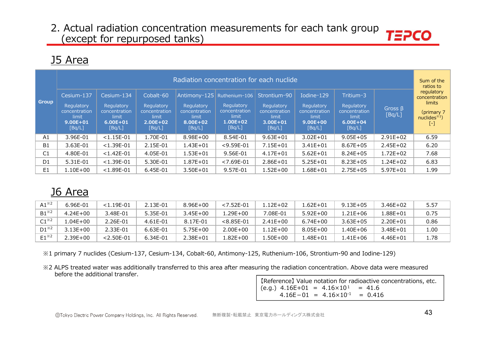# J5 Area

|                |                                                                              |                                                                              |                                                                             | Radiation concentration for each nuclide                                   |                                                                                 |                                                                                |                                                                              |                                                                             |                         | Sum of the<br>ratios to                                                                                 |
|----------------|------------------------------------------------------------------------------|------------------------------------------------------------------------------|-----------------------------------------------------------------------------|----------------------------------------------------------------------------|---------------------------------------------------------------------------------|--------------------------------------------------------------------------------|------------------------------------------------------------------------------|-----------------------------------------------------------------------------|-------------------------|---------------------------------------------------------------------------------------------------------|
| <b>Group</b>   | Cesium-137<br>Regulatory<br>concentration<br>limit<br>$9.00E + 01$<br>[Bq/L] | Cesium-134<br>Regulatory<br>concentration<br>limit<br>$6.00E + 01$<br>[Bq/L] | Cobalt-60<br>Regulatory<br>concentration<br>limit<br>$2.00E + 02$<br>[Bq/L] | Antimony-125<br>Regulatory<br>concentration<br>limit<br>8.00E+02<br>[Bq/L] | Ruthenium-106<br>Regulatory<br>concentration<br>limit<br>$1.00E + 02$<br>[Bq/L] | Strontium-90<br>Regulatory<br>concentration<br>limit<br>$3.00E + 01$<br>[Bq/L] | Iodine-129<br>Regulatory<br>concentration<br>limit<br>$9.00E + 00$<br>[Bq/L] | Tritium-3<br>Regulatory<br>concentration<br>limit<br>$6.00E + 04$<br>[Bq/L] | Gross $\beta$<br>[Bq/L] | regulatory<br>concentration<br><b>limits</b><br>(primary 7<br>nuclees <sup>1</sup><br>$\left[ -\right]$ |
| A1             | 3.96E-01                                                                     | $< 1.15E - 01$                                                               | 1.70E-01                                                                    | $8.98E + 00$                                                               | 8.54E-01                                                                        | $9.63E + 01$                                                                   | $3.02E + 01$                                                                 | $9.05E + 05$                                                                | $2.91E+02$              | 6.59                                                                                                    |
| <b>B1</b>      | 3.63E-01                                                                     | $< 1.39E - 01$                                                               | 2.15E-01                                                                    | $1.43E + 01$                                                               | $<$ 9.59E-01                                                                    | $7.15E + 01$                                                                   | $3.41E + 01$                                                                 | $8.67E + 05$                                                                | $2.45E + 02$            | 6.20                                                                                                    |
| C <sub>1</sub> | 4.80E-01                                                                     | $< 1.42E - 01$                                                               | 4.05E-01                                                                    | $1.53E + 01$                                                               | 9.56E-01                                                                        | $4.17E + 01$                                                                   | $5.62E + 01$                                                                 | $8.24E + 05$                                                                | $1.72E + 02$            | 7.68                                                                                                    |
| D <sub>1</sub> | 5.31E-01                                                                     | $< 1.39E - 01$                                                               | 5.30E-01                                                                    | $1.87E + 01$                                                               | $< 7.69E - 01$                                                                  | $2.86E + 01$                                                                   | $5.25E + 01$                                                                 | $8.23E + 05$                                                                | $1.24E + 02$            | 6.83                                                                                                    |
| E <sub>1</sub> | 1.10E+00                                                                     | $< 1.89E - 01$                                                               | 6.45E-01                                                                    | $3.50E + 01$                                                               | 9.57E-01                                                                        | $1.52E + 00$                                                                   | $1.68E + 01$                                                                 | $2.75E + 05$                                                                | $5.97E + 01$            | 1.99                                                                                                    |

### J6 Area

| $A1^{\times 2}$ | 6.96E-01     | $< 1.19E - 01$ | 2.13E-01 | $8.96E + 00$ | $< 7.52E - 01$ | l.12F+02     | 62E+01       | $9.13E + 05$ | $3.46E + 02$ | 5.57 |
|-----------------|--------------|----------------|----------|--------------|----------------|--------------|--------------|--------------|--------------|------|
| $B1^{*2}$       | $4.24E + 00$ | 3.48E-01       | 5.35E-01 | $3.45E + 00$ | 1.29E+00       | 7.08E-01     | $5.92E + 00$ | .21E+06      | .88E+01      | 0.75 |
| $C1^{*2}$       | $.04E + 00$  | 2.26E-01       | 4.61E-01 | 8.17E-01     | $< 8.85E - 01$ | $2.41F + 00$ | $6.74E + 00$ | $3.63E + 05$ | 2.20E+01     | 0.86 |
| $D1^{*2}$       | $3.13E + 00$ | 2.33E-01       | 6.63E-01 | $5.75E + 00$ | $2.00E + 00$   | l.12E+00     | $8.05E + 00$ | .40E+06      | 3.48E+01     | 1.00 |
| $F1^{*2}$       | $.39E + 00$  | $< 2.50E - 01$ | 6.34E-01 | $2.38E + 01$ | .82E+00.       | $.50E+00$    | .48E+01      | .41E+06      | $4.46E + 01$ | 1.78 |

※1 primary 7 nuclides (Cesium-137, Cesium-134, Cobalt-60, Antimony-125, Ruthenium-106, Strontium-90 and Iodine-129)

※2 ALPS treated water was additionally transferred to this area after measuring the radiation concentration. Above data were measured before the additional transfer.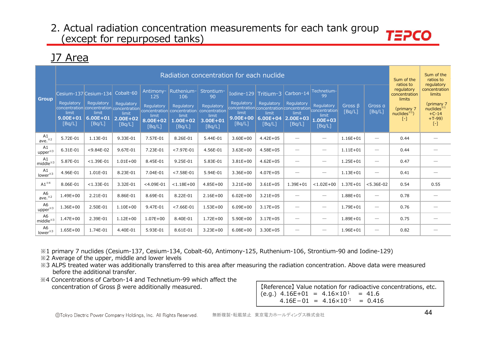### J7 Area

|                                       |                                     |                                                                                                       |                                                  |                                                     |                                                                                         | Radiation concentration for each nuclide                                 |                                                                                  |                                                               |                                                     |                                                                            |                   |                                 | Sum of the<br>ratios to                                                           | Sum of the<br>ratios to<br>regulatory                                        |
|---------------------------------------|-------------------------------------|-------------------------------------------------------------------------------------------------------|--------------------------------------------------|-----------------------------------------------------|-----------------------------------------------------------------------------------------|--------------------------------------------------------------------------|----------------------------------------------------------------------------------|---------------------------------------------------------------|-----------------------------------------------------|----------------------------------------------------------------------------|-------------------|---------------------------------|-----------------------------------------------------------------------------------|------------------------------------------------------------------------------|
| <b>Group</b>                          | Regulatory<br>limit<br>$9.00E + 01$ | Cesium-137 Cesium-134<br>Regulatory<br>concentration concentration concentration<br>limit<br>6.00E+01 | Cobalt-60<br>Regulatory<br>limit<br>$2.00E + 02$ | Antimony-<br>125<br>Regulatory<br>limit<br>8.00E+02 | Ruthenium-<br>106<br>Regulatory<br>concentration concentration<br>limit<br>$1.00E + 02$ | Strontium-<br>90<br>Regulatory<br>concentration<br>limit<br>$3.00E + 01$ | Regulatory<br>concentration concentration concentration<br>limit<br>$9.00E + 00$ | Iodine-129 $Tritium-3$<br>Regulatory<br>limit<br>$6.00E + 04$ | Carbon-14<br><b>Regulatory</b><br>limit<br>2.00E+03 | Technetium-<br>-99<br>Regulatory<br>concentration<br>limit<br>$1.00E + 03$ | Gross B<br>[Bq/L] | Gross a<br>[Bq/L]               | regulatory<br>concentration<br>limits<br>(primary 7<br>nuclides $*1$ )<br>$[ - ]$ | concentration<br>limits<br>(primary 7<br>nuclides $*1$<br>$+C-14$<br>$+T-99$ |
|                                       | [Bq/L]                              | [Bq/L]                                                                                                | [Bq/L]                                           | [Bq/L]                                              | [Bq/L]                                                                                  | [Bq/L]                                                                   | [Bq/L]                                                                           | [Bq/L]                                                        | [Bq/L]                                              | [Bq/L]                                                                     |                   |                                 |                                                                                   | $[\cdot]$                                                                    |
| A1<br>ave. <sup>*2</sup>              | 5.72E-01                            | 1.13E-01                                                                                              | 9.33E-01                                         | 7.57E-01                                            | 8.26E-01                                                                                | 5.44E-01                                                                 | $3.60E + 00$                                                                     | $4.42E + 05$                                                  |                                                     | $\overbrace{\phantom{12332}}$                                              | $1.16E + 01$      | $\overline{\phantom{0}}$        | 0.44                                                                              |                                                                              |
| A1<br>$upper^{*3}$                    | 6.31E-01                            | $< 9.84E - 02$                                                                                        | 9.67E-01                                         | 7.23E-01                                            | $< 7.97E - 01$                                                                          | 4.56E-01                                                                 | $3.63E + 00$                                                                     | $4.58E + 05$                                                  |                                                     | $\overbrace{\phantom{12332}}$                                              | $1.11E + 01$      | $\overline{\phantom{0}}$        | 0.44                                                                              |                                                                              |
| A1<br>middle $*3$                     | 5.87E-01                            | $< 1.39E - 01$                                                                                        | $1.01E + 00$                                     | 8.45E-01                                            | 9.25E-01                                                                                | 5.83E-01                                                                 | $3.81E + 00$                                                                     | $4.62E + 05$                                                  |                                                     | $\overbrace{\phantom{12332}}$                                              | $1.25E + 01$      | $\overline{\phantom{0}}$        | 0.47                                                                              |                                                                              |
| A1<br>lower <sup>*3</sup>             | 4.96E-01                            | 1.01E-01                                                                                              | 8.23E-01                                         | 7.04E-01                                            | $< 7.58E - 01$                                                                          | 5.94E-01                                                                 | $3.36E + 00$                                                                     | $4.07E + 05$                                                  | -                                                   | $\overbrace{\phantom{12332}}$                                              | $1.13E + 01$      | $\overline{\phantom{0}}$        | 0.41                                                                              | $\overline{\phantom{a}}$                                                     |
| $A1^{\times 4}$                       | 8.06E-01                            | $< 1.33E - 01$                                                                                        | 3.32E-01                                         | $<$ 4.09E-01                                        | $< 1.18E + 00$                                                                          | $4.85E + 00$                                                             | $3.21E + 00$                                                                     | $3.61E + 05$                                                  | $1.39E + 01$                                        | $< 1.02E + 00$                                                             | $1.37E + 01$      | $< 5.36E - 02$                  | 0.54                                                                              | 0.55                                                                         |
| A6<br>ave. <sup>*2</sup>              | $1.49E + 00$                        | 2.21E-01                                                                                              | 8.86E-01                                         | 8.69E-01                                            | 8.22E-01                                                                                | $2.16E + 00$                                                             | $6.02E + 00$                                                                     | $3.21E + 05$                                                  |                                                     | $\overbrace{\phantom{12332}}$                                              | $1.88E + 01$      | $\overline{\phantom{0}}$        | 0.78                                                                              | $\overline{\phantom{a}}$                                                     |
| A <sub>6</sub><br>upper <sup>*3</sup> | $1.36E + 00$                        | 2.50E-01                                                                                              | $1.10E + 00$                                     | 9.47E-01                                            | $< 7.66E - 01$                                                                          | $1.53E + 00$                                                             | $6.09E + 00$                                                                     | $3.17E + 05$                                                  |                                                     | $\overbrace{\phantom{12332}}$                                              | 1.79E+01          | $\hspace{0.1mm}-\hspace{0.1mm}$ | 0.76                                                                              |                                                                              |
| A <sub>6</sub><br>$middle*3$          | $1.47E + 00$                        | 2.39E-01                                                                                              | $1.12E + 00$                                     | $1.07E + 00$                                        | 8.40E-01                                                                                | $1.72E + 00$                                                             | $5.90E + 00$                                                                     | $3.17E + 05$                                                  | -                                                   | $\overbrace{\phantom{12332}}$                                              | 1.89E+01          | $\overline{\phantom{0}}$        | 0.75                                                                              |                                                                              |
| A <sub>6</sub><br>lower <sup>*3</sup> | $1.65E + 00$                        | 1.74E-01                                                                                              | 4.40E-01                                         | 5.93E-01                                            | 8.61E-01                                                                                | $3.23E + 00$                                                             | $6.08E + 00$                                                                     | $3.30E + 05$                                                  | -                                                   | $\overbrace{\phantom{12332}}$                                              | $1.96E + 01$      | $\overline{\phantom{0}}$        | 0.82                                                                              |                                                                              |

※1 primary 7 nuclides (Cesium-137, Cesium-134, Cobalt-60, Antimony-125, Ruthenium-106, Strontium-90 and Iodine-129)

※2 Average of the upper, middle and lower levels

- ※3 ALPS treated water was additionally transferred to this area after measuring the radiation concentration. Above data were measured before the additional transfer.
- ※4 Concentrations of Carbon-14 and Technetium-99 which affect the concentration of Gross β were additionally measured. 【Reference】 Value notation for radioactive concentrations, etc.

 $(e.g.)$  4.16E+01 = 4.16×10<sup>1</sup> = 41.6  $4.16E-01 = 4.16 \times 10^{-1} = 0.416$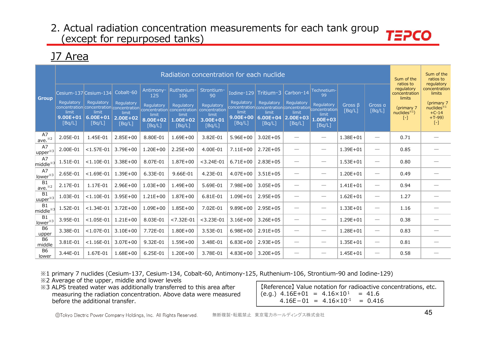### J7 Area

|                                      |                                 |                                                         |                                 |                             | Radiation concentration for each nuclide  |                                 |                                 |                                                                       |                          |                                 |                         |                                 | Sum of the<br>ratios to               | Sum of the<br>ratios to<br>regulatory |
|--------------------------------------|---------------------------------|---------------------------------------------------------|---------------------------------|-----------------------------|-------------------------------------------|---------------------------------|---------------------------------|-----------------------------------------------------------------------|--------------------------|---------------------------------|-------------------------|---------------------------------|---------------------------------------|---------------------------------------|
| <b>Group</b>                         |                                 | Cesium-137 Cesium-134                                   | Cobalt-60                       | Antimony-<br>125            | Ruthenium-<br>106                         | Strontium-<br>90                |                                 | Iodine-129 Tritium-3                                                  | Carbon-14                | Technetium-<br>99               |                         |                                 | regulatory<br>concentration<br>limits | concentration<br>limits               |
|                                      | Regulatory                      | Regulatory<br>concentration concentration concentration | Regulatory                      | Regulatory                  | Regulatory<br>concentration concentration | Regulatory<br>concentration     | Regulatory                      | Regulatory<br>concentration concentration concentration concentration | <b>Regulatory</b>        | Regulatory                      | Gross $\beta$<br>[Bq/L] | Gross a<br>[Bq/L]               | (primary 7                            | (primary 7<br>nuclees <sup>34</sup>   |
|                                      | limit<br>$9.00E + 01$<br>[Bq/L] | limit<br>$6.00E + 01$<br>[Bq/L]                         | limit<br>$2.00E + 02$<br>[Bq/L] | limit<br>8.00E+02<br>[Bq/L] | limit<br>$1.00E + 02$<br>[Bq/L]           | limit<br>$3.00E + 01$<br>[Bq/L] | limit<br>$9.00E + 00$<br>[Bq/L] | limit<br>$6.00E+04$ 2.00E+03<br>[Bq/L]                                | limit<br>[Bq/L]          | limit<br>$1.00E + 03$<br>[Bq/L] |                         |                                 | nuclides $*1$<br>$[ - ]$              | $+C-14$<br>$+T-99$<br>$[\cdot]$       |
| A7<br>ave. $*^{2}$                   | 2.05E-01                        | 1.45E-01                                                | $2.85E+00$                      | 8.80E-01                    | $1.69E + 00$                              | 3.82E-01                        | $5.96E + 00$                    | $3.02E + 05$                                                          |                          | $\overline{\phantom{0}}$        | $1.38E + 01$            | $\hspace{0.05cm}$               | 0.71                                  |                                       |
| A7<br>$upper^{*3}$                   | 2.00E-01                        | $< 1.57E - 01$                                          | $3.79E + 00$                    | $1.20E + 00$                | $2.25E+00$                                | 4.00E-01                        | $7.11E + 00$                    | $2.72E + 05$                                                          |                          | $\overbrace{\phantom{12333}}$   | $1.39E + 01$            | $\hspace{0.1mm}-\hspace{0.1mm}$ | 0.85                                  |                                       |
| A7<br>middle $*3$                    | 1.51E-01                        | $< 1.10E - 01$                                          | $3.38E + 00$                    | 8.07E-01                    | $1.87E + 00$                              | $<$ 3.24E-01                    | $6.71E + 00$                    | $2.83E + 05$                                                          |                          | $\overbrace{\phantom{13333}}$   | $1.53E + 01$            | $\hspace{0.05cm}$               | 0.80                                  |                                       |
| A7<br>lower <sup>*3</sup>            | 2.65E-01                        | $< 1.69E - 01$                                          | $1.39E + 00$                    | 6.33E-01                    | 9.66E-01                                  | 4.23E-01                        | $4.07E + 00$                    | $3.51E + 05$                                                          |                          | $\overline{\phantom{0}}$        | $1.20E + 01$            | $\qquad \qquad$                 | 0.49                                  |                                       |
| B <sub>1</sub><br>ave. <sup>*2</sup> | 2.17E-01                        | 1.17E-01                                                | $2.96E + 00$                    | $1.03E + 00$                | $1.49E + 00$                              | 5.69E-01                        | 7.98E+00                        | $3.05E + 05$                                                          |                          | $\overbrace{\phantom{12333}}$   | $1.41E + 01$            | $\hspace{0.1mm}-\hspace{0.1mm}$ | 0.94                                  |                                       |
| B1<br>uuper <sup>*3</sup>            | 1.03E-01                        | $< 1.10E - 01$                                          | $3.95E + 00$                    | $1.21E + 00$                | $1.87E + 00$                              | 6.81E-01                        | $1.09E + 01$                    | $2.95E + 05$                                                          | $\overline{\phantom{0}}$ | $\hspace{0.1mm}-\hspace{0.1mm}$ | $1.62E + 01$            | $\hspace{0.1mm}-\hspace{0.1mm}$ | 1.27                                  |                                       |
| B1<br>middle <sup>3</sup>            | 1.52E-01                        | $< 1.34E - 01$                                          | $3.72E + 00$                    | $1.09E + 00$                | $1.85E + 00$                              | 7.02E-01                        | $9.89E + 00$                    | $2.95E + 05$                                                          |                          | $\overbrace{\phantom{13333}}$   | $1.33E + 01$            | $\hspace{0.1mm}-\hspace{0.1mm}$ | 1.16                                  |                                       |
| B1<br>lower <sup>*3</sup>            | 3.95E-01                        | $< 1.05E - 01$                                          | $1.21E + 00$                    | 8.03E-01                    | $< 7.32E - 01$                            | $<$ 3.23E-01                    | $3.16E + 00$                    | $3.26E + 05$                                                          | --                       | $\hspace{0.1mm}-\hspace{0.1mm}$ | 1.29E+01                | $\hspace{0.05cm}$               | 0.38                                  |                                       |
| <b>B6</b><br>upper                   | 3.38E-01                        | $< 1.07E - 01$                                          | $3.10E + 00$                    | 7.72E-01                    | $1.80E + 00$                              | 3.53E-01                        | $6.98E + 00$                    | $2.91E + 05$                                                          |                          | $\overbrace{\phantom{13333}}$   | 1.28E+01                | $\qquad \qquad$                 | 0.83                                  |                                       |
| <b>B6</b><br>middle                  | 3.81E-01                        | $< 1.16E - 01$                                          | $3.07E + 00$                    | 9.32E-01                    | $1.59E + 00$                              | 3.48E-01                        | $6.83E + 00$                    | $2.93E + 05$                                                          |                          | $\overbrace{\phantom{12333}}$   | $1.35E + 01$            | $\hspace{0.1mm}-\hspace{0.1mm}$ | 0.81                                  |                                       |
| <b>B6</b><br>lower                   | 3.44E-01                        | 1.67E-01                                                | $1.68E + 00$                    | 6.25E-01                    | $1.20E + 00$                              | 3.78E-01                        | $4.83E + 00$                    | $3.20E + 05$                                                          | $\overline{\phantom{0}}$ | $\overbrace{\phantom{12333}}$   | $1.45E + 01$            | $\hspace{0.1mm}-\hspace{0.1mm}$ | 0.58                                  |                                       |

※1 primary 7 nuclides (Cesium-137, Cesium-134, Cobalt-60, Antimony-125, Ruthenium-106, Strontium-90 and Iodine-129)

※2 Average of the upper, middle and lower levels

※3 ALPS treated water was additionally transferred to this area after measuring the radiation concentration. Above data were measured before the additional transfer.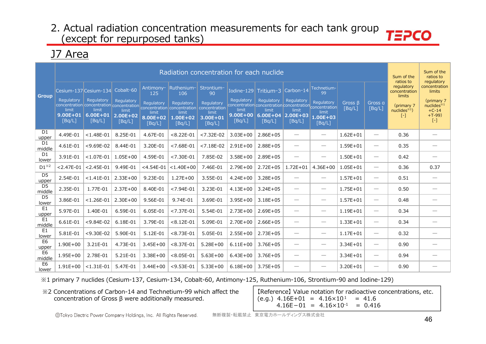## J7 Area

|                          |                                               |                                                                                            |                                               |                                           |                                                                              | Radiation concentration for each nuclide                       |                                               |                                                                                                          |                                              |                                               |                         |                                 | Sum of the<br>ratios to                                  | Sum of the<br>ratios to<br>regulatory                                        |
|--------------------------|-----------------------------------------------|--------------------------------------------------------------------------------------------|-----------------------------------------------|-------------------------------------------|------------------------------------------------------------------------------|----------------------------------------------------------------|-----------------------------------------------|----------------------------------------------------------------------------------------------------------|----------------------------------------------|-----------------------------------------------|-------------------------|---------------------------------|----------------------------------------------------------|------------------------------------------------------------------------------|
| <b>Group</b>             |                                               | Cesium-137 Cesium-134                                                                      | Cobalt-60                                     | Antimony-<br>125                          | Ruthenium-<br>106                                                            | Strontium-<br>90                                               |                                               | Iodine-129 Tritium-3                                                                                     | Carbon-14                                    | Technetium-<br>99                             |                         |                                 | regulatory<br>concentration<br>limits                    | concentration<br>limits                                                      |
|                          | Regulatory<br>limit<br>$9.00E + 01$<br>[Bq/L] | Regulatory<br>concentration concentration concentration<br>limit<br>$6.00E + 01$<br>[Bq/L] | Regulatory<br>limit<br>$2.00E + 02$<br>[Bq/L] | Regulatory<br>limit<br>8.00E+02<br>[Bq/L] | Regulatory<br>concentration concentration<br>limit<br>$1.00E + 02$<br>[Bq/L] | Regulatory<br>concentration<br>limit<br>$3.00E + 01$<br>[Bq/L] | Regulatory<br>limit<br>$9.00E + 00$<br>[Bq/L] | Regulatory<br>concentration concentration concentration concentration<br>limit<br>$6.00E + 04$<br>[Bq/L] | Regulatory<br>limit<br>$ 2.00E+03$<br>[Bq/L] | Regulatory<br>limit<br>$1.00E + 03$<br>[Bq/L] | Gross $\beta$<br>[Bq/L] | Gross a<br>[Bq/L]               | (primary 7)<br>nuclees <sup>1</sup><br>$\left[ -\right]$ | (primary 7<br>nuclides $*1$<br>$+C-14$<br>$+T-99$<br>$\lbrack \cdot \rbrack$ |
| D1<br>upper              | 4.49E-01                                      | $< 1.48E - 01$                                                                             | 8.25E-01                                      | 4.67E-01                                  | $< 8.22E - 01$                                                               | $< 7.32E - 02$                                                 | $3.03E + 00$                                  | $2.86E + 05$                                                                                             | $\overbrace{\phantom{123221111}}$            | $\overline{\phantom{0}}$                      | $1.62E + 01$            | $\overline{\phantom{m}}$        | 0.36                                                     |                                                                              |
| D <sub>1</sub><br>middle | 4.61E-01                                      | $<$ 9.69E-02                                                                               | 8.44E-01                                      | 3.20E-01                                  | $< 7.68E - 01$                                                               | $< 7.18E - 02$                                                 | $2.91E+00$                                    | $2.88E + 05$                                                                                             | $\overline{\phantom{0}}$                     | $\hspace{0.1mm}-\hspace{0.1mm}$               | $1.59E + 01$            | $\hspace{0.1mm}-\hspace{0.1mm}$ | 0.35                                                     |                                                                              |
| D <sub>1</sub><br>lower  | 3.91E-01                                      | $< 1.07E - 01$                                                                             | $1.05E + 00$                                  | 4.59E-01                                  | $< 7.30E - 01$                                                               | 7.85E-02                                                       | $3.58E + 00$                                  | $2.89E + 05$                                                                                             | $\overline{\phantom{0}}$                     | $\qquad \qquad$                               | $1.50E + 01$            | $\overline{\phantom{m}}$        | 0.42                                                     |                                                                              |
| $D1^{*2}$                | $< 2.47E - 01$                                | $< 2.45E - 01$                                                                             | 9.49E-01                                      | $<$ 4.54E-01                              | $< 1.40E + 00$                                                               | 7.46E-01                                                       | $2.79E + 00$                                  | $2.72E + 05$                                                                                             | $1.72E + 01$                                 | $4.36E + 00$                                  | $1.05E + 01$            | $\overline{\phantom{m}}$        | 0.36                                                     | 0.37                                                                         |
| D <sub>5</sub><br>upper  | 2.54E-01                                      | $< 1.41E - 01$                                                                             | $2.33E+00$                                    | 9.23E-01                                  | $1.27E + 00$                                                                 | 3.55E-01                                                       | $4.24E + 00$                                  | $3.28E + 05$                                                                                             | $\overline{\phantom{0}}$                     | $\overline{\phantom{m}}$                      | $1.57E + 01$            | $\hspace{0.1mm}-\hspace{0.1mm}$ | 0.51                                                     |                                                                              |
| D <sub>5</sub><br>middle | 2.35E-01                                      | 1.77E-01                                                                                   | $2.37E+00$                                    | 8.40E-01                                  | $< 7.94E - 01$                                                               | 3.23E-01                                                       | $4.13E + 00$                                  | $3.24E + 05$                                                                                             | $\overline{\phantom{0}}$                     | $\hspace{0.1mm}-\hspace{0.1mm}$               | $1.75E + 01$            | $\hspace{0.1mm}-\hspace{0.1mm}$ | 0.50                                                     |                                                                              |
| D <sub>5</sub><br>lower  | 3.86E-01                                      | $< 1.26E - 01$                                                                             | $2.30E + 00$                                  | 9.56E-01                                  | 9.74E-01                                                                     | 3.69E-01                                                       | $3.95E + 00$                                  | $3.18E + 05$                                                                                             | $\overline{\phantom{0}}$                     |                                               | $1.57E + 01$            | $\overline{\phantom{m}}$        | 0.48                                                     |                                                                              |
| E <sub>1</sub><br>upper  | 5.97E-01                                      | 1.40E-01                                                                                   | 6.59E-01                                      | 6.05E-01                                  | $< 7.37E - 01$                                                               | 5.54E-01                                                       | $2.73E + 00$                                  | $2.69E + 05$                                                                                             | $\overline{\phantom{0}}$                     | $\hspace{0.1mm}-\hspace{0.1mm}$               | $1.19E + 01$            | $\hspace{0.05cm}$               | 0.34                                                     |                                                                              |
| E <sub>1</sub><br>middle | 6.61E-01                                      | $<$ 9.84E-02                                                                               | 6.18E-01                                      | 3.79E-01                                  | $< 8.12E - 01$                                                               | 5.09E-01                                                       | $2.70E + 00$                                  | $2.66E + 05$                                                                                             | $\overline{\phantom{0}}$                     | $\hspace{0.1mm}-\hspace{0.1mm}$               | $1.33E + 01$            | $\hspace{0.1mm}-\hspace{0.1mm}$ | 0.34                                                     |                                                                              |
| E <sub>1</sub><br>lower  | 5.81E-01                                      | $<$ 9.30E-02                                                                               | 5.90E-01                                      | 5.12E-01                                  | $< 8.73E - 01$                                                               | 5.05E-01                                                       | $2.55E+00$                                    | $2.73E + 05$                                                                                             | $\overline{\phantom{0}}$                     | $\hspace{0.1mm}-\hspace{0.1mm}$               | $1.17E + 01$            | $\overline{\phantom{m}}$        | 0.32                                                     |                                                                              |
| E <sub>6</sub><br>upper  | $1.90E + 00$                                  | 3.21E-01                                                                                   | 4.73E-01                                      | $3.45E + 00$                              | $< 8.37E - 01$                                                               | $5.28E + 00$                                                   | $6.11E + 00$                                  | 3.76E+05                                                                                                 | $\overline{\phantom{0}}$                     | $\hspace{0.1mm}-\hspace{0.1mm}$               | $3.34E + 01$            | $\overline{\phantom{m}}$        | 0.90                                                     |                                                                              |
| E6<br>middle             | $1.95E + 00$                                  | 2.78E-01                                                                                   | 5.21E-01                                      | $3.38E + 00$                              | $< 8.05E - 01$                                                               | $5.63E + 00$                                                   | $6.43E + 00$                                  | $3.76E + 05$                                                                                             | $\overbrace{\phantom{123221111}}$            | $\hspace{0.1mm}-\hspace{0.1mm}$               | $3.34E + 01$            | $\hspace{0.05cm}$               | 0.94                                                     |                                                                              |
| E <sub>6</sub><br>lower  | $1.91E + 00$                                  | $< 1.31E - 01$                                                                             | 5.47E-01                                      | $3.44E + 00$                              | $<$ 9.53E-01                                                                 | $5.33E+00$                                                     | $6.18E + 00$                                  | $3.75E + 05$                                                                                             |                                              | $\hspace{0.1mm}-\hspace{0.1mm}$               | $3.20E + 01$            |                                 | 0.90                                                     |                                                                              |

※1 primary 7 nuclides (Cesium-137, Cesium-134, Cobalt-60, Antimony-125, Ruthenium-106, Strontium-90 and Iodine-129)

※2 Concentrations of Carbon-14 and Technetium-99 which affect the concentration of Gross β were additionally measured.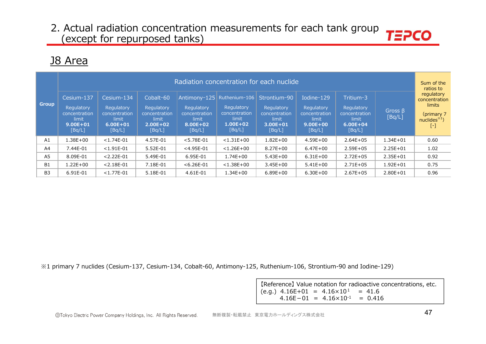# J8 Area

|                |                                                                              |                                                                              |                                                                             | Radiation concentration for each nuclide                   |                                                                                              |                                                                                |                                                                              |                                                                             |                         | Sum of the<br>ratios to                                                   |
|----------------|------------------------------------------------------------------------------|------------------------------------------------------------------------------|-----------------------------------------------------------------------------|------------------------------------------------------------|----------------------------------------------------------------------------------------------|--------------------------------------------------------------------------------|------------------------------------------------------------------------------|-----------------------------------------------------------------------------|-------------------------|---------------------------------------------------------------------------|
| <b>Group</b>   | Cesium-137<br>Regulatory<br>concentration<br>limit<br>$9.00E + 01$<br>[Bq/L] | Cesium-134<br>Regulatory<br>concentration<br>limit<br>$6.00E + 01$<br>[Bq/L] | Cobalt-60<br>Regulatory<br>concentration<br>limit<br>$2.00E + 02$<br>[Bq/L] | Regulatory<br>concentration<br>limit<br>8.00E+02<br>[Bq/L] | Antimony-125 Ruthenium-106<br>Regulatory<br>concentration<br>limit<br>$1.00E + 02$<br>[Bq/L] | Strontium-90<br>Regulatory<br>concentration<br>limit<br>$3.00E + 01$<br>[Bq/L] | Iodine-129<br>Regulatory<br>concentration<br>limit<br>$9.00E + 00$<br>[Bq/L] | Tritium-3<br>Regulatory<br>concentration<br>limit<br>$6.00E + 04$<br>[Bq/L] | Gross $\beta$<br>[Bq/L] | regulatory<br>concentration<br>limits<br>(primary 7<br>nuclides $*1$<br>۸ |
| A1             | 1.38E+00                                                                     | $<$ 1.74E-01                                                                 | 4.57E-01                                                                    | $< 5.78E - 01$                                             | $< 1.31E + 00$                                                                               | $1.82E + 00$                                                                   | 4.59E+00                                                                     | $2.64E + 05$                                                                | $1.34E + 01$            | 0.60                                                                      |
| A <sup>4</sup> | 7.44E-01                                                                     | $< 1.91E - 01$                                                               | 5.52E-01                                                                    | $<$ 4.95E-01                                               | $< 1.26E + 00$                                                                               | $8.27E + 00$                                                                   | $6.47E + 00$                                                                 | $2.59E + 05$                                                                | $2.25E + 01$            | 1.02                                                                      |
| A <sub>5</sub> | 8.09E-01                                                                     | $< 2.22E - 01$                                                               | 5.49E-01                                                                    | 6.95E-01                                                   | $1.74E + 00$                                                                                 | $5.43E+00$                                                                     | $6.31E + 00$                                                                 | $2.72E + 05$                                                                | $2.35E + 01$            | 0.92                                                                      |
| <b>B1</b>      | $1.22E + 00$                                                                 | $< 2.18E - 01$                                                               | 7.18E-01                                                                    | $< 6.26E - 01$                                             | $< 1.38E + 00$                                                                               | $3.45E + 00$                                                                   | $5.41E+00$                                                                   | $2.71E + 05$                                                                | $1.92E + 01$            | 0.75                                                                      |
| B <sub>3</sub> | 6.91E-01                                                                     | $<$ 1.77E-01                                                                 | 5.18E-01                                                                    | 4.61E-01                                                   | $1.34E + 00$                                                                                 | $6.89E + 00$                                                                   | $6.30E + 00$                                                                 | $2.67E + 05$                                                                | $2.80E + 01$            | 0.96                                                                      |

※1 primary 7 nuclides (Cesium-137, Cesium-134, Cobalt-60, Antimony-125, Ruthenium-106, Strontium-90 and Iodine-129)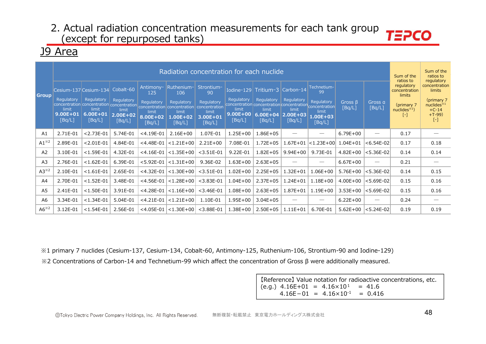### J9 Area

|                |                                               |                                                                        |                                                            |                                                               | Radiation concentration for each nuclide                                                                                                    |                                                                                    |                                               |                                                                                                                    |                                                            |                                                                                        |                         |                                                                                                                                                                                                                                                                                                                                                                                               | Sum of the<br>ratios to                                                         | Sum of the<br>ratios to<br>regulatory                                                 |
|----------------|-----------------------------------------------|------------------------------------------------------------------------|------------------------------------------------------------|---------------------------------------------------------------|---------------------------------------------------------------------------------------------------------------------------------------------|------------------------------------------------------------------------------------|-----------------------------------------------|--------------------------------------------------------------------------------------------------------------------|------------------------------------------------------------|----------------------------------------------------------------------------------------|-------------------------|-----------------------------------------------------------------------------------------------------------------------------------------------------------------------------------------------------------------------------------------------------------------------------------------------------------------------------------------------------------------------------------------------|---------------------------------------------------------------------------------|---------------------------------------------------------------------------------------|
| <b>Group</b>   | Regulatory<br>limit<br>$9.00E + 01$<br>[Bq/L] | Cesium-137 Cesium-134<br>Regulatory<br>limit<br>$6.00E + 01$<br>[Bq/L] | Cobalt-60<br>Regulatory<br>limit<br>$2.00E + 02$<br>[Bq/L] | Antimony-<br>125<br>Regulatory<br>limit<br>8.00E+02<br>[Bq/L] | Ruthenium-<br>106<br>Regulatory<br>concentration concentration concentration concentration concentration<br>limit<br>$1.00E + 02$<br>[Bq/L] | Strontium-<br>90<br>Regulatory<br>concentration<br>limit<br>$3.00E + 01$<br>[Bq/L] | Regulatory<br>limit<br>$9.00E + 00$<br>[Bq/L] | Iodine-129 Tritium-3<br>Regulatory<br>concentration concentration concentration<br>limit<br>$6.00E + 04$<br>[Bq/L] | Carbon-14<br>Regulatory<br>limit<br>$2.00E + 03$<br>[Bq/L] | Technetium-<br>99<br><b>Regulatory</b><br>concentration<br>limit<br>1.00E+03<br>[Bq/L] | Gross $\beta$<br>[Bq/L] | Gross a<br>[Bq/L]                                                                                                                                                                                                                                                                                                                                                                             | regulatory<br>concentration<br>limits<br>(primary 7)<br>$nuclees^{*1}$<br>$[-]$ | concentration<br>limits<br>(primary 7<br>nuclides $*1$<br>$+C-14$<br>$+T-99$<br>$[-]$ |
| A1             | 2.71E-01                                      | $< 2.73E - 01$                                                         | 5.74E-01                                                   | $<$ 4.19E-01                                                  | $2.16E + 00$                                                                                                                                | 1.07E-01                                                                           | $1.25E + 00$                                  | $1.86E + 05$                                                                                                       |                                                            |                                                                                        | $6.79E + 00$            |                                                                                                                                                                                                                                                                                                                                                                                               | 0.17                                                                            |                                                                                       |
| $A1^{x2}$      | 2.89E-01                                      | $< 2.01E - 01$                                                         | 4.84E-01                                                   | $<$ 4.48E-01                                                  | $ $ < 1.21E+00                                                                                                                              | $2.21E+00$                                                                         | 7.08E-01                                      | $1.72E + 05$                                                                                                       | $1.67E + 01$                                               | $ $ <1.23E+00 $ $                                                                      | $1.04E + 01$            | $< 6.54E - 02$                                                                                                                                                                                                                                                                                                                                                                                | 0.17                                                                            | 0.18                                                                                  |
| A <sub>2</sub> | 3.10E-01                                      | $< 1.59E - 01$                                                         | 4.32E-01                                                   | $<$ 4.16E-01                                                  | $\mid$ < 1.35E + 00 $\mid$                                                                                                                  | $<$ 3.51E-01                                                                       | 9.22E-01                                      | $1.82E + 05$                                                                                                       | $9.94E + 00$                                               | 9.73E-01                                                                               | $4.82E + 00$            | $ $ <5.36E-02 $ $                                                                                                                                                                                                                                                                                                                                                                             | 0.14                                                                            | 0.14                                                                                  |
| A <sub>3</sub> | 2.76E-01                                      | $< 1.62E - 01$                                                         | 6.39E-01                                                   | $< 5.92E - 01$                                                | $ $ < 1.31E + 00                                                                                                                            | 9.36E-02                                                                           | $1.63E + 00$                                  | $2.63E + 05$                                                                                                       |                                                            |                                                                                        | $6.67E + 00$            | $\hspace{1.0cm} \overline{\hspace{1.0cm} \hspace{1.0cm} \hspace{1.0cm} } \hspace{1.0cm} \hspace{1.0cm} \overline{\hspace{1.0cm} \hspace{1.0cm} \hspace{1.0cm} } \hspace{1.0cm} \hspace{1.0cm} \overline{\hspace{1.0cm} \hspace{1.0cm} \hspace{1.0cm} } \hspace{1.0cm} \hspace{1.0cm} \overline{\hspace{1.0cm} \hspace{1.0cm} \hspace{1.0cm} } \hspace{1.0cm} \hspace{1.0cm} \hspace{1.0cm} }$ | 0.21                                                                            |                                                                                       |
| $A3^{*2}$      | 2.10E-01                                      | $< 1.61E - 01$                                                         | 2.65E-01                                                   | $<$ 4.32E-01                                                  | $\vert$ <1.30E+00 $\vert$                                                                                                                   | $<$ 3.51E-01                                                                       | $1.02E + 00$                                  | $2.25E + 05$                                                                                                       | $1.32E + 01$                                               | $1.06E + 00$                                                                           | $5.76E + 00$            | $< 5.36E - 02$                                                                                                                                                                                                                                                                                                                                                                                | 0.14                                                                            | 0.15                                                                                  |
| A4             | 2.70E-01                                      | $< 1.52E - 01$                                                         | 3.48E-01                                                   | $<$ 4.56E-01                                                  | $\mid$ < 1.28E+00 $\mid$                                                                                                                    | $<$ 3.83E-01                                                                       | $1.04E + 00$                                  | $2.37E + 05$                                                                                                       | $1.24E + 01$                                               | $1.18E + 00$                                                                           | $4.00E + 00$            | $< 5.69E - 02$                                                                                                                                                                                                                                                                                                                                                                                | 0.15                                                                            | 0.16                                                                                  |
| A <sub>5</sub> | 2.41E-01                                      | $< 1.50E - 01$                                                         | 3.91E-01                                                   | $<$ 4.28E-01                                                  | $\vert$ <1.16E+00 $\vert$                                                                                                                   | $<$ 3.46E-01                                                                       | $1.08E + 00$                                  | $2.63E + 05$                                                                                                       | $1.87E + 01$                                               | $1.19E + 00$                                                                           | $3.53E + 00$            | $ $ <5.69E-02 $ $                                                                                                                                                                                                                                                                                                                                                                             | 0.15                                                                            | 0.16                                                                                  |
| A6             | 3.34E-01                                      | $< 1.34E - 01$                                                         | 5.04E-01                                                   | $<$ 4.21E-01                                                  | $\vert$ <1.21E+00 $\vert$                                                                                                                   | 1.10E-01                                                                           | $1.95E + 00$                                  | $3.04E + 05$                                                                                                       |                                                            |                                                                                        | $6.22E + 00$            |                                                                                                                                                                                                                                                                                                                                                                                               | 0.24                                                                            |                                                                                       |
| $A6^{x2}$      | 3.12E-01                                      | $< 1.54E - 01$                                                         | 2.56E-01                                                   |                                                               | $<$ 4.05E-01 $ $ < 1.30E+00 $ $                                                                                                             | $<$ 3.88E-01                                                                       | $1.38E + 00$                                  | $2.50E + 05$                                                                                                       | $1.11E + 01$                                               | 6.70E-01                                                                               | $5.62E + 00$            | $\sim$ 5.24E-02                                                                                                                                                                                                                                                                                                                                                                               | 0.19                                                                            | 0.19                                                                                  |

※1 primary 7 nuclides (Cesium-137, Cesium-134, Cobalt-60, Antimony-125, Ruthenium-106, Strontium-90 and Iodine-129)

※2 Concentrations of Carbon-14 and Technetium-99 which affect the concentration of Gross β were additionally measured.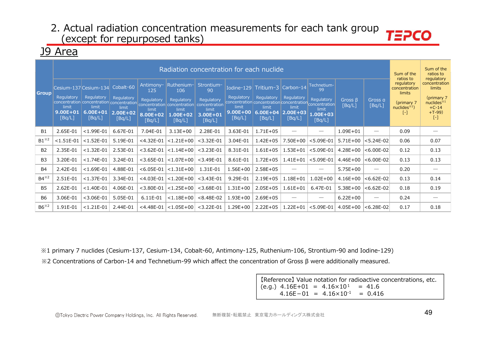### J9 Area

|                |                                               |                                                                        |                                                            |                                                               |                                                                                                                                  | Radiation concentration for each nuclide                                       |                                               |                                                                                                                                  |                                                            |                                                                    |                         |                          | Sum of the<br>ratios to                                                           | Sum of the<br>ratios to<br>regulatory                                                         |
|----------------|-----------------------------------------------|------------------------------------------------------------------------|------------------------------------------------------------|---------------------------------------------------------------|----------------------------------------------------------------------------------------------------------------------------------|--------------------------------------------------------------------------------|-----------------------------------------------|----------------------------------------------------------------------------------------------------------------------------------|------------------------------------------------------------|--------------------------------------------------------------------|-------------------------|--------------------------|-----------------------------------------------------------------------------------|-----------------------------------------------------------------------------------------------|
| <b>Group</b>   | Regulatory<br>limit<br>$9.00E + 01$<br>[Bq/L] | Cesium-137 Cesium-134<br>Regulatory<br>limit<br>$6.00E + 01$<br>[Bq/L] | Cobalt-60<br>Regulatory<br>limit<br>$2.00E + 02$<br>[Bq/L] | Antimony-<br>125<br>Regulatory<br>limit<br>8.00E+02<br>[Bq/L] | Ruthenium-<br>106<br>concentration concentration concentration concentration concentration<br>limit<br><b>L.00E+02</b><br>[Bq/L] | Strontium-<br>90<br>Regulatory<br>concentration<br>limit<br>3.00E+01<br>[Bq/L] | Regulatory<br>limit<br>$9.00E + 00$<br>[Bq/L] | Iodine-129 Tritium-3<br>Regulatory<br>concentration concentration concentration concentration<br>limit<br>$6.00E + 04$<br>[Bq/L] | Carbon-14<br>Regulatory<br>limit<br>$2.00E + 03$<br>[Bq/L] | Technetium-<br>99<br>Regulatory<br>limit<br>$1.00E + 03$<br>[Bq/L] | Gross $\beta$<br>[Bq/L] | Gross a<br>[Bq/L]        | regulatory<br>concentration<br>limits<br>(primary 7<br>nuclides $*1$ )<br>$[ - ]$ | concentration<br>limits<br>(primary 7<br>nuclees <sup>34</sup><br>$+C-14$<br>$+T-99$<br>$[-]$ |
| <b>B1</b>      | 2.65E-01                                      | $<$ 1.99E-01                                                           | 6.67E-01                                                   | 7.04E-01                                                      | $3.13E + 00$                                                                                                                     | 2.28E-01                                                                       | 3.63E-01                                      | $1.71E + 05$                                                                                                                     |                                                            |                                                                    | $1.09E + 01$            | --                       | 0.09                                                                              |                                                                                               |
| $B1^{*2}$      | $< 1.51E - 01$                                | $< 1.52E - 01$                                                         | 5.19E-01                                                   | $<$ 4.32E-01                                                  | $< 1.21E + 00$                                                                                                                   | $<$ 3.32E-01                                                                   | 3.04E-01                                      | $1.42E + 05$                                                                                                                     | $7.50E + 00$                                               | $< 5.09E - 01$                                                     | $5.71E+00$              | $< 5.24E - 02$           | 0.06                                                                              | 0.07                                                                                          |
| <b>B2</b>      | 2.35E-01                                      | $< 1.32E - 01$                                                         | 2.53E-01                                                   | $<$ 3.62E-01                                                  | $ $ < 1.14E + 00 $ $                                                                                                             | $<$ 3.23E-01                                                                   | 8.31E-01                                      | $1.61E + 05$                                                                                                                     | $1.53E + 01$                                               | $< 5.09E - 01$                                                     | $4.28E + 00$            | $< 6.00E - 02$           | 0.12                                                                              | 0.13                                                                                          |
| B <sub>3</sub> | 3.20E-01                                      | $<$ 1.74E-01                                                           | 3.24E-01                                                   | $<$ 3.65E-01                                                  | $< 1.07E + 00$                                                                                                                   | $<$ 3.49E-01                                                                   | 8.61E-01                                      | $1.72E + 05$                                                                                                                     | $1.41E + 01$                                               | $< 5.09E - 01$                                                     | 4.46E+00                | $ <$ 6.00E-02 $ $        | 0.13                                                                              | 0.13                                                                                          |
| <b>B4</b>      | 2.42E-01                                      | $< 1.69E - 01$                                                         | 4.88E-01                                                   | $< 6.05E - 01$                                                | $ $ <1.31E+00 $ $                                                                                                                | 1.31E-01                                                                       | $1.56E + 00$                                  | $2.58E + 05$                                                                                                                     |                                                            |                                                                    | $5.75E + 00$            | $\overline{\phantom{0}}$ | 0.20                                                                              |                                                                                               |
| $B4^{*2}$      | 2.51E-01                                      | $< 1.37E - 01$                                                         | 3.34E-01                                                   | $<$ 4.03E-01                                                  | $<$ 1.20E+00                                                                                                                     | $<$ 3.43E-01                                                                   | 9.29E-01                                      | $2.19E + 05$                                                                                                                     | $1.18E + 01$                                               | $1.02E + 00$                                                       | $4.16E + 00$            | $< 6.62E - 02$           | 0.13                                                                              | 0.14                                                                                          |
| <b>B5</b>      | 2.62E-01                                      | $< 1.40E - 01$                                                         | 4.06E-01                                                   | $<$ 3.80E-01                                                  | $< 1.25E + 00$                                                                                                                   | $<$ 3.68E-01                                                                   | $1.31E + 00$                                  | $2.05E + 05$                                                                                                                     | $1.61E + 01$                                               | 6.47E-01                                                           | $5.38E + 00$            | $ <$ 6.62E-02            | 0.18                                                                              | 0.19                                                                                          |
| <b>B6</b>      | 3.06E-01                                      | $<$ 3.06E-01                                                           | 5.05E-01                                                   | 6.11E-01                                                      | $< 1.18E + 00$                                                                                                                   | $< 8.48E - 02$                                                                 | $1.93E + 00$                                  | $2.69E + 05$                                                                                                                     |                                                            |                                                                    | $6.22E + 00$            | $\overline{\phantom{0}}$ | 0.24                                                                              |                                                                                               |
| $B6^{x2}$      | 1.91E-01                                      | $< 1.21E - 01$                                                         | 2.44E-01                                                   | $<$ 4.48E-01                                                  | $< 1.05E + 00$                                                                                                                   | $<$ 3.22E-01                                                                   | $1.29E + 00$                                  | $2.22E + 05$                                                                                                                     | $1.22E + 01$                                               | $< 5.09E - 01$                                                     | $4.05E + 00$            | $< 6.28E - 02$           | 0.17                                                                              | 0.18                                                                                          |

※1 primary 7 nuclides (Cesium-137, Cesium-134, Cobalt-60, Antimony-125, Ruthenium-106, Strontium-90 and Iodine-129)

※2 Concentrations of Carbon-14 and Technetium-99 which affect the concentration of Gross β were additionally measured.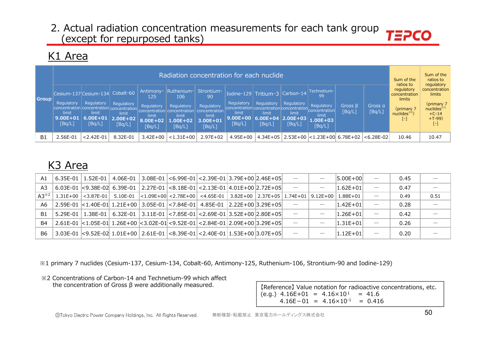### K1 Area

|                |                                                                                                                               |                                               |                                           |                                                                                | Radiation concentration for each nuclide                                           |                                                                                                 |                               |                                                                                                                                              |                               |                                                                                 |                         |                   | Sum of the<br>ratios to                                                     | Sum of the<br>ratios to<br>regulatory                                                      |
|----------------|-------------------------------------------------------------------------------------------------------------------------------|-----------------------------------------------|-------------------------------------------|--------------------------------------------------------------------------------|------------------------------------------------------------------------------------|-------------------------------------------------------------------------------------------------|-------------------------------|----------------------------------------------------------------------------------------------------------------------------------------------|-------------------------------|---------------------------------------------------------------------------------|-------------------------|-------------------|-----------------------------------------------------------------------------|--------------------------------------------------------------------------------------------|
| <b>Group</b>   | Cesium-137 Cesium-134 Cobalt-60<br>Regulatory<br>concentration concentration concentration<br>limit<br>$9.00E + 01$<br>[Bq/L] | Regulatory<br>limit<br>$6.00E + 01$<br>[Bq/L] | Regulatory<br>limit<br>2.00E+02<br>[Bq/L] | Antimony-<br>125<br>Regulatory<br>concentration<br>limit<br>8.00E+02<br>[Bq/L] | Ruthenium-<br>106<br>Regulatory<br>concentration<br>limit<br>$.00E + 02$<br>[Bq/L] | Strontium-<br>90<br>Regulatory<br>concentration <sup>1</sup><br>limit<br>$3.00E + 01$<br>[Bq/L] | Regulatory<br>limit<br>[Bq/L] | Iodine-129 Tritium-3 Carbon-14<br>Regulatory<br>concentration concentration concentration<br>limit<br>$9.00E+00$ 6.00E+04 2.00E+03<br>[Bq/L] | Regulatory<br>limit<br>[Bq/L] | Technetium-<br>99<br>Regulatory<br>concentration<br>limit<br>1.00E+03<br>[Bq/L] | Gross $\beta$<br>[Bq/L] | Gross a<br>[Bq/L] | regulatory<br>concentration<br>limits<br>(primary 7<br>nuclides $*1$<br>[-] | concentration<br>limits<br>(primary 7<br>$n$ uclides $*1$<br>$+C-14$<br>$+T-99$<br>$[ - ]$ |
| B <sub>1</sub> | 2.56E-01                                                                                                                      | $< 2.42E - 01$                                | 8.32E-01                                  | $3.42E + 00$                                                                   | $< 1.31E + 00$                                                                     | $2.97E+02$                                                                                      | $4.95E + 00$                  |                                                                                                                                              |                               | 4.34E+05 2.53E+00 < 1.23E+00 6.78E+02                                           |                         | $< 6.28E - 02$    | 10.46                                                                       | 10.47                                                                                      |
|                |                                                                                                                               |                                               |                                           |                                                                                |                                                                                    |                                                                                                 |                               |                                                                                                                                              |                               |                                                                                 |                         |                   |                                                                             |                                                                                            |

# K3 Area

| A1              |  |  | 6.35E-01   1.52E-01   4.06E-01   3.08E-01   <6.99E-01   <2.39E-01   3.79E+00   2.46E+05                                                    |  | $\overline{\phantom{a}}$ | $\hspace{0.1mm}-\hspace{0.1mm}$ | $ 5.00E+00 $   | 0.45 |                          |
|-----------------|--|--|--------------------------------------------------------------------------------------------------------------------------------------------|--|--------------------------|---------------------------------|----------------|------|--------------------------|
| A3              |  |  | 6.03E-01 <9.38E-02 6.39E-01 2.27E-01 <8.18E-01 <2.13E-01 4.01E+00 2.72E+05                                                                 |  | $\overline{\phantom{a}}$ | $\overbrace{\phantom{12332}}$   | $ 1.62E + 01 $ | 0.47 |                          |
| $A3^{\times 2}$ |  |  | $1.31E+00$ $ <$ 3.87E-01 $ $ 5.10E-01 $ <$ 1.09E+00 $ <$ 2.78E+00 $ <$ 4.65E-01 $ $ 3.82E+00 $ $ 2.37E+05 $ $ 1.74E+01 $ $                 |  |                          | 9.12E+00 L                      | $1.88E + 01$   | 0.49 | 0.51                     |
| A6              |  |  | $\mid$ 2.59E-01 $\mid$ <1.40E-01 1.21E+00   3.05E-01 $\mid$ <7.84E-01   4.85E-01   2.22E+00  3.29E+05                                      |  |                          |                                 | $ 1.42E + 01 $ | 0.28 |                          |
| B1              |  |  | $\mid$ 5.29E-01 $\mid$ 1.38E-01 $\mid$ 6.32E-01 $\mid$ 3.11E-01 $\mid$ < 7.85E-01 $\mid$ < 2.69E-01 $\mid$ 3.52E+00 $\mid$ 2.80E+05 $\mid$ |  |                          |                                 | $ 1.26E + 01 $ | 0.42 | $\overline{\phantom{m}}$ |
| B4              |  |  | 2.61E-01  <1.05E-01  1.26E+00  <3.02E-01  <9.52E-01   <2.84E-01   2.09E+00  3.29E+05                                                       |  |                          | $\hspace{0.1mm}-\hspace{0.1mm}$ | $ 1.31E + 01 $ | 0.26 |                          |
| B6.             |  |  | $3.03E-01$ <9.52E-02 1.01E+00 2.61E-01 <8.39E-01 <2.40E-01 1.53E+00 3.07E+05                                                               |  |                          | $\overbrace{\hspace{25mm}}^{}$  | $ 1.12E+01 $   | 0.20 |                          |

※1 primary 7 nuclides (Cesium-137, Cesium-134, Cobalt-60, Antimony-125, Ruthenium-106, Strontium-90 and Iodine-129)

※2 Concentrations of Carbon-14 and Technetium-99 which affect

the concentration of Gross  $\beta$  were additionally measured. [Reference] Value notation for radioactive concentrations, etc.  $(e.g.)$  4.16E+01 = 4.16×10<sup>1</sup> = 41.6  $4.16E-01 = 4.16 \times 10^{-1} = 0.416$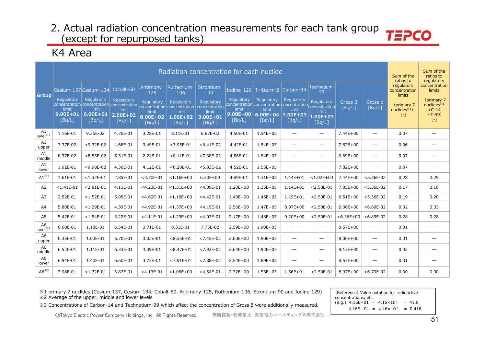**TEPCO** 

# K4 Area

|                          |                                 |                             |                                 |                             |                                                                                     | Radiation concentration for each nuclide |                                                                       |                                 |                                  |                                 |                         |                                 | Sum of the<br>ratios to               | Sum of the<br>ratios to<br>regulatory |
|--------------------------|---------------------------------|-----------------------------|---------------------------------|-----------------------------|-------------------------------------------------------------------------------------|------------------------------------------|-----------------------------------------------------------------------|---------------------------------|----------------------------------|---------------------------------|-------------------------|---------------------------------|---------------------------------------|---------------------------------------|
| <b>Group</b>             | Cesium-137 Cesium-134           |                             | Cobalt-60                       | Antimony-<br>125            | Ruthenium-<br>106                                                                   | Strontium-<br>90                         | Iodine-129                                                            | Tritium-3                       | Carbon-14                        | Technetium-<br>99               |                         |                                 | regulatory<br>concentration<br>limits | concentration<br>limits               |
|                          | Regulatory                      | Regulatory                  | Regulatory                      | Regulatory                  | Regulatory<br>concentration concentration concentration concentration concentration | Regulatory<br>concentration              | Regulatory<br>concentration concentration concentration concentration | Regulatory                      | Regulatory                       | Regulatory                      | Gross $\beta$<br>[Bq/L] | Gross a<br>[Bq/L]               | (primary 7                            | (primary 7<br>nuclees <sup>34</sup>   |
|                          | limit<br>$9.00E + 01$<br>[Bq/L] | limit<br>6.00E+01<br>[Bq/L] | limit<br>$2.00E + 02$<br>[Bq/L] | limit<br>8.00E+02<br>[Bq/L] | limit<br>$1.00E + 02$<br>[Bq/L]                                                     | limit<br>$3.00E + 01$<br>[Bq/L]          | limit<br>$9.00E + 00$<br>[Bq/L]                                       | limit<br>$6.00E + 04$<br>[Bq/L] | limit<br>$ 2.00E + 03$<br>[Bq/L] | limit<br>$1.00E + 03$<br>[Bq/L] |                         |                                 | $nuclees^{*1}$<br>$\left[ -\right]$   | $+C-14$<br>$+T-99$<br>$[\cdot]$       |
| A1<br>ave. $*^{2}$       | 1.16E-01                        | 9.25E-02                    | 4.76E-01                        | 3.28E-01                    | 8.11E-01                                                                            | 6.87E-02                                 | 4.50E-01                                                              | $1.54E + 05$                    |                                  |                                 | 7.44E+00                |                                 | 0.07                                  |                                       |
| A1<br>upper              | 7.37E-02                        | $< 9.32E - 02$              | 4.68E-01                        | 3.49E-01                    | $< 7.95E - 01$                                                                      | $< 6.41E - 02$                           | 4.42E-01                                                              | $1.54E + 05$                    | $\overline{\phantom{m}}$         | $\overbrace{\qquad \qquad }^{}$ | 7.82E+00                | $\overbrace{\qquad \qquad }^{}$ | 0.06                                  |                                       |
| A1<br>middle             | 8.37E-02                        | $< 8.53E - 02$              | 5.31E-01                        | 2.24E-01                    | $< 8.11E - 01$                                                                      | $< 7.38E - 02$                           | 4.56E-01                                                              | $1.54E + 05$                    | $\overline{\phantom{a}}$         |                                 | $6.69E + 00$            |                                 | 0.07                                  | $\overline{\phantom{a}}$              |
| A1<br>lower              | 1.92E-01                        | $< 9.90E - 02$              | 4.30E-01                        | 4.12E-01                    | $< 8.28E - 01$                                                                      | $< 6.83E-02$                             | 4.52E-01                                                              | $1.55E + 05$                    |                                  | $\overbrace{\qquad \qquad }^{}$ | 7.82E+00                | $\overline{\phantom{0}}$        | 0.07                                  | $\overbrace{\phantom{12333}}$         |
| $A1^{\times 3}$          | 1.61E-01                        | $< 1.32E - 01$              | 2.85E-01                        | $<$ 3.70E-01                | $< 1.16E + 00$                                                                      | $6.30E + 00$                             | 4.89E-01                                                              | $1.31E + 05$                    | $1.44E + 01$                     | $< 1.02E + 00$                  | 7.44E+00                | $< 5.36E-02$                    | 0.28                                  | 0.29                                  |
| A2                       | $< 1.41E - 01$                  | $< 2.81E - 01$              | 4.11E-01                        | $<$ 4.23E-01                | $< 1.31E + 00$                                                                      | $<$ 4.09E-01                             | $1.20E + 00$                                                          | $1.35E + 05$                    | $1.14E + 01$                     | $< 2.50E - 01$                  | 7.85E+00                | $< 5.36E - 02$                  | 0.17                                  | 0.18                                  |
| A <sub>3</sub>           | 2.52E-01                        | $< 1.52E - 01$              | 5.05E-01                        | $<$ 4.69E-01                | $< 1.16E + 00$                                                                      | $<$ 4.42E-01                             | $1.40E + 00$                                                          | $1.45E + 05$                    | $1.19E + 01$                     | $< 2.50E - 01$                  | $6.51E+00$              | $< 5.36E-02$                    | 0.19                                  | 0.20                                  |
| A4                       | 5.80E-01                        | $< 1.29E - 01$              | 4.39E-01                        | $<$ 4.92E-01                | $< 1.37E + 00$                                                                      | $<$ 4.19E-01                             | $2.56E + 00$                                                          | $1.47E + 05$                    | $8.97E + 00$                     | $< 2.50E - 01$                  | $6.36E + 00$            | $< 6.89E - 02$                  | 0.32                                  | 0.33                                  |
| A <sub>5</sub>           | 5.42E-01                        | $< 1.54E - 01$              | 3.22E-01                        | $<$ 4.11E-01                | $< 1.29E + 00$                                                                      | $<$ 4.07E-01                             | $2.17E + 00$                                                          | $1.48E + 05$                    | $9.20E + 00$                     | $< 2.50E - 01$                  | $< 6.36E + 00$          | $< 6.89E - 02$                  | 0.28                                  | 0.28                                  |
| A6<br>ave. $*^{2}$       | 6.60E-01                        | 1.18E-01                    | 6.54E-01                        | 3.71E-01                    | 8.31E-01                                                                            | 7.75E-02                                 | $2.59E + 00$                                                          | 1.90E+05                        |                                  | $\overline{\phantom{0}}$        | $8.57E + 00$            |                                 | 0.31                                  |                                       |
| A <sub>6</sub><br>upper  | 6.35E-01                        | 1.03E-01                    | 6.70E-01                        | 3.02E-01                    | $< 8.55E - 01$                                                                      | $< 7.45E - 02$                           | $2.60E + 00$                                                          | 1.90E+05                        | $\overline{\phantom{m}}$         | $\overbrace{\qquad \qquad }^{}$ | $8.00E + 00$            |                                 | 0.31                                  |                                       |
| A <sub>6</sub><br>middle | 6.52E-01                        | 1.11E-01                    | 6.33E-01                        | 4.39E-01                    | $< 8.47E - 01$                                                                      | $< 7.92E - 02$                           | $2.64E + 00$                                                          | $1.92E + 05$                    | $\hspace{0.1mm}-\hspace{0.1mm}$  | $\hspace{0.1mm}-\hspace{0.1mm}$ | $9.13E + 00$            | $\overbrace{\qquad \qquad }^{}$ | 0.32                                  | $\hspace{1.0cm} \rule{1.5cm}{0.15cm}$ |
| A <sub>6</sub><br>lower  | 6.94E-01                        | 1.40E-01                    | 6.60E-01                        | 3.73E-01                    | $< 7.91E - 01$                                                                      | $< 7.88E - 02$                           | $2.54E + 00$                                                          | 1.89E+05                        |                                  | $\overbrace{\qquad \qquad }^{}$ | $8.57E + 00$            | $\overline{\phantom{m}}$        | 0.31                                  |                                       |
| $AG^{\times 3}$          | 7.98E-01                        | $< 1.32E - 01$              | 3.87E-01                        | $<$ 4.13E-01                | $< 1.06E + 00$                                                                      | $<$ 4.54E-01                             | $2.32E+00$                                                            | $1.53E + 05$                    | 1.56E+01                         | $< 2.50E - 01$                  | 8.97E+00                | $< 6.79E - 02$                  | 0.30                                  | 0.30                                  |

※1 primary 7 nuclides (Cesium-137, Cesium-134, Cobalt-60, Antimony-125, Ruthenium-106, Strontium-90 and Iodine-129) \*2 Average of the upper, middle and lower levels

[Reference] Value notation for radioactive concentrations, etc. (e.g.)  $4.16E+01 = 4.16 \times 10^{1} = 41.6$  $4.16E-01 = 4.16 \times 10^{-1} = 0.416$ 

» 3 Concentrations of Carbon-14 and Technetium-99 which affect the concentration of Gross β were additionally measured.

©Tokyo Electric Power Company Holdings, Inc. All Rights Reserved. 無断複製・転載禁止 東京電力ホールディングス株式会社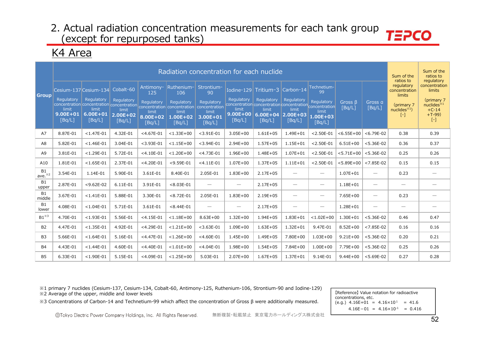# K4 Area

|                           |                                                                  |                     |                        |                            | Radiation concentration for each nuclide           |                                      |                                                                                |                        |                          |                                 |                   |                          | Sum of the<br>ratios to               | Sum of the<br>ratios to<br>regulatory          |
|---------------------------|------------------------------------------------------------------|---------------------|------------------------|----------------------------|----------------------------------------------------|--------------------------------------|--------------------------------------------------------------------------------|------------------------|--------------------------|---------------------------------|-------------------|--------------------------|---------------------------------------|------------------------------------------------|
| <b>Group</b>              | Cesium-137 Cesium-134                                            |                     | Cobalt-60              | Antimony-<br>125           | Ruthenium-<br>106                                  | Strontium-<br>90                     |                                                                                | Iodine-129 Tritium-3   | Carbon-14                | Technetium-<br>99               |                   |                          | regulatory<br>concentration<br>limits | concentration<br>limits                        |
|                           | Regulatory<br>concentration concentration concentration<br>limit | Regulatory<br>limit | Regulatory<br>limit    | <b>Regulatory</b><br>limit | Regulatory<br>concentration concentration<br>limit | Regulatory<br>concentration<br>limit | Regulatory<br>concentration concentration concentration concentration<br>limit | Regulatory<br>limit    | Regulatory<br>limit      | Regulatory<br>limit             | Gross B<br>[Bq/L] | Gross a<br>[Bq/L]        | (primary 7)<br>nuclides $*1$          | (primary 7<br>nuclees <sup>34</sup><br>$+C-14$ |
|                           | $9.00E + 01$<br>[Bq/L]                                           | 6.00E+01<br>[Bq/L]  | $2.00E + 02$<br>[Bq/L] | 8.00E+02<br>[Bq/L]         | 1.00E+02<br>[Bq/L]                                 | 3.00E+01<br>[Bq/L]                   | $9.00E + 00$<br>[Bq/L]                                                         | $6.00E + 04$<br>[Bq/L] | $ 2.00E+03$<br>[Bq/L]    | $1.00E + 03$<br>[Bq/L]          |                   |                          | $[ - ]$                               | $+T-99$<br>$[ - ]$                             |
| A7                        | 8.87E-01                                                         | $< 1.47E - 01$      | 4.32E-01               | $<$ 4.67E-01               | $< 1.33E + 00$                                     | $<$ 3.91E-01                         | $3.05E + 00$                                                                   | $1.61E + 05$           | $1.49E + 01$             | $< 2.50E - 01$                  | $< 6.55E + 00$    | $< 6.79E - 02$           | 0.38                                  | 0.39                                           |
| A8                        | 5.82E-01                                                         | $< 1.46E - 01$      | 3.04E-01               | $<$ 3.93E-01               | $< 1.15E + 00$                                     | $<$ 3.94E-01                         | $2.94E + 00$                                                                   | $1.57E + 05$           | $1.15E + 01$             | $< 2.50E - 01$                  | $6.51E + 00$      | $< 5.36E-02$             | 0.36                                  | 0.37                                           |
| A <sub>9</sub>            | 3.81E-01                                                         | $< 1.29E - 01$      | 5.72E-01               | $<$ 4.10E-01               | $< 1.20E + 00$                                     | $<$ 4.73E-01                         | $1.96E + 00$                                                                   | $1.48E + 05$           | $1.07E + 01$             | $< 2.50E - 01$                  | $< 5.71E + 00$    | $< 5.36E-02$             | 0.25                                  | 0.26                                           |
| A10                       | 1.81E-01                                                         | $< 1.65E - 01$      | 2.37E-01               | $<$ 4.20E-01               | $<$ 9.59E-01                                       | $<$ 4.11E-01                         | $1.07E + 00$                                                                   | $1.37E + 05$           | $1.11E + 01$             | $< 2.50E - 01$                  | $< 5.89E + 00$    | $< 7.85E - 02$           | 0.15                                  | 0.15                                           |
| <b>B1</b><br>ave. $*^{2}$ | 3.54E-01                                                         | 1.14E-01            | 5.90E-01               | 3.61E-01                   | 8.40E-01                                           | 2.05E-01                             | $1.83E + 00$                                                                   | $2.17E + 05$           | $\overline{\phantom{0}}$ | $\overbrace{\qquad \qquad }^{}$ | $1.07E + 01$      | $\overline{\phantom{0}}$ | 0.23                                  | $\hspace{0.1mm}-\hspace{0.1mm}$                |
| <b>B1</b><br>upper        | 2.87E-01                                                         | $< 9.62E - 02$      | 6.11E-01               | 3.91E-01                   | $< 8.03E - 01$                                     | $\overline{\phantom{m}}$             | $\hspace{0.1mm}-\hspace{0.1mm}$                                                | $2.17E + 05$           |                          | $\hspace{0.1mm}-\hspace{0.1mm}$ | $1.18E + 01$      | $\overline{\phantom{0}}$ |                                       |                                                |
| <b>B1</b><br>middle       | 3.67E-01                                                         | $< 1.41E - 01$      | 5.88E-01               | 3.30E-01                   | $< 8.72E - 01$                                     | 2.05E-01                             | $1.83E + 00$                                                                   | $2.19E + 05$           | $\overline{\phantom{0}}$ | $\hspace{0.1mm}-\hspace{0.1mm}$ | $7.65E + 00$      |                          | 0.23                                  |                                                |
| <b>B1</b><br>lower        | 4.08E-01                                                         | $< 1.04E - 01$      | 5.71E-01               | 3.61E-01                   | $< 8.44E - 01$                                     | $\overline{\phantom{0}}$             | $\overbrace{\phantom{12332}}$                                                  | $2.17E + 05$           | $\overline{\phantom{0}}$ | $\hspace{0.1mm}-\hspace{0.1mm}$ | 1.28E+01          | $\overline{\phantom{0}}$ |                                       |                                                |
| $B1^{\times 3}$           | 4.70E-01                                                         | $< 1.93E - 01$      | 5.56E-01               | $<$ 4.15E-01               | $< 1.18E + 00$                                     | $8.63E + 00$                         | $1.32E + 00$                                                                   | 1.94E+05               | $1.83E + 01$             | $< 1.02E + 00$                  | $1.30E + 01$      | $< 5.36E-02$             | 0.46                                  | 0.47                                           |
| <b>B2</b>                 | 4.47E-01                                                         | $< 1.35E - 01$      | 4.92E-01               | $<$ 4.29E-01               | $< 1.21E + 00$                                     | $<$ 3.63E-01                         | $1.09E + 00$                                                                   | $1.63E + 05$           | $1.32E + 01$             | 9.47E-01                        | $8.52E + 00$      | $< 7.85E - 02$           | 0.16                                  | 0.16                                           |
| <b>B3</b>                 | 5.66E-01                                                         | $< 1.64E - 01$      | 5.16E-01               | $<$ 4.47E-01               | $< 1.26E + 00$                                     | $<$ 4.60E-01                         | $1.45E + 00$                                                                   | 1.49E+05               | 7.80E+00                 | $1.03E + 00$                    | $9.21E + 00$      | $< 5.36E - 02$           | 0.20                                  | 0.21                                           |
| <b>B4</b>                 | 4.43E-01                                                         | $< 1.44E - 01$      | 4.60E-01               | $<$ 4.40E-01               | $< 1.01E + 00$                                     | $<$ 4.04E-01                         | 1.98E+00                                                                       | $1.54E + 05$           | 7.84E+00                 | $1.00E + 00$                    | 7.79E+00          | $< 5.36E-02$             | 0.25                                  | 0.26                                           |
| B5                        | 6.33E-01                                                         | $<$ 1.90E-01        | 5.15E-01               | $<$ 4.09E-01               | $< 1.25E + 00$                                     | 5.03E-01                             | $2.07E + 00$                                                                   | $1.67E + 05$           | $1.37E + 01$             | 9.14E-01                        | $9.44E + 00$      | $< 5.69E - 02$           | 0.27                                  | 0.28                                           |

※1 primary 7 nuclides (Cesium-137, Cesium-134, Cobalt-60, Antimony-125, Ruthenium-106, Strontium-90 and Iodine-129) \*2 Average of the upper, middle and lower levels

[Reference] Value notation for radioactive concentrations, etc. (e.g.)  $4.16E+01 = 4.16 \times 10^{1} = 41.6$  $4.16E-01 = 4.16 \times 10^{-1} = 0.416$ 

» 3 Concentrations of Carbon-14 and Technetium-99 which affect the concentration of Gross β were additionally measured.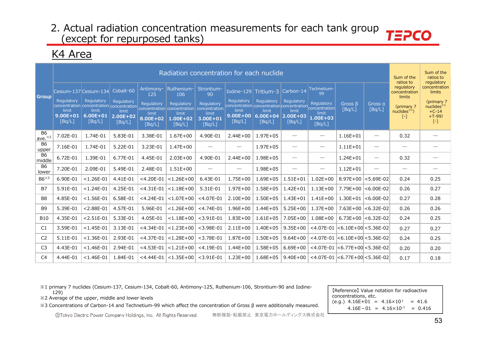**TEPCO** 

# K4 Area

|                           |                                                                     |                                                                                  |                                                  |                                                     | Radiation concentration for each nuclide                                                |                                                                          |                                     |                                                                                                                               |                                  |                                                          |                                          |                                 | Sum of the<br>ratios to                                                              | Sum of the<br>ratios to<br>regulatory                                        |
|---------------------------|---------------------------------------------------------------------|----------------------------------------------------------------------------------|--------------------------------------------------|-----------------------------------------------------|-----------------------------------------------------------------------------------------|--------------------------------------------------------------------------|-------------------------------------|-------------------------------------------------------------------------------------------------------------------------------|----------------------------------|----------------------------------------------------------|------------------------------------------|---------------------------------|--------------------------------------------------------------------------------------|------------------------------------------------------------------------------|
| l Group                   | Cesium-137 Cesium-134<br><b>Requlatory</b><br>limit<br>$9.00E + 01$ | Regulatory<br>concentration concentration concentration<br>limit<br>$6.00E + 01$ | Cobalt-60<br>Regulatory<br>limit<br>$2.00E + 02$ | Antimony-<br>125<br>Regulatory<br>limit<br>8.00E+02 | Ruthenium-<br>106<br>Regulatory<br>concentration concentration<br>limit<br>$1.00E + 02$ | Strontium-<br>90<br>Regulatory<br>concentration<br>limit<br>$3.00E + 01$ | Regulatory<br>limit<br>$9.00E + 00$ | Iodine-129 Tritium-3<br>Regulatory<br>concentration concentration concentration concentration<br>limit<br>$6.00E+04$ 2.00E+03 | Carbon-14<br>Regulatory<br>limit | Technetium-<br>99<br>Regulatory<br>limit<br>$1.00E + 03$ | Gross $\beta$<br>[Bq/L]                  | Gross a<br>[Bq/L]               | regulatory<br>concentration<br>limits<br>(primary 7<br>nuclees <sup>1</sup><br>$[-]$ | concentration<br>limits<br>(primary 7<br>nuclides $*1$<br>$+C-14$<br>$+T-99$ |
|                           | [Bq/L]                                                              | [Bq/L]                                                                           | [Bq/L]                                           | [Bq/L]                                              | [Bq/L]                                                                                  | [Bq/L]                                                                   | [Bq/L]                              | [Bq/L]                                                                                                                        | [Bq/L]                           | [Bq/L]                                                   |                                          |                                 |                                                                                      | $[ - ]$                                                                      |
| <b>B6</b><br>ave. $*^{2}$ | 7.02E-01                                                            | 1.74E-01                                                                         | 5.83E-01                                         | 3.38E-01                                            | $1.67E + 00$                                                                            | 4.90E-01                                                                 | $2.44E + 00$                        | $1.97E + 05$                                                                                                                  | $\overbrace{\phantom{12322111}}$ |                                                          | $1.16E + 01$                             | $\hspace{0.1mm}-\hspace{0.1mm}$ | 0.32                                                                                 |                                                                              |
| <b>B6</b><br>upper        | 7.16E-01                                                            | 1.74E-01                                                                         | 5.22E-01                                         | 3.23E-01                                            | $1.47E + 00$                                                                            | $\overbrace{\phantom{12333}}$                                            |                                     | $1.97E + 05$                                                                                                                  | $\hspace{0.1mm}-\hspace{0.1mm}$  | $\hspace{0.1mm}-\hspace{0.1mm}$                          | $1.11E + 01$                             | $\hspace{0.1mm}-\hspace{0.1mm}$ |                                                                                      |                                                                              |
| <b>B6</b><br>middle       | 6.72E-01                                                            | 1.39E-01                                                                         | 6.77E-01                                         | 4.45E-01                                            | $2.03E + 00$                                                                            | 4.90E-01                                                                 | $2.44E + 00$                        | $1.98E + 05$                                                                                                                  | $\overbrace{\phantom{12322111}}$ | $\hspace{0.1mm}-\hspace{0.1mm}$                          | $1.24E + 01$                             | $\hspace{0.05cm}$               | 0.32                                                                                 |                                                                              |
| <b>B6</b><br>lower        | 7.20E-01                                                            | 2.09E-01                                                                         | 5.49E-01                                         | 2.48E-01                                            | $1.51E + 00$                                                                            | $\overbrace{\phantom{12333}}$                                            | $\hspace{0.1mm}-\hspace{0.1mm}$     | $1.98E + 05$                                                                                                                  | $\hspace{0.05cm}$                | $\hspace{0.1mm}-\hspace{0.1mm}$                          | $1.12E + 01$                             | $\hspace{0.05cm}$               | $\overline{\phantom{m}}$                                                             |                                                                              |
| $B6^{*3}$                 | 6.90E-01                                                            | $< 1.26E - 01$                                                                   | 4.41E-01                                         | $<$ 4.20E-01                                        | $< 1.26E + 00$                                                                          | 6.43E-01                                                                 | $1.75E + 00$                        | $1.69E + 05$                                                                                                                  | $1.51E + 01$                     | $1.02E + 00$                                             | $8.97E + 00$                             | $< 5.69E - 02$                  | 0.24                                                                                 | 0.25                                                                         |
| <b>B7</b>                 | 5.91E-01                                                            | $< 1.24E - 01$                                                                   | 4.25E-01                                         | $<$ 4.31E-01                                        | $ $ < 1.18E+00                                                                          | 5.31E-01                                                                 | $1.97E + 00$                        | $1.58E + 05$                                                                                                                  | $1.42E + 01$                     | $1.13E + 00$                                             | 7.79E+00                                 | $ <$ 6.00E-02                   | 0.26                                                                                 | 0.27                                                                         |
| B <sub>8</sub>            | 4.85E-01                                                            | $< 1.56E - 01$                                                                   | 6.58E-01                                         | $<$ 4.24E-01                                        | $< 1.07E + 00$                                                                          | $<$ 4.07E-01                                                             | $2.10E + 00$                        | $1.50E + 05$                                                                                                                  | $1.43E + 01$                     | $1.41E + 00$                                             | $1.30E + 01$                             | $< 6.00E - 02$                  | 0.27                                                                                 | 0.28                                                                         |
| <b>B9</b>                 | 5.39E-01                                                            | $< 2.88E - 01$                                                                   | 4.57E-01                                         | 5.96E-01                                            | $< 1.26E + 00$                                                                          | $<$ 4.74E-01                                                             | $1.96E + 00$                        | $1.44E + 05$                                                                                                                  | $5.25E + 00$                     | $1.37E + 00$                                             | $7.63E + 00$                             | $< 6.32E - 02$                  | 0.26                                                                                 | 0.26                                                                         |
| <b>B10</b>                | 4.35E-01                                                            | $< 2.51E - 01$                                                                   | 5.33E-01                                         | 4.05E-01                                            | $< 1.18E + 00$                                                                          | $<$ 3.91E-01                                                             | $1.83E + 00$                        | $1.61E + 05$                                                                                                                  | $7.05E + 00$                     | $1.08E + 00$                                             |                                          | $6.73E+00$ <6.32E-02            | 0.24                                                                                 | 0.25                                                                         |
| C1                        | 3.59E-01                                                            | $< 1.45E - 01$                                                                   | 3.13E-01                                         | $<$ 4.34E-01                                        | $ $ <1.23E+00                                                                           | $<$ 3.98E-01                                                             | $2.11E + 00$                        | $1.40E + 05$                                                                                                                  | $9.35E + 00$                     |                                                          | $<$ 4.07E-01 $ <$ 6.10E+00 $ <$ 5.36E-02 |                                 | 0.27                                                                                 | 0.27                                                                         |
| C <sub>2</sub>            | 5.11E-01                                                            | $< 1.36E - 01$                                                                   | 2.93E-01                                         | $<$ 4.37E-01                                        | $< 1.28E + 00$                                                                          | $<$ 3.78E-01                                                             | $1.87E + 00$                        | $1.50E + 05$                                                                                                                  | $9.64E + 00$                     |                                                          | $<$ 4.07E-01 $ <$ 6.10E+00 $ <$ 5.36E-02 |                                 | 0.24                                                                                 | 0.25                                                                         |
| C <sub>3</sub>            | 4.43E-01                                                            | $< 1.46E - 01$                                                                   | 2.94E-01                                         | $<$ 4.53E-01                                        | $< 1.21E + 00$                                                                          | $<$ 4.19E-01                                                             | $1.44E + 00$                        | $1.58E + 05$                                                                                                                  | $6.69E + 00$                     |                                                          | $<$ 4.07E-01 $ <$ 6.77E+00 $ <$ 5.36E-02 |                                 | 0.20                                                                                 | 0.20                                                                         |
| C <sub>4</sub>            | 4.44E-01                                                            | $< 1.46E - 01$                                                                   | 1.84E-01                                         |                                                     | $<$ 4.44E-01 $ $ < 1.35E+00 $ $                                                         | $<$ 3.91E-01                                                             | $1.23E + 00$                        | $1.68E + 05$                                                                                                                  | $9.40E + 00$                     |                                                          | $<$ 4.07E-01 $ <$ 6.77E+00 $ <$ 5.36E-02 |                                 | 0.17                                                                                 | 0.18                                                                         |

※1 primary 7 nuclides (Cesium-137, Cesium-134, Cobalt-60, Antimony-125, Ruthenium-106, Strontium-90 and Iodine-129)

※2 Average of the upper, middle and lower levels

※3 Concentrations of Carbon-14 and Technetium-99 which affect the concentration of Gross β were additionally measured.

【Reference】 Value notation for radioactive concentrations, etc.  $(e.g.)$  4.16E+01 = 4.16×10<sup>1</sup> = 41.6  $4.16E-01 = 4.16 \times 10^{-1} = 0.416$ 

©Tokyo Electric Power Company Holdings, Inc. All Rights Reserved. 無断複製・転載禁止 東京電力ホールディングス株式会社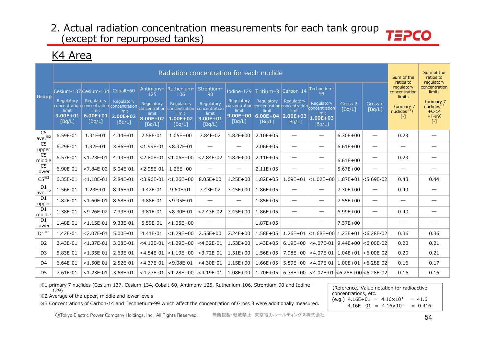### K4 Area

|                               |                        |                       |                     |                     |                                                                                              | Radiation concentration for each nuclide |                                 |                                                                                |                                 |                                        |                   |                                 | Sum of the<br>ratios to               | Sum of the<br>ratios to<br>regulatory           |
|-------------------------------|------------------------|-----------------------|---------------------|---------------------|----------------------------------------------------------------------------------------------|------------------------------------------|---------------------------------|--------------------------------------------------------------------------------|---------------------------------|----------------------------------------|-------------------|---------------------------------|---------------------------------------|-------------------------------------------------|
| <b>Group</b>                  |                        | Cesium-137 Cesium-134 | Cobalt-60           | Antimony-<br>125    | Ruthenium-<br>106                                                                            | Strontium-<br>90                         | Iodine-129 Tritium-3            |                                                                                | Carbon-14                       | Technetium-<br>99                      |                   |                                 | regulatory<br>concentration<br>limits | concentration<br>limits                         |
|                               | Regulatory<br>limit    | Regulatory<br>limit   | Regulatory<br>limit | Regulatory<br>limit | Regulatory<br>concentration concentration concentration concentration concentration<br>limit | Regulatory<br>concentration<br>limit     | Regulatory<br>limit             | Regulatory<br>concentration concentration concentration concentration<br>limit | Regulatory<br>limit             | Regulatory<br>limit                    | Gross B<br>[Bq/L] | Gross a<br>[Bq/L]               | (primary 7<br>nuclides $*1$ )         | (primary 7<br>nuclides <sup>34</sup><br>$+C-14$ |
|                               | $9.00E + 01$<br>[Bq/L] | 6.00E+01<br>[Bq/L]    | 2.00E+02<br>[Bq/L]  | 8.00E+02<br>[Bq/L]  | 1.00E+02<br>[Bq/L]                                                                           | 3.00E+01<br>[Bq/L]                       | $9.00E + 00$<br>[Bq/L]          | $6.00E + 04$<br>[Bq/L]                                                         | $2.00E + 03$<br>[Bq/L]          | $1.00E + 03$<br>[Bq/L]                 |                   |                                 | $\left[ \cdot \right]$                | $+T-99$<br>$[ - ]$                              |
| C <sub>5</sub><br>$ave.$ $*2$ | 6.59E-01               | 1.31E-01              | 4.44E-01            | 2.58E-01            | $1.05E + 00$                                                                                 | 7.84E-02                                 | $1.82E + 00$                    | $2.10E + 05$                                                                   | $\hspace{0.1mm}-\hspace{0.1mm}$ | $\hspace{0.1mm}-\hspace{0.1mm}$        | $6.30E + 00$      | $\hspace{0.05cm}$               | 0.23                                  |                                                 |
| C <sub>5</sub><br>upper       | 6.29E-01               | 1.92E-01              | 3.86E-01            | $< 1.99E - 01$      | $< 8.37E - 01$                                                                               | $\hspace{0.05cm}$                        | $\hspace{0.05cm}$               | $2.06E + 05$                                                                   | $\hspace{0.1mm}-\hspace{0.1mm}$ |                                        | $6.61E + 00$      | $\hspace{0.05cm}$               |                                       |                                                 |
| C5<br>middle                  | 6.57E-01               | $< 1.23E - 01$        | 4.43E-01            | $< 2.80E - 01$      | $< 1.06E + 00$                                                                               | $< 7.84E - 02$                           | $1.82E + 00$                    | $2.11E + 05$                                                                   | $\overline{\phantom{m}}$        | $\hspace{0.1mm}-\hspace{0.1mm}$        | $6.61E + 00$      | $\hspace{0.1mm}-\hspace{0.1mm}$ | 0.23                                  |                                                 |
| C <sub>5</sub><br>lower       | 6.90E-01               | $< 7.84E - 02$        | 5.04E-01            | $< 2.95E - 01$      | $1.26E + 00$                                                                                 |                                          |                                 | $2.11E + 05$                                                                   |                                 | $\qquad \qquad$                        | $5.67E + 00$      | $\hspace{0.1mm}-\hspace{0.1mm}$ |                                       |                                                 |
| $C5^{*3}$                     | 6.35E-01               | $< 1.18E - 01$        | 2.84E-01            | $<$ 3.96E-01        | $< 1.26E + 00$                                                                               | $8.05E + 00$                             | $1.25E + 00$                    | $1.82E + 05$                                                                   | $1.69E + 01$                    | $< 1.02E + 00$                         | $1.87E + 01$      | $<$ 5.69E-02                    | 0.43                                  | 0.44                                            |
| D1<br>$ave.*^2$               | 1.56E-01               | 1.23E-01              | 8.45E-01            | 4.42E-01            | 9.60E-01                                                                                     | 7.43E-02                                 | $3.45E + 00$                    | 1.86E+05                                                                       | $\hspace{0.05cm}$               | $\overbrace{\hspace{15em}}$            | 7.30E+00          | $\hspace{0.05cm}$               | 0.40                                  | $\hspace{0.05cm}$                               |
| D1<br>upper                   | 1.82E-01               | $< 1.60E - 01$        | 8.68E-01            | 3.88E-01            | $<$ 9.95E-01                                                                                 | $\overline{\phantom{0}}$                 | $\hspace{0.1mm}-\hspace{0.1mm}$ | $1.85E + 05$                                                                   | $\hspace{0.05cm}$               |                                        | $7.55E+00$        | $\hspace{0.1mm}-\hspace{0.1mm}$ |                                       | $\hspace{0.1mm}-\hspace{0.1mm}$                 |
| D1<br>middle                  | 1.38E-01               | $<$ 9.26E-02          | 7.33E-01            | 3.81E-01            | $< 8.30E - 01$                                                                               | $< 7.43E - 02$                           | $3.45E + 00$                    | 1.86E+05                                                                       |                                 | $\hspace{0.1mm}-\hspace{0.1mm}$        | $6.99E + 00$      | $\hspace{0.1mm}-\hspace{0.1mm}$ | 0.40                                  |                                                 |
| D1<br>lower                   | 1.48E-01               | $< 1.15E - 01$        | 9.33E-01            | 5.59E-01            | $< 1.05E + 00$                                                                               | $\overline{\phantom{0}}$                 | $\hspace{0.1mm}-\hspace{0.1mm}$ | $1.87E + 05$                                                                   |                                 |                                        | 7.37E+00          | $\hspace{0.1mm}-\hspace{0.1mm}$ | $\hspace{0.1mm}-\hspace{0.1mm}$       |                                                 |
| $D1^{*3}$                     | 1.42E-01               | $< 2.07E - 01$        | 5.00E-01            | 4.41E-01            | $< 1.29E + 00$                                                                               | $2.55E+00$                               | $2.24E + 00$                    | $1.58E + 05$                                                                   | $1.26E + 01$                    | $ $ <1.68E+00   1.23E+01               |                   | $< 6.28E - 02$                  | 0.36                                  | 0.36                                            |
| D <sub>2</sub>                | 2.43E-01               | $< 1.37E - 01$        | 3.08E-01            | $<$ 4.12E-01        | $< 1.29E + 00$                                                                               | $<$ 4.32E-01                             | $1.53E + 00$                    | $1.43E + 05$                                                                   | $6.19E + 00$                    | $<$ 4.07E-01   9.44E+00                |                   | $ <$ 6.00E-02                   | 0.20                                  | 0.21                                            |
| D <sub>3</sub>                | 5.83E-01               | $< 1.35E - 01$        | 2.63E-01            | $<$ 4.54E-01        | $< 1.19E + 00$                                                                               | $<$ 3.72E-01                             | $1.51E + 00$                    | $1.56E + 05$                                                                   | 7.98E+00                        | $<$ 4.07E-01   1.04E+01                |                   | $ <$ 6.00E-02                   | 0.20                                  | 0.21                                            |
| D <sub>4</sub>                | 6.64E-01               | $< 1.50E - 01$        | 2.52E-01            | $<$ 4.37E-01        | $< 9.08E - 01$                                                                               | $<$ 4.30E-01                             | $1.15E + 00$                    | $1.66E + 05$                                                                   | $5.89E + 00$                    | $<$ 4.07E-01                           | $1.00E + 01$      | $ 6.28E-02$                     | 0.16                                  | 0.17                                            |
| D <sub>5</sub>                | 7.61E-01               | $< 1.23E - 01$        | 3.68E-01            | $<$ 4.27E-01        | $< 1.28E + 00$                                                                               | $<$ 4.19E-01                             | $1.08E + 00$                    | 1.70E+05                                                                       | $6.78E+00$                      | $<$ 4.07E-01 $<$ 6.28E+00 $<$ 6.28E-02 |                   |                                 | 0.16                                  | 0.16                                            |

※1 primary 7 nuclides (Cesium-137, Cesium-134, Cobalt-60, Antimony-125, Ruthenium-106, Strontium-90 and Iodine-129)

※2 Average of the upper, middle and lower levels

※3 Concentrations of Carbon-14 and Technetium-99 which affect the concentration of Gross β were additionally measured.

©Tokyo Electric Power Company Holdings, Inc. All Rights Reserved. 無断複製・転載禁止 東京電力ホールディングス株式会社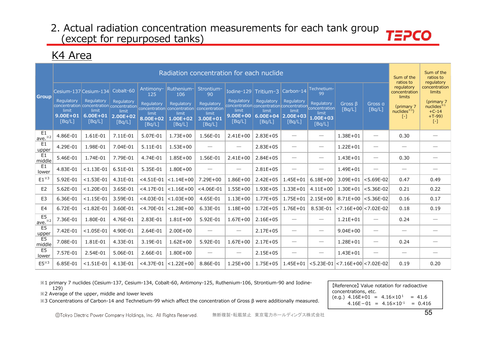### K4 Area

|                                     | Radiation concentration for each nuclide |                                      |                                               |                                           |                                                                                                                        |                                                                |                                               |                                                                                                          |                                               |                                               |                                          |                                 |                                                                                               | Sum of the<br>ratios to<br>regulatory                                                     |
|-------------------------------------|------------------------------------------|--------------------------------------|-----------------------------------------------|-------------------------------------------|------------------------------------------------------------------------------------------------------------------------|----------------------------------------------------------------|-----------------------------------------------|----------------------------------------------------------------------------------------------------------|-----------------------------------------------|-----------------------------------------------|------------------------------------------|---------------------------------|-----------------------------------------------------------------------------------------------|-------------------------------------------------------------------------------------------|
| <b>Group</b>                        |                                          | Cesium-137 Cesium-134                | Cobalt-60                                     | Antimony-<br>125                          | Ruthenium-<br>106                                                                                                      | Strontium-<br>90                                               | Iodine-129                                    | Tritium-3                                                                                                | Carbon-14                                     | Technetium-<br>99                             |                                          |                                 | ratios to<br>regulatory<br>concentration<br>limits<br>(primary 7)<br>nuclides $*1$<br>$[ - ]$ | concentration<br>limits<br>(primary 7<br>nuclides $*1$<br>$+C-14$<br>$+T-99$<br>$[\cdot]$ |
|                                     | Regulatory<br>$9.00E + 01$<br>[Bq/L]     | Regulatory<br>$6.00E + 01$<br>[Bq/L] | Regulatory<br>limit<br>$2.00E + 02$<br>[Bq/L] | Regulatory<br>limit<br>8.00E+02<br>[Bq/L] | Regulatory<br>concentration concentration concentration concentration concentration<br>limit<br>$1.00E + 02$<br>[Bq/L] | Regulatory<br>concentration<br>limit<br>$3.00E + 01$<br>[Bq/L] | Regulatory<br>limit<br>$9.00E + 00$<br>[Bq/L] | Regulatory<br>concentration concentration concentration concentration<br>limit<br>$6.00E + 04$<br>[Bq/L] | Regulatory<br>limit<br>$2.00E + 03$<br>[Bq/L] | Regulatory<br>limit<br>$1.00E + 03$<br>[Bq/L] | Gross B<br>[Bq/L]                        | Gross a<br>[Bq/L]               |                                                                                               |                                                                                           |
| E <sub>1</sub><br>ave. $*^{2}$      | 4.86E-01                                 | 1.61E-01                             | 7.11E-01                                      | 5.07E-01                                  | $1.73E + 00$                                                                                                           | 1.56E-01                                                       | $2.41E+00$                                    | $2.83E + 05$                                                                                             | $\hspace{0.05cm}$                             |                                               | 1.38E+01                                 | $\hspace{0.05cm}$               | 0.30                                                                                          | -                                                                                         |
| E1<br>upper                         | 4.29E-01                                 | 1.98E-01                             | 7.04E-01                                      | 5.11E-01                                  | $1.53E + 00$                                                                                                           |                                                                | $\overline{\phantom{0}}$                      | $2.83E + 05$                                                                                             |                                               |                                               | $1.22E + 01$                             |                                 |                                                                                               |                                                                                           |
| E1<br>middle                        | 5.46E-01                                 | 1.74E-01                             | 7.79E-01                                      | 4.74E-01                                  | $1.85E + 00$                                                                                                           | 1.56E-01                                                       | $2.41E+00$                                    | $2.84E + 05$                                                                                             | $\overbrace{\phantom{12322111}}$              | $\overline{\phantom{0}}$                      | $1.43E + 01$                             |                                 | 0.30                                                                                          |                                                                                           |
| E1<br>lower                         | 4.83E-01                                 | $< 1.13E - 01$                       | 6.51E-01                                      | 5.35E-01                                  | $1.80E + 00$                                                                                                           | $\overline{\phantom{0}}$                                       |                                               | $2.81E + 05$                                                                                             |                                               | $\overline{\phantom{0}}$                      | 1.49E+01                                 |                                 |                                                                                               |                                                                                           |
| $E1^{\times 3}$                     | 5.92E-01                                 | $< 1.53E - 01$                       | 4.31E-01                                      | $<$ 4.51E-01                              | $< 1.14E + 00$                                                                                                         | $7.29E + 00$                                                   | $1.86E + 00$                                  | $2.42E + 05$                                                                                             | $1.45E + 01$                                  | $6.18E + 00$                                  | $3.09E + 01$                             | $ $ <5.69E-02                   | 0.47                                                                                          | 0.49                                                                                      |
| E <sub>2</sub>                      | 5.62E-01                                 | $< 1.20E - 01$                       | 3.65E-01                                      | $<$ 4.17E-01                              | $< 1.16E + 00$                                                                                                         | $<$ 4.06E-01                                                   | $1.55E + 00$                                  | $1.93E + 05$                                                                                             | $1.33E + 01$                                  | $4.11E + 00$                                  | $1.30E + 01$                             | $<$ 5.36E-02                    | 0.21                                                                                          | 0.22                                                                                      |
| E <sub>3</sub>                      | 6.36E-01                                 | $< 1.15E - 01$                       | 3.59E-01                                      | $<$ 4.03E-01                              | $< 1.03E + 00$                                                                                                         | 4.65E-01                                                       | $1.13E + 00$                                  | $1.77E + 05$                                                                                             | 1.75E+01                                      | $2.15E + 00$                                  | $8.71E+00$ < 5.36E-02                    |                                 | 0.16                                                                                          | 0.17                                                                                      |
| E4                                  | 6.72E-01                                 | $< 1.82E - 01$                       | 3.60E-01                                      | $<$ 4.70E-01                              | $< 1.28E + 00$                                                                                                         | 6.33E-01                                                       | $1.18E + 00$                                  | $1.72E + 05$                                                                                             | $1.76E + 01$                                  | 8.53E-01                                      | $<$ 7.16E+00 $<$ 7.02E-02                |                                 | 0.18                                                                                          | 0.19                                                                                      |
| E <sub>5</sub><br>$\omega$ e. $*^2$ | 7.36E-01                                 | 1.80E-01                             | 4.76E-01                                      | 2.83E-01                                  | $1.81E + 00$                                                                                                           | 5.92E-01                                                       | $1.67E + 00$                                  | $2.16E + 05$                                                                                             | $\overbrace{\phantom{12322111}}$              | $\overline{\phantom{0}}$                      | $1.21E + 01$                             |                                 | 0.24                                                                                          |                                                                                           |
| E <sub>5</sub><br>upper             | 7.42E-01                                 | $< 1.05E - 01$                       | 4.90E-01                                      | 2.64E-01                                  | $2.00E + 00$                                                                                                           |                                                                |                                               | $2.17E + 05$                                                                                             | $\hspace{0.05cm}$                             | $\overline{\phantom{0}}$                      | $9.04E + 00$                             | $\hspace{0.05cm}$               |                                                                                               |                                                                                           |
| E <sub>5</sub><br>middle            | 7.08E-01                                 | 1.81E-01                             | 4.33E-01                                      | 3.19E-01                                  | $1.62E + 00$                                                                                                           | 5.92E-01                                                       | $1.67E + 00$                                  | $2.17E + 05$                                                                                             | $\overline{\phantom{m}}$                      |                                               | $1.28E + 01$                             | $\hspace{0.1mm}-\hspace{0.1mm}$ | 0.24                                                                                          | $\overline{\phantom{0}}$                                                                  |
| E <sub>5</sub><br>lower             | 7.57E-01                                 | 2.54E-01                             | 5.06E-01                                      | 2.66E-01                                  | $1.80E + 00$                                                                                                           |                                                                |                                               | $2.15E + 05$                                                                                             | $\overline{\phantom{m}}$                      |                                               | $1.43E + 01$                             | $\overline{\phantom{m}}$        |                                                                                               | $\overline{\phantom{0}}$                                                                  |
| $E5^{*3}$                           | 6.85E-01                                 | $< 1.51E - 01$                       | 4.13E-01                                      | $<$ 4.37E-01                              | $< 1.22E + 00$                                                                                                         | 8.86E-01                                                       | $1.25E + 00$                                  | $1.75E + 05$                                                                                             | $1.45E + 01$                                  |                                               | $<$ 5.23E-01 $ <$ 7.16E+00 $ <$ 7.02E-02 |                                 | 0.19                                                                                          | 0.20                                                                                      |

※1 primary 7 nuclides (Cesium-137, Cesium-134, Cobalt-60, Antimony-125, Ruthenium-106, Strontium-90 and Iodine-129)

※2 Average of the upper, middle and lower levels

※3 Concentrations of Carbon-14 and Technetium-99 which affect the concentration of Gross β were additionally measured.

【Reference】 Value notation for radioactive concentrations, etc.  $(e.g.) 4.16E+01 = 4.16 \times 10^{1} = 41.6$  $4.16E-01 = 4.16 \times 10^{-1} = 0.416$ 

無断複製・転載禁止 東京電力ホールディングス株式会社 <sup>55</sup> ©Tokyo Electric Power Company Holdings, Inc. All Rights Reserved.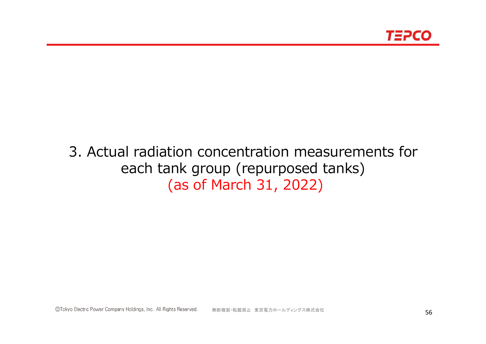

# 3. Actual radiation concentration measurements for each tank group (repurposed tanks) (as of March 31, 2022)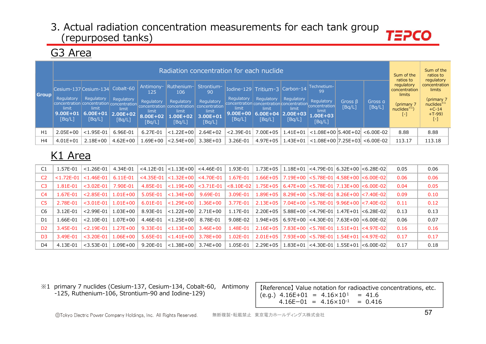# G3 Area

| Group | Radiation concentration for each nuclide                                     |                                 |                                               |                                           |                                                                             |                                                            |                                 |                                                                                            |                                               |                                                            |                         |                   |                                                    | Sum of the<br>ratios to<br>regulatory                    |
|-------|------------------------------------------------------------------------------|---------------------------------|-----------------------------------------------|-------------------------------------------|-----------------------------------------------------------------------------|------------------------------------------------------------|---------------------------------|--------------------------------------------------------------------------------------------|-----------------------------------------------|------------------------------------------------------------|-------------------------|-------------------|----------------------------------------------------|----------------------------------------------------------|
|       | Cesium-137 Cesium-134 Cobalt-60<br>Regulatory                                | Regulatory                      |                                               | Antimony-<br>125.                         | Ruthenium-<br>106                                                           | Strontium-<br>90                                           | Regulatory                      | Iodine-129 Tritium-3                                                                       | $\vert$ Carbon-14                             | Technetium-<br>99                                          |                         |                   | ratios to<br>regulatory<br>concentration<br>limits | concentration<br>limits                                  |
|       | concentration concentration concentration<br>limit<br>$9.00E + 01$<br>[Bq/L] | limit<br>$6.00E + 01$<br>[Bq/L] | Regulatory<br>limit<br>$2.00E + 02$<br>[Bq/L] | Regulatory<br>limit<br>8.00E+02<br>[Bq/L] | Regulatory<br>concentration concentration<br>limit<br>$.00E + 02$<br>[Bq/L] | Regulatory<br>concentration<br>limit<br>3.00E+01<br>[Bq/L] | limit<br>$9.00E + 00$<br>[Bq/L] | Regulatory<br>concentration concentration concentration<br>limit<br>$6.00E + 04$<br>[Bq/L] | Regulatory<br>limit<br>$ 2.00E+03 $<br>[Bq/L] | Regulatory<br>concentration<br>limit<br>1.00E+03<br>[Bq/L] | Gross $\beta$<br>[Bq/L] | Gross a<br>[Bq/L] | (primary 7<br>nuclides $*1)$<br>$\left[ -\right]$  | (primary 7<br>nuclides $*1$<br>$+C-14$<br>$+T-99$<br>[-] |
| H1    | $2.05E + 00$                                                                 | $< 1.95E - 01$                  | 6.96E-01                                      | 6.27E-01                                  | $< 1.22E + 00$                                                              | $2.64E + 02$                                               | $< 2.39E - 01$                  | $7.00E + 05$                                                                               | $1.41E + 01$                                  | $<$ 1.08E+00 5.40E+02                                      |                         | <6.00E-02         | 8.88                                               | 8.88                                                     |
| H4    | $4.01E + 01$                                                                 | $2.18E + 00$                    | $4.62E + 00$                                  | .69E+00                                   | <2.54E+00                                                                   | $3.38E + 03$                                               | 3.26E-01                        | $4.97E + 05$                                                                               | 1.43E+01                                      | $<$ 1.08E+00  7.25E+03                                     |                         | $< 6.00E - 02$    | 113.17                                             | 113.18                                                   |

# K1 Area

| C1             | 1.57E-01       | $< 1.26F - 01$ | 4.34F-01     |              | $<$ 4.12E-01 $ $ < 1.13E+00 $ $ < 4.46E-01 |                      | 1.93E-01 |                                                                    |  | $1.73E+05$   $1.18E+01$   <4.79E-01   6.32E+00   <6.28E-02 | 0.05 | 0.06 |
|----------------|----------------|----------------|--------------|--------------|--------------------------------------------|----------------------|----------|--------------------------------------------------------------------|--|------------------------------------------------------------|------|------|
| C <sub>2</sub> | $< 1.72E - 01$ | $< 1.46F - 01$ | $6.11F - 01$ |              | $<$ 4.35E-01 $ $ < 1.32E+00 $ $ < 4.70E-01 |                      | 1.67E-01 | $1.66E+05$   7.19E+00   < 5.78E-01   4.58E+00   < 6.00E-02         |  |                                                            | 0.06 | 0.06 |
| C3             | 1.81E-01       | $<$ 3.02E-01   | 7.90E-01     | 4.85E-01     |                                            | <1.19E+00  <3.71E-01 |          | <8.10E-02   1.75E+05   6.47E+00   <5.78E-01   7.13E+00   <6.00E-02 |  |                                                            | 0.04 | 0.05 |
| C <sub>4</sub> | 1.67F-01       | $2.85F-01$     | $1.01F + 00$ | 5.05E-01     | $ $ < 1.34E + 00 $ $                       | 9.69E-01             | 3.09E-01 |                                                                    |  | $1.89E+05$   8.29E+00   < 5.78E-01   8.26E+00   < 7.40E-02 | 0.09 | 0.10 |
| C <sub>5</sub> | 2.78F-01       | $<$ 3.01E-01   | 1.01E+00     | $6.01E - 01$ | $\leq 1.29E + 00$                          | $1.36E + 00$         | 3.77E-01 |                                                                    |  |                                                            | 0.11 | 0.12 |
| C6             | 3.12E-01       | $< 2.99E - 01$ | 1.03E+00     | 8.93E-01     | $\leq 1.22E + 00$                          | 2.71E+00             | 1.17E-01 | 2.20E+05                                                           |  | $5.88E+00$ $ <$ 4.79E-01   1.47E+01 $ <$ 6.28E-02          | 0.13 | 0.13 |
| D1             | 1.66E-01       | $< 2.10$ F-01  | 1.07E+00     | 4.46E-01     | $ $ < 1.25E + 00 $ $                       | 8.78E-01             | 9.08E-02 |                                                                    |  | $1.94E+05$ 6.97E+00 <4.30E-01 7.63E+00 <6.00E-02           | 0.06 | 0.07 |
| D <sub>2</sub> | 3.45E-01       | $2.19F - 01$   | $1.27F + 00$ | $9.33E - 01$ | $ $ < 1.13E + 00 $ $ 3.46E + 00            |                      | 1.48E-01 | $2.16E+05$   7.83E+00   < 5.78E-01   1.51E+01   < 4.97E-02         |  |                                                            | 0.16 | 0.16 |
| D <sub>3</sub> | 3.49E-01       | $<$ 3.20F-01   | $1.06F + 00$ | 5.65E-01     | $\leq 1.41E + 00$                          | 3.78E+00             | 1.02E-01 | $2.01E+05$   7.93E+00   < 5.78E-01   1.54E+01   < 4.97E-02         |  |                                                            | 0.17 | 0.17 |
| D4             | 4.13E-01       | $<$ 3.53E-01   | 1.09E+00     | 9.20E-01     | $\leq 1.38E + 00$                          | 3.74E+00             | 1.05E-01 |                                                                    |  | $2.29E+05$   1.83E+01   <4.30E-01   1.55E+01   <6.00E-02   | 0.17 | 0.18 |

※1 primary 7 nuclides (Cesium-137, Cesium-134, Cobalt-60, Antimony primary 7 nuclides (Cesium-137, Cesium-134, Cobalt-60, Antimony [Reference] Value notation for radioactive concentrations, etc.  $-125$ , Ruthenium-106, Strontium-90 and Iodine-129)  $(0.9.16E+01 = 4.16\times10^{1} = 41.6$ 

 $4.16E-01 = 4.16 \times 10^{-1} = 0.416$